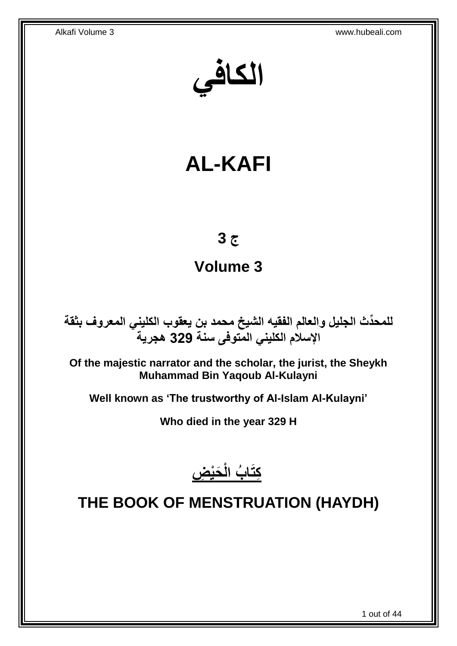**الكافي**

# **AL-KAFI**

## **ج 3**

## **Volume 3**

**دث الجليل والعالم الفقيه الشيخ محمد بن يعقوب الكليني المعروف بثقة للمح ِّ اإلسالم الكليني المتوفى سنة 329 هجرية**

**Of the majestic narrator and the scholar, the jurist, the Sheykh Muhammad Bin Yaqoub Al-Kulayni**

**Well known as 'The trustworthy of Al-Islam Al-Kulayni'**

**Who died in the year 329 H**



## <span id="page-0-0"></span>**THE BOOK OF MENSTRUATION (HAYDH)**

1 out of 44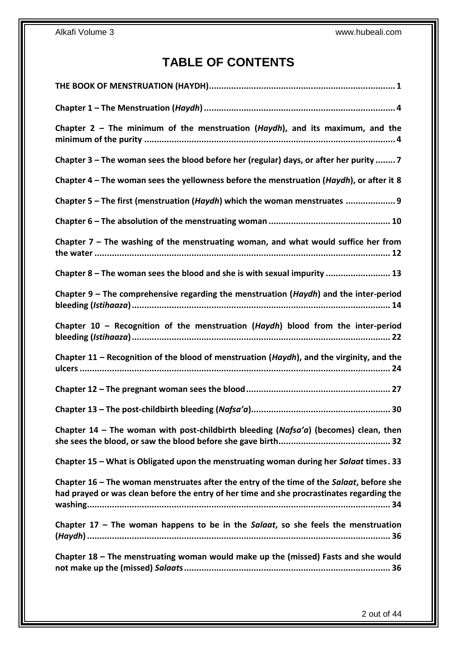## **TABLE OF CONTENTS**

| Chapter $2$ – The minimum of the menstruation (Haydh), and its maximum, and the                                                                                                       |
|---------------------------------------------------------------------------------------------------------------------------------------------------------------------------------------|
| Chapter 3 – The woman sees the blood before her (regular) days, or after her purity  7                                                                                                |
| Chapter 4 – The woman sees the yellowness before the menstruation (Haydh), or after it 8                                                                                              |
| Chapter 5 - The first (menstruation (Haydh) which the woman menstruates  9                                                                                                            |
|                                                                                                                                                                                       |
| Chapter $7$ – The washing of the menstruating woman, and what would suffice her from                                                                                                  |
| Chapter 8 - The woman sees the blood and she is with sexual impurity  13                                                                                                              |
| Chapter 9 – The comprehensive regarding the menstruation ( <i>Haydh</i> ) and the inter-period                                                                                        |
| Chapter 10 - Recognition of the menstruation (Haydh) blood from the inter-period                                                                                                      |
| Chapter 11 - Recognition of the blood of menstruation (Haydh), and the virginity, and the                                                                                             |
|                                                                                                                                                                                       |
|                                                                                                                                                                                       |
| Chapter 14 – The woman with post-childbirth bleeding (Nafsa'a) (becomes) clean, then                                                                                                  |
| Chapter 15 - What is Obligated upon the menstruating woman during her Salaat times. 33                                                                                                |
| Chapter 16 - The woman menstruates after the entry of the time of the Salaat, before she<br>had prayed or was clean before the entry of her time and she procrastinates regarding the |
| Chapter $17$ – The woman happens to be in the Salaat, so she feels the menstruation                                                                                                   |
| Chapter 18 - The menstruating woman would make up the (missed) Fasts and she would                                                                                                    |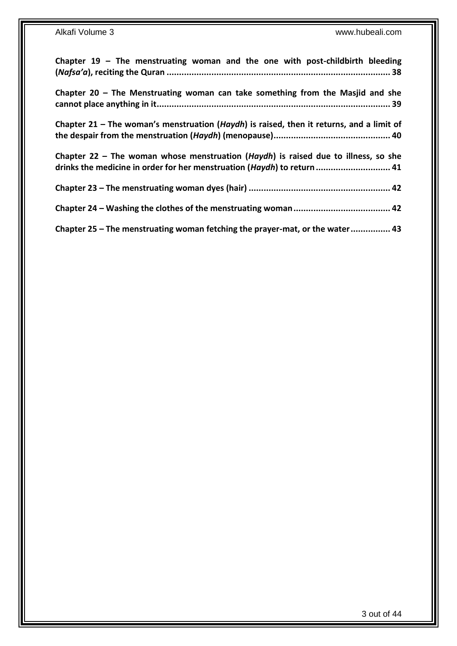| Chapter $19$ – The menstruating woman and the one with post-childbirth bleeding                                                                               |
|---------------------------------------------------------------------------------------------------------------------------------------------------------------|
| Chapter $20$ – The Menstruating woman can take something from the Masjid and she                                                                              |
| Chapter 21 – The woman's menstruation (Haydh) is raised, then it returns, and a limit of                                                                      |
| Chapter 22 – The woman whose menstruation (Haydh) is raised due to illness, so she<br>drinks the medicine in order for her menstruation (Haydh) to return  41 |
|                                                                                                                                                               |
|                                                                                                                                                               |
| Chapter 25 - The menstruating woman fetching the prayer-mat, or the water 43                                                                                  |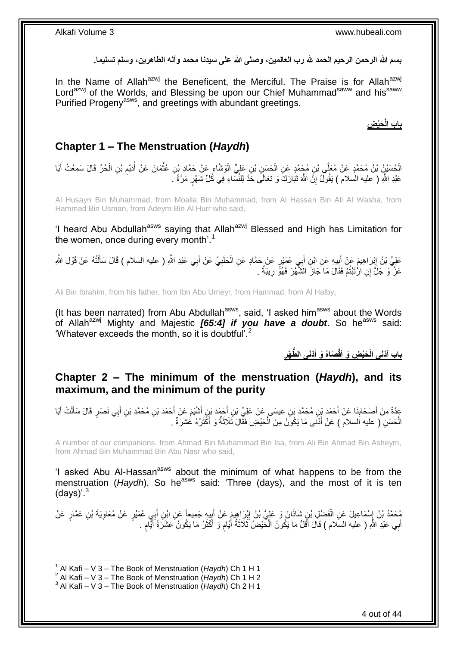بسم الله الرحمن الرحيم الحمد لله رب العالمين، وصلى الله على سيدنا محمد وآله الطاهرين، وسلم تسليما<sub>.</sub>

In the Name of Allah<sup>azwj</sup> the Beneficent, the Merciful. The Praise is for Allah<sup>azwj</sup> Lord<sup>azwj</sup> of the Worlds, and Blessing be upon our Chief Muhammad<sup>saww</sup> and his<sup>saww</sup> Purified Progeny<sup>asws</sup>, and greetings with abundant greetings.

**الْ باب َحْي ِض**

### <span id="page-3-0"></span>**Chapter 1 – The Menstruation (***Haydh***)**

الْحُسَيْنُ بْنُ مُحَمَّدٍ عَنْ مُعَلِّي بْنِ مُجَمَّدٍ عَنِ الْحَسَنِ بْنِ عَلِيٍّ الْوَشَّاءِ عَنْ حَمَّادِ بْنِ عُثْمَانَ عَنْ أَدَيْمِ بْنِ الْحُرِّ قَالَ سَمِعْتُ أَبَا ْ ْ ْ َ ْ ِ ْ عَبْدِ اللَّهِ ( عليه السلام ) يَقُولُ إِنَّ اللَّهَ تَبَارَكَ وَ تَعَالَى حَدَّ لِلنَّسَاءِ فِي كُلِّ شَهْرٍ مَرَّةً َ ِ

Al Husayn Bin Muhammad, from Moalla Bin Muhammad, from Al Hassan Bin Ali Al Washa, from Hammad Bin Usman, from Adeym Bin Al Hurr who said,

'I heard Abu Abdullah<sup>asws</sup> saying that Allah<sup>azwj</sup> Blessed and High has Limitation for the women, once during every month'.<sup>1</sup>

عَلِيُّ بْنُ إِبْرَاهِيمَ عَنْ أَبِيهِ عَنِ ابْنِ أَبِي عُمَيْرٍ عَنْ حَمَّادٍ عَنِ الْحَلَبِيِّ عَنْ أَبِي عَبْدِ اللَّهِ ( عليه السلام ) قَالَ سَأَلْتُهُ عَنْ قَوْلِ اللَّهِ َ ِ َ ِ ْ َ َ ِ ْ عَزَ ۖ وَ جَلَّ إِنِ ارْتَبْتُمْ فَقَالَ مَا جَازَ الشَّهْرَ فَهُوًّ رِيبَةٌ . ِ

Ali Bin Ibrahim, from his father, from Ibn Abu Umeyr, from Hammad, from Al Halby,

(It has been narrated) from Abu Abdullah<sup>asws</sup>, said, 'I asked him<sup>asws</sup> about the Words of Allah<sup>azwj</sup> Mighty and Majestic **[65:4] if you have a doubt**. So he<sup>asws</sup> said: 'Whatever exceeds the month, so it is doubtful'.<sup>2</sup>

> **ْدَنى باب أ ُّط ْهر ْدَنى ال َصاهُ َو أ قْ َحْي ِض َو أ الْ َ ِ َ َ**

### <span id="page-3-1"></span>**Chapter 2 – The minimum of the menstruation (***Haydh***), and its maximum, and the minimum of the purity**

عِدَّةٌ مِنْ أَصْحَابِنَا عَنْ أَحْمَدَ بْنِ مُحَمَّدِ بْنِ عِيسَى عَنْ عَلِيِّ بْنِ أَحْمَدَ بْنِ أَنْثَيَمَ عَنْ أَحْمَدَ بْنِ مُحَمَّدِ بْنِ أَبِي نَصْرٍ قَالَ سَأَلْتُ أَبَا َ َ َ **∣** َ َ ْ َ َ َ الْحَسَنِ ( عليه اَلسلام ) عَنْ أَذْنَى مَا يَكُونُ مِنَ الْحَيْضِ فَقَّالَ ثَلَاثَةٌ وَ أَكْثَرُهُ عُشَرَةٌ . َ َ َ ْ َ ْ

A number of our companions, from Ahmad Bin Muhammad Bin Isa, from Ali Bin Ahmad Bin Asheym, from Ahmad Bin Muhammad Bin Abu Nasr who said,

'I asked Abu Al-Hassan<sup>asws</sup> about the minimum of what happens to be from the menstruation (*Haydh*). So he<sup>asws</sup> said: 'Three (days), and the most of it is ten  $(daws)$ '.<sup>3</sup>

مُحَمَّدُ بْنُ إِسْمَاعِيلَ عَنِ الْفَضْلِ بْنِ شَاذَانَ وَ عَلِيُّ بْنُ إِبْرَاهِيمَ عَنْ أَبِيهِ جَمِيعاً عَنِ ابْنِ أَبِي عُمَيْرٍ عَنْ مُعَاوِيَةَ بْنِ عَمَّارٍ عَنْ<br>مُحَمَّدُ بْنُ إِسْمَاعِيلَ عَنِ الْفَضْلِ بْنِ شَاذ َ ِ َ ِ ْ **∶** أَبِي عَبْدِ اللَّهِ ( عليه السَلام ) قَالَ أَقَلُّ مَا يَكُونُ الْخَيْضُ ثَلَاثَةُ أَيَّامٍ وَ أَكْثَرُ مَا يَكُونُ عَشَرَةُ أَيَّامٍ . ْ َ َ ٍ َ ة<br>أ َ ֧֖֧֚֚֓֝֝֝ َ  $\ddot{\phantom{0}}$ 

<sup>1</sup> 1 Al Kafi – V 3 – The Book of Menstruation (*Haydh*) Ch 1 H 1

<sup>2</sup> Al Kafi – V 3 – The Book of Menstruation (*Haydh*) Ch 1 H 2

<sup>3</sup> Al Kafi – V 3 – The Book of Menstruation (*Haydh*) Ch 2 H 1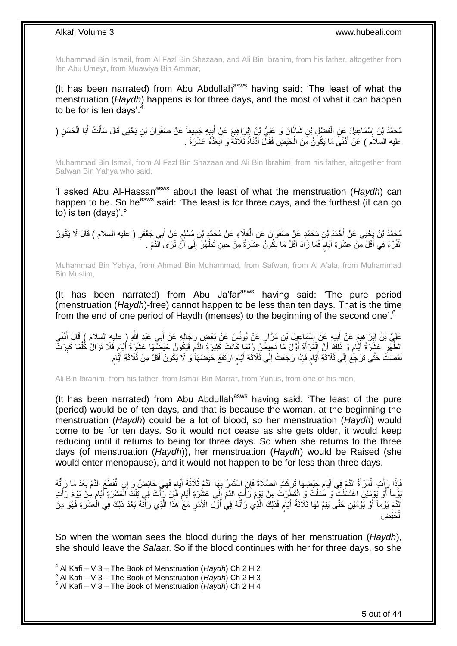Muhammad Bin Ismail, from Al Fazl Bin Shazaan, and Ali Bin Ibrahim, from his father, altogether from Ibn Abu Umeyr, from Muawiya Bin Ammar,

(It has been narrated) from Abu Abdullah $a<sup>asws</sup>$  having said: 'The least of what the menstruation (*Haydh*) happens is for three days, and the most of what it can happen to be for is ten days'. $4$ 

مُحَمَّدُ بْنُ إِسْمَاعِيلَ عَنِ الْفَضْلِ بْنِ شَاذَانَ وَ عَلِيُّ بْنُ إِبْرِاهِيمَ عَنٍْ أُبِيهِ جَمِيعاً عَنْ صَفْوَانَ بْنِ يَحْيَى قَالَ سَأَلْتُ أَبَا الْحَسَنِ ( **!** َ ِ ْ ֖֧֓<u>֓</u> ْ َ ْ َ عليه السلاَم ) عَنْ أَدْنَىَ مَا يَكُونُ مِنَ الْحَيْضِ فَقَالَ أَدْنَاهُ ثَلَاثَةٌ وَ أَبْعَدُهُ عَشَرَةٌ . َ َ َ ْ َ

Muhammad Bin Ismail, from Al Fazl Bin Shazaan and Ali Bin Ibrahim, from his father, altogether from Safwan Bin Yahya who said,

'I asked Abu Al-Hassan<sup>asws</sup> about the least of what the menstruation (Haydh) can happen to be. So he<sup>asws</sup> said: 'The least is for three days, and the furthest (it can go to) is ten  $\frac{\text{days}}{5}$ 

مُحَمَّدُ بْنُ يَجْنِي عَنْ أَحْمَدَ بْنِ مُحَمَّدٍ عَنْ صَفْوَانَ عَنِ الْعَلَاءِ عَنْ مُحَمَّدٍ بْنِ مُسْلِمٍ عَنْ أَبِي جَعْفَرٍ ( عليه السلام ) قَالَ لَا يَكُونُ<br>مُعتَّدُ بْنُ يَجْنِي عَنْ أَحْمَدَ بْنِ مُحَمَّدٍ عَنْ َ ٍ ْ الْقُرْ ءُ فِي أَقَلَّ مِنْ عَشَرَةِ أَيَّامٍ فَمَا زَادَ أَقَلُّ مَا يَكُونُ عَشَرَةٌ مِنْ حِينِ تَطْهُرُ ۗ إِلَى أَنَّ تَرَى الَّذَمَ . َ ِ ٍ َ َ ْ

Muhammad Bin Yahya, from Ahmad Bin Muhammad, from Safwan, from Al A'ala, from Muhammad Bin Muslim,

(It has been narrated) from Abu Ja'far<sup>asws</sup> having said: 'The pure period (menstruation (*Haydh*)-free) cannot happen to be less than ten days. That is the time from the end of one period of Haydh (menses) to the beginning of the second one'.<sup>6</sup>

عَلِيُّ بْنُ إِبْرَاهِيِمَ عَنْ أَبِيهِ عَنْ إِسْمَاعِيلَ بْنِ مَرَّارٍ عَنْ يُونُسَ عَنْ بَعْضِ رِجَالِهِ عَنْ أَبِي عَبْدِ اللَّهِ ( عليهِ السلام ) قَالَ أَذَنَى َ **∶** ِ ِ َ <u>֖֚֓</u>֦֧֢֢֦֦֦֦֦֦֦֓֡֡֡֡֡֡ الطَّهْرِ عَشَرَةُ أَيَّام وَ ذَلِّكَ أَنَّ الْمَرْأَةَ أَوَّلَ مَا تَحِيضُ رُبَّمَا كَانَتْ كَثِيرَةَ الدَّمَ فَيَكُونُ حَيْضَهَا عَشَرَةَ أَيَّام فَلَا تَزَالُ كُلَّمَا كَبِرَتَّ ِ َ َ ْ م َ ِ ِ َّ ֧֧֚֓֝֝֬֝ َ ∣∣<br>ِ َفَّصَنَّ حَتَّى تَرْجَّعَ إِلَى ثَلَاثَةِ أَيَّامٍ فَإِذَا رَجَعَتْ إِلَى ثَلَاثَةِ أَيَّامٍ ارْتَفَعَ حَيْضُهَا وَ لَا يَكُونُ أَقَلَّ مِنْ ثَلَاثَةِ أَيُّامٍ ٍ َ َ ِ ֧֖֧֖֖֖֖֖֧֧֖֧֧֧֧ׅ֧֧֧֚֚֚֚֚֚֚֝֝֟֓֝֓֝֓֟֓֝֬֟֓֟֓֟֓֟֓֝֬֜֝֓֝֬֜֓֝֬֜֓֝֬ َ َ َ ֧֧֧֖֧֧֧֧֧֦֧֚֓֝֬֝֝֓֝֬֟֓֓֝֓֝֓֝֬֝֬֝ َ َ

Ali Bin Ibrahim, from his father, from Ismail Bin Marrar, from Yunus, from one of his men,

(It has been narrated) from Abu Abdullah<sup>asws</sup> having said: 'The least of the pure (period) would be of ten days, and that is because the woman, at the beginning the menstruation (*Haydh*) could be a lot of blood, so her menstruation (*Haydh*) would come to be for ten days. So it would not cease as she gets older, it would keep reducing until it returns to being for three days. So when she returns to the three days (of menstruation (*Haydh*)), her menstruation (*Haydh*) would be Raised (she would enter menopause), and it would not happen to be for less than three days.

فَإِذَا رَأَتِ الْمَرْأَةُ الدَّمَ فِي أَيَامِ جَيْضِهَا تَرَكَتِ الصَّلَاةَ فَإِنِ اسْتَمَرَّ بِهَا الدَّمُ ثَلَاثَةَ أَيَّامٍ فَهِيَ حَائِضٌ وَ إِنِ انْقَطَعَ الذَّمُ بَعْدَ مَا رَأَتُهُ ِ ֧֖֧֖֖֖֖֖֧֖֖֖֖֧֧֧֧֧֧֧֧֧֧֧֧֧֧֧֧֧֚֚֚֚֚֚֚֚֚֚֚֝֝֟֓֝֓֝֓֝֬֟֓֝֬֟֓֝֬֝֓֝֓֝֬֝֓֝֬֝֬֝֓֝֬֝֬֓֝֬֝֬֝֬ َ ِ ِ َ َ ْ َ َبَوْ مَا أَوْ يَوْمَيْنِ اغْتَسَلَتْ وَ صَلَّتْ وِ انْتَظَرَتْ مِنْ يَوْمَ رَأَتٍ الدَّمَ إِلَى عَشْرَةِ أَيَّامٍ فَإِنْ رَأَتَ فِي تِلْكَ الْعَشَرَةِ أَيَّامٍ مِنْ يَوْمَ رَأَتِ َ َ ≏<br>≀ َ ْ ْ َ ِ ٍ َ ٳ اُ الَّذَمَ يَوْماً أَوْ يَوْمَيْنِ حَتَّى يَتِمَّ لَهَا ثَلَاثَةُ أَيَّامٍ فَذَلِكَ الَّذِي رَأَتْهُ فِي أُوَّلِ الْأَمْرِ مَعً هَذَا الَّذِي رَأَتُهُ بَعْدَ ذَلِكَ فِي الْعَشَرَةِ فَهُوَ مِنَ **ٍ** َ َّ ٍ َ َ َ َ َّ ْ حَيْضِ ْ ال

So when the woman sees the blood during the days of her menstruation (*Haydh*), she should leave the *Salaat*. So if the blood continues with her for three days, so she

<sup>4</sup> Al Kafi – V 3 – The Book of Menstruation (*Haydh*) Ch 2 H 2

<sup>5</sup> Al Kafi – V 3 – The Book of Menstruation (*Haydh*) Ch 2 H 3

<sup>6</sup> Al Kafi – V 3 – The Book of Menstruation (*Haydh*) Ch 2 H 4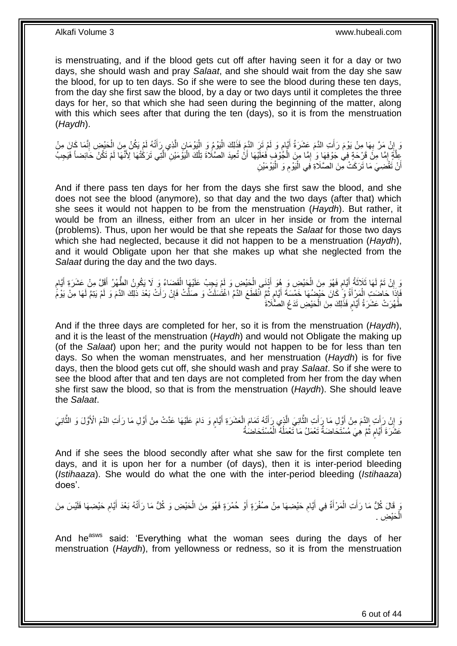is menstruating, and if the blood gets cut off after having seen it for a day or two days, she should wash and pray *Salaat*, and she should wait from the day she saw the blood, for up to ten days. So if she were to see the blood during these ten days, from the day she first saw the blood, by a day or two days until it completes the three days for her, so that which she had seen during the beginning of the matter, along with this which sees after that during the ten (days), so it is from the menstruation (*Haydh*).

َّ وَ إِنْ مَرَّ بِهَا مِنْ يَوْمَ رَأَتِ الدَّمَ عَشَرَةُ أَيَّامٍ وَ لَمْ تَزِ الدَّمَ فَذَلِكَ الْيَوْمُ وَ الْيَوْمَإِنِ الَّذِي رَأَتْهُ لَمْ يَكُنْ مِنَ الْحَيْضِ إِنَّمَا كَانَ مِنْ ْ :<br>ا ٍ َ َ **∶**  ِ ِ ْ َ جِلَّةٍ إِمَّا مِنْ قَرْحَةٍ فِي جَوْفِهَا وَ ٰ إِمَّا مِنَ الْجُوْفِ فَعَلَيْهَا أَنْ تُعِيدَ الصَّلَاةَ تِلْكَ الْيَوْمَيْنِ ٱلتَّتِي تَرَكْتُهَا لَوْ تَكُنَّ حَائِضاً فَيَجِبُ ْ ِ ِ َّ :<br>ا ْ اُ أَنْ تَقْضِيَ مَا تَرَكَتْ مِنَ الصَّلَاةِ فِي الْيَوْمِ وَ الْيَوْمَيْنِ ا<br>ا ِ ْ اً

And if there pass ten days for her from the days she first saw the blood, and she does not see the blood (anymore), so that day and the two days (after that) which she sees it would not happen to be from the menstruation (*Haydh*). But rather, it would be from an illness, either from an ulcer in her inside or from the internal (problems). Thus, upon her would be that she repeats the *Salaat* for those two days which she had neglected, because it did not happen to be a menstruation (*Haydh*), and it would Obligate upon her that she makes up what she neglected from the *Salaat* during the day and the two days.

وَ إِنْ تَمَّ لَهَا ثَلاَثَةُ أَيَّامٍ فَهُوَ مِنَ الْحَيْضِ وَ هُوَ أَذْنَى الْحَيْضِ وَ لَمْ يَجِبْ عَلَيْهَا الْقَضَاءُ وَ لَا يَكُونُ الطُّهْرُ أَقَلَّ مِنْ عَشَرَةِ أَيَّامٍ ْ ْ َ ْ ڔ َ  $\ddot{\phantom{0}}$ ِ ׇ֖֖֖֖֦֦֖֚֚֚֚֬֝֝֓ َ َ َفَإِذَا حَاضَتِ الْمَرْأَةُ وَ ۗ كَانَ حَيْضُهَا خَمْسَةَ أَيَّامٍ ثُمَّ انْقَطَعَ الدَّمُ اغْتَسَلَتْ وَ صَلَّتْ فَإِنْ رَأَتْ بَعْدَ ذَلِكَ الدَّمَ وَ لَمْ يَتِمَّ لَهَا مِنْ يَوْمًّ .<br>• • • • ٍ َ َ ْ َ ِ طَّهُرَتْ عَشَرَةُ أَيَّامٍ فَذَلِكَ مِنَ الْحَيْضِ تَدَعُ الصَّلَاةَ ْ ٍ َ

And if the three days are completed for her, so it is from the menstruation (*Haydh*), and it is the least of the menstruation (*Haydh*) and would not Obligate the making up (of the *Salaat*) upon her; and the purity would not happen to be for less than ten days. So when the woman menstruates, and her menstruation (*Haydh*) is for five days, then the blood gets cut off, she should wash and pray *Salaat*. So if she were to see the blood after that and ten days are not completed from her from the day when she first saw the blood, so that is from the menstruation (*Haydh*). She should leave the *Salaat*.

وَ إِنْ رَأَتِ الدَّمَ مِنْ أَوَّلِ مَا رَأَتِ الثَّانِيَ الَّذِي رَأَتْهُ تَمَامَ الْعَشَرَةِ أَيَّامٍ وَ دَامَ عَلَيْهَا عَدَّتْ مِنْ أَوَّلِ مَا رَأَتِ الذَّمَ الْأَوَّلَ وَ الثَّانِيَ ٍ َ ْ َ َّ َّ َ َ َ ِ َّ َ َ عَشَرَةَ أَيَّامٍ ثُمَّ هِيَ مُسْتَخَاضَةٌ تَعْمَلُ مَا تَعْمَلُهُ الْمُسْتَخاضُةُ ُ ان<br>سال م َ ْ

And if she sees the blood secondly after what she saw for the first complete ten days, and it is upon her for a number (of days), then it is inter-period bleeding (*Istihaaza*). She would do what the one with the inter-period bleeding (*Istihaaza*) does'.

وَ قَالَ كُلُّ مَا رَأَتِ الْمَرْأَةُ فِي أَيَّامِ حَيْضِهَا مِنْ صُفْرَةٍ أَوْ حُمْرَةٍ فَهُوَ مِنَ الْحَيْضِ وَ كُلُّ مَا رَأَتْهُ بَعْدَ أَيَّامٍ حَيْضِهَا فَلَيْسَ مِنَ ْ **ُ** َ َ ْ َ ِ َ َ الْحَيْضِ . ْ

And he<sup>asws</sup> said: 'Everything what the woman sees during the days of her menstruation (*Haydh*), from yellowness or redness, so it is from the menstruation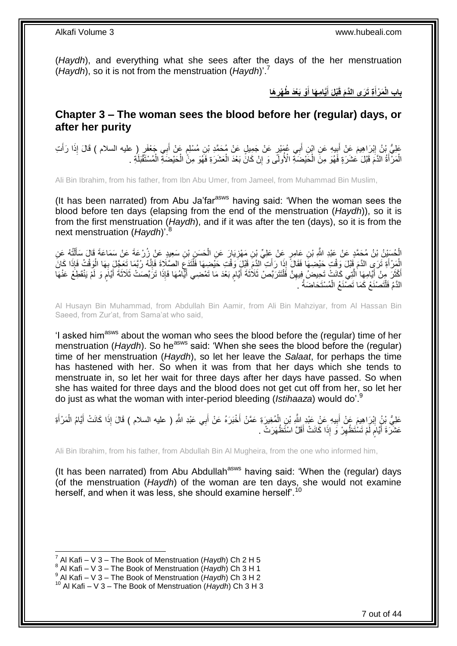(*Haydh*), and everything what she sees after the days of the her menstruation (*Haydh*), so it is not from the menstruation (*Haydh*)'.<sup>7</sup>

> **َها ْو َبْعَد ُط ْهر َّيا ِم َها أ ْبلَ أ ِة َت َرى الَّدَم قَ َم ْرأ باب الْ ِ َ َ َ**

### <span id="page-6-0"></span>**Chapter 3 – The woman sees the blood before her (regular) days, or after her purity**

عَلِيُّ بْنُ إِبْرَاهِيمَ عَنْ أَبِيهِ عَنِ ابْنِ أَبِي عُهَنْدٍ عَنْ جَمِيلٍ عَنْ مُحَمَّدِ بْنِ مُسْلِمٍ عَنْ أَبِي جَعْفَرٍ ( عليه السلام ) قَالَ إِذَا رَأَتِ َ ِ َ ِ َ َ ٍ الْمَرْ أَةُ الْدَمَ قَبْلَ عَشَرَةٍ فَهُوَ مِنِّ الْحَيْضَةِ الْأُولَى وَ إِنْ كَانَ بَعْدَ الْعَشَرَةِ فَهُوَ مِنَّ الْحَيْضَةِ الْمُسْتَقْبَلَةِ . ْ ْ ِ ْ َ ْ ْ

Ali Bin Ibrahim, from his father, from Ibn Abu Umer, from Jameel, from Muhammad Bin Muslim,

(It has been narrated) from Abu Ja'far $a<sup>asws</sup>$  having said: 'When the woman sees the blood before ten days (elapsing from the end of the menstruation (*Haydh*)), so it is from the first menstruation (*Haydh*), and if it was after the ten (days), so it is from the next menstruation (*Havdh*)'.

الْحُسَنْنُ بْنُ مُحَمَّدٍ عَنْ عَبْدِ اللَّهِ بْنِ عَامِرٍ عَنْ عَلِيِّ بْنِ مَهْزِيَارَ عَنِ الْحَسَنِ بْنِ سَعِيدٍ عَنْ زُرْعَةَ عَنْ سَمَاعَةَ قَالَ سَأَلْتُهُ عَنِ ْ **ٍ** ْ ْ ĺ ْ الْمَرْ أَةِ ثَرَيِّ الدَّمَ قَبْلَ وَقْتٍ حَيْضِهَا فَقَالَ إِذَا رَأَتِ الذَّمِّ قَبْلٍ وَقُتْ حَيْضِهَا فَأَنْذَعَ الصَّلَاةَ فَإِنَّهُ رُبَّمَا تَعَجَّلَ بِهَا الْوَقْتُ فَإِذَا كَانَ<br>وَمَنْ تَبَعَ بَنَّ بَعَا الْوَقْ ∣اٍ ِ ْ َ ْ ِ أَكْثَرَ مِنْ أَيَّامِهَا الَّتِي كَانَتْ تَحِيضُ فِيهِنَّ فَلْتَتَرَبَّصْ ثَلَاثَةَ أَيَّامٍ بَعْدَ مَا تَمْضِي أَيِّامُهَا فَإِذَا ثَرَبَّصَتْ ثَلاثَةَ أَيَّامٍ وَ لَمْ يَنْقَطِعُ عَنْهَا<br>اقْتُرَ مِنْ أَيَامِهَا الَّتِي ْ ِ َّ َ ة<br>ا َ ֧֖֧֦֧֦֧֦֖֚֚֝֝֝֝֓֝֬֟֓֝֓֬֝֬֝֓֬֝֬֝֓**֓** َ َ ֧֧֧֧֧֧֧֧֧֓֝֟֓֝֓֝֬֟֓֝֓֝֓֟֓֟֓֓֟֓<del>֛</del> َ الدَّمُ فَلْتَصْنَعْ كَمَا تَصْنَعُ الْمُسْتَحَاضَةُ ۚ ْ ֦֖֖֖֦֦֖֦֧֦֦֖֧֦֦֧֦֧֦֧֦֪֪֦֧֦֧֦֪֪֦֧֦֧֦֧֦֧֦֧֦֧֦֧֪֪֧֧֪֧֧֝֟֟֟֟֟֟֟֟֟֟֟֟֟֟֟֟֟֟֟֟֟֟֟֟֟֟֟֩֕֞֟֟֓֞֟֟֟֓֞֟֟֩֓֞֟֓֞֟֟֩֓֞֟֟֞֟֝֟֝

Al Husayn Bin Muhammad, from Abdullah Bin Aamir, from Ali Bin Mahziyar, from Al Hassan Bin Saeed, from Zur'at, from Sama'at who said,

'I asked him<sup>asws</sup> about the woman who sees the blood before the (regular) time of her menstruation (*Haydh*). So he<sup>asws</sup> said: 'When she sees the blood before the (regular) time of her menstruation (*Haydh*), so let her leave the *Salaat*, for perhaps the time has hastened with her. So when it was from that her days which she tends to menstruate in, so let her wait for three days after her days have passed. So when she has waited for three days and the blood does not get cut off from her, so let her do just as what the woman with inter-period bleeding (*Istihaaza*) would do'.<sup>9</sup>

عَلِيُّ بِنُرٍ اِبْرَاهِيمَ عَنْ أَبِيهِ عَنْ عَبْدِ اللَّهِ بْنِ الْمُغِيرَةِ عَمَّنْ أَخْبَرَهُ عَنْ أَبِي عَبْدِ اللَّهِ ( عليه السلام ) قَالَ إِذَا كَانَتْ أَيَّامُ الْمَرْأَةِ َ َ ْ **!** َ ِ َ ْ َ عَشَّرَةَ أَيَّامٍ لَّمْ تَسْتَظْهِرْ وَ إِذَا كَانَتْ أَقَلَّ اسْتَظْهَرَتْ ۚ . َ ِ لَ م َ

Ali Bin Ibrahim, from his father, from Abdullah Bin Al Mugheira, from the one who informed him,

(It has been narrated) from Abu Abdullah<sup>asws</sup> having said: 'When the (regular) days (of the menstruation (*Haydh*) of the woman are ten days, she would not examine herself, and when it was less, she should examine herself<sup>'.10</sup>

<sup>1</sup> 7 Al Kafi – V 3 – The Book of Menstruation (*Haydh*) Ch 2 H 5

<sup>8</sup> Al Kafi – V 3 – The Book of Menstruation (*Haydh*) Ch 3 H 1

<sup>9</sup> Al Kafi – V 3 – The Book of Menstruation (*Haydh*) Ch 3 H 2

<sup>10</sup> Al Kafi – V 3 – The Book of Menstruation (*Haydh*) Ch 3 H 3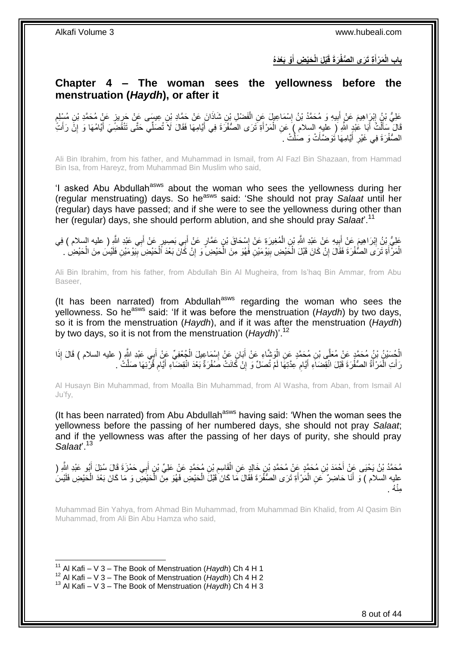**ْو َبْعَدُه َحْي ِض أ ْبلَ الْ َر َة قَ ِة َت َرى ال ُّصفْ َم ْرأ باب الْ َ َ**

### <span id="page-7-0"></span>**Chapter 4 – The woman sees the yellowness before the menstruation (***Haydh***), or after it**

عَلِيُّ بْنُ إِبْرَاهِيمَ عَنْ أَبِيهِ وَ مُحَمَّدُ بْنُ إِسْمَاعِيلَ عَنِ الْفَضْلِ بْنِ شَاذَانَ عَنْ حَمَّادِ بْنِ عِيسَى عَنْ حَرِيزٍ عَنٍْ مُحَمَّدِ بْنِ مُسْلِمٍ ْ ِ **!** َ ِ ֧֖֧֦֖֖֖֧֧֧֧֧֧֧֧֧֧֧֧֧֧֚֚֚֝֝֝֓֟֓֝֓֝֓֝֓֟֓֝֬֝֬֝֬֝֓֬֝֬֝֓֟֓֟֓֬֓֝֓֝֬֝֬֝֓֝֬֝֬֓֝֬֝֓֝֬֝֬ ِ قَالَ ۚ سَأَلْتُ أَبَا عَٰنِدٍ اللَّهِ ( عليهِ السلام ) عَنِ الْمَرْأَةِ تَرَى الْصَّفْرَةَ فِي أَيَّامِهَا فَقَالَ لَا تُصَلِّي حَتَّى تَنْقَضِّيَ أَيَّامُهَا وَ إِنْ رَأَتَ َ َ ْ َ ْ َ ِ َ الصُّفْرَةَ فِي غَيْرِ أَيَّامِهَا نَوَضَّأَتْ وَ صَلِّتْ ـ اُ َ ِ

Ali Bin Ibrahim, from his father, and Muhammad in Ismail, from Al Fazl Bin Shazaan, from Hammad Bin Isa, from Hareyz, from Muhammad Bin Muslim who said,

'I asked Abu Abdullah<sup>asws</sup> about the woman who sees the yellowness during her (regular menstruating) days. So he<sup>asws</sup> said: 'She should not pray *Salaat* until her (regular) days have passed; and if she were to see the yellowness during other than her (regular) days, she should perform ablution, and she should pray *Salaat*'.<sup>11</sup>

عَلِيُّ بِنُ إِبْرَاهِيمَ عَنْ أَبِيهِ عَنْ عَبْدِ اللَّهِ بْنِ الْمُغِيرَةِ عَنْ إِسْحَاقَ بْنِ عَمَّارٍ عَنْ أَبِي بَصِيرٍ عَنْ أَبِي عَبْدِ اللَّهِ ( عليه السلام ) فِي **!** َ َ َ ِ ْ ْ الْمَرْ أَةِ تَرَى الصُّفْرَةَ فَقَالَ إِنْ كَانَ قَبْلَ الْخَيْضِ بِيَوْمَيْنِ فَهُوَ مِنَ الْخَيْضِ ۗ وِإِنْ كَانَ بَعْدَ ٱلْخَيْضِ بِيَوْمَيْنِ فَلَيْسَ مِنَ الْخَيْضِ ۚ ِ ا<br>ا **!** ْ ֧<u>׀</u> َ ِ ْ

Ali Bin Ibrahim, from his father, from Abdullah Bin Al Mugheira, from Is'haq Bin Ammar, from Abu Baseer,

(It has been narrated) from Abdullah<sup>asws</sup> regarding the woman who sees the yellowness. So he<sup>asws</sup> said: 'If it was before the menstruation (*Haydh*) by two days, so it is from the menstruation (*Haydh*), and if it was after the menstruation (*Haydh*) by two days, so it is not from the menstruation (*Haydh*)'.<sup>12</sup>

الْجُسَيْنُ بْنُ مُحَمَّدٍ عَنْ مُعَلَّى بْنِ مُحَمَّدٍ عَنِ الْوَشَاءِ عَنْ أَبَانٍ عَنْ إِسْمَاعِيلَ الْجُعْفِيِّ عَنْ أَبِي عَبْدِ اللَّهِ ( عليه السلام ) قَالَ إِذَا ْ َ ْ ِ َ ْ رَ أَتِ الْمَرْ أَةُ الصُّفْرَةَ قَبْلَ انْقِضَاَءِ أَيَّامٍ عِدَّتِهَا لَمْ تُصَلِّ وَ إِنْ كَانَتْ صُفْرَةٌ بَعْدَ انْقِضَاءِ أَيَّامٍ قُرْئِهَا صَلَّتْ . ِ ِ َ َ ْ َ َ ِ

Al Husayn Bin Muhammad, from Moalla Bin Muhammad, from Al Washa, from Aban, from Ismail Al Ju'fy,

(It has been narrated) from Abu Abdullah<sup>asws</sup> having said: 'When the woman sees the yellowness before the passing of her numbered days, she should not pray *Salaat*; and if the yellowness was after the passing of her days of purity, she should pray *Salaat*'.<sup>13</sup>

مُحَمَّدُ بْنُ يَحْيَى عَنِّ أَحْمَدَ بْنِ مُحَمَّدٍ عَنِّ مُحَمَّدٍ بْنٍ خَالِدٍ عَنِ الْقَاسِمِ بْنِ مُحَمَّدٍ عَنْ عَلِيٍّ بْنٍ أَبِي حَمْزَةَ قَالَ سُئِلَ أَبُو عَبْدِ اللَّهِ ( َ َ ِ ْ عْلِيه السّلاَم ) وَ أَنَا حَاضِرٌ ۚ عَنِ الْمَرْأَةِ ثَرَى الصُّفَّرَةَ فَقَالَ مَا كَانَ ٰقَبْلَ الْحَيْضِ فَهُوَ مِنَ الْحَيْضَ وَ مَا كَانَ بَعْدَ الْحَيْضِ فَلِيْسَ ْ ْ َ ْ ْ ُه . ِمنْ

Muhammad Bin Yahya, from Ahmad Bin Muhammad, from Muhammad Bin Khalid, from Al Qasim Bin Muhammad, from Ali Bin Abu Hamza who said,

<sup>1</sup> <sup>11</sup> Al Kafi – V 3 – The Book of Menstruation (*Haydh*) Ch 4 H 1

<sup>12</sup> Al Kafi – V 3 – The Book of Menstruation (*Haydh*) Ch 4 H 2

<sup>13</sup> Al Kafi – V 3 – The Book of Menstruation (*Haydh*) Ch 4 H 3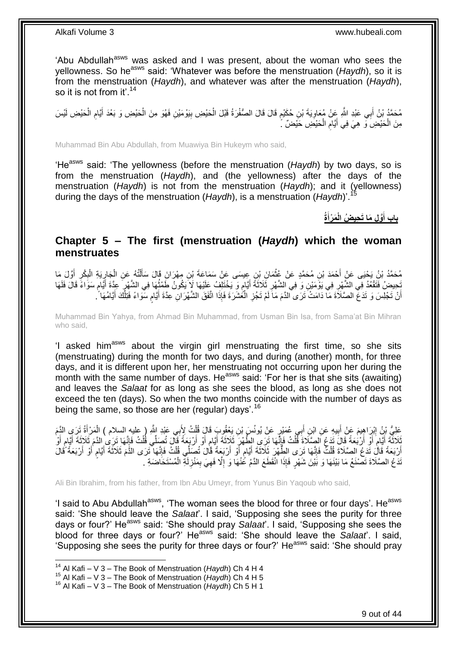'Abu Abdullah<sup>asws</sup> was asked and I was present, about the woman who sees the yellowness. So he<sup>asws</sup> said: 'Whatever was before the menstruation (*Haydh*), so it is from the menstruation (*Haydh*), and whatever was after the menstruation (*Haydh*), so it is not from it'.<sup>14</sup>

مُحَمَّدُ بْنُ أَبِي عَبْدِ اللَّهِ عَِنْ مُعَاوِيَةَ بْنِ حُكَيْمٍ قَالَ قَالَ الصُّفْرَةُ قَبْلَ الْحَيْضِ بِيَوْمَيْنِ فَهُوَ مِنَ الْحَيْضِ وَ بَعْدَ أَيَّامِ الْحَيْضِ لَيْسَ ِ ْ ِ َ ْ **!** ْ م مِنَ الْحَيْضِ وَ هِيَ فِي أَيَّامِ الْحَيْضِ حَيْضٌ ۚ ْ ِ َ ْ

Muhammad Bin Abu Abdullah, from Muawiya Bin Hukeym who said,

'He<sup>asws</sup> said: 'The yellowness (before the menstruation (*Haydh*) by two days, so is from the menstruation (*Haydh*), and (the yellowness) after the days of the menstruation (*Haydh*) is not from the menstruation (*Haydh*); and it (yellowness) during the days of the menstruation (*Haydh*), is a menstruation (*Haydh*)'.<sup>15</sup>

> **ةُ َم ْرأ َّو ِل َما َت ِحي ُض الْ باب أ َ َ**

<span id="page-8-0"></span>**Chapter 5 – The first (menstruation (***Haydh***) which the woman menstruates**

مُحَمَّدُ بْنُ يَحْيَى عَنْ أَحْمَدَ بْنِ مُحَمَّدٍ عَنْ غُثْمَانَ بْنِ عِيسَى عَنْ سَمَاعَةَ بْنِ مِهْرَانَ قَالَ سَأَلْتُهُ عَنِ الْجَارِيَةِ الْبِكْرِ أَوَّلَ مَا<br>مُحَمَّدُ بْنُ يَحْيَى عَنْ أَحْمَدَ بْنِ مُحَمَّدٍ عَن **ٔ** َ ِ ِ ْ ِ ْ ْ َ ُ ِّجِيضُ فَتَقْعُدُ فِي الشَّهْرِ فِي يَوْمَنْنِ وَ فِي الشَّهْرِ ثَلَاثَةً أَيَّامٍ وَ يَخْتَلِفُ عَلَيْهَا لَإِيكُونُ طَمْثُهَا فِي الشَّهْرِ عِدَّةً أَيَّامٍ سَوَاءً قَالَ فَلَهَا ֧֧֚֓֝֝֓֝ َ ِ ِ م َ ₹, أَنْ تَجْلِسَ وَ تَدَعَّ الصَّلَاَةَ مَا دَامَتْ َتَرَى الدَّمَ مَا َلَمْ تَجُزِ الْمُشَرَةَ فَإِذَا اتَّفَقَ الشَّهْرَانِ عِدَّةَ أَيَّامٍ سَّوَاءً فَتِلْكَ أَيَّامُهَا ۚ ٍ َ ْ ِ َ ْ

Muhammad Bin Yahya, from Ahmad Bin Muhammad, from Usman Bin Isa, from Sama'at Bin Mihran who said,

'I asked him<sup>asws</sup> about the virgin girl menstruating the first time, so she sits (menstruating) during the month for two days, and during (another) month, for three days, and it is different upon her, her menstruating not occurring upon her during the month with the same number of days. He<sup>asws</sup> said: 'For her is that she sits (awaiting) and leaves the *Salaat* for as long as she sees the blood, as long as she does not exceed the ten (days). So when the two months coincide with the number of days as being the same, so those are her (regular) days'.<sup>16</sup>

عَلِيُّ بِنُ إِبْرَاهِيمَ عَنْ أَبِيهِ عَنِ ابْنِ أَبِي عُمَيْرٍ عَنْ يُونُسَ بْنِ يَعْقُوبَ قَالَ قُلْتُ لِأَبِي عَبْدِ اللَّهِ ( عليه السلام ) الْمَرْأَةُ تَرَي الدَّمَ ْ َ **!** َ ِ َ ْ ثَلاثَةَ إِيَّامٍ أَوْ أَرْبَعَةً قَالَ تَذَعُ اَلصَّلَاةَ فَلْتُ فَإِنَّهَا تَرَىِ الطَّهْرِ ثَلَاثَةَ أَيَّامٍ أَوْ أَرْبَعَةً قَالَ تُصَلِّي قُلْتُ فَإِنَّهَا زَرِى الدَّمَ ثَلاثَةَ أَيَّامٍ أَوْ َ ٍ َ  $\frac{1}{2}$ ْ َ َ ٍ َ ِ ْ َ **ื** َ أَرْبَعَةً قَالَ تَدَعُ الصَّلَاةَ قُلْتُ فَإِنَّهَا تَرَى الطُّهْرَ ثَلَاثَةَ أِيَّامٍ أَوْ أَرْبَعَةً قُالَ تُصَلِّي قُلْتُ فَإِنَّهَا تَرَى الذَّمَ ثَلاثَةَ أَيَّامٍ أَوْ أَرْبَعَةً قُالَ َ َ ֧֧֧֦֧֦֧֩֘֝֘֝֘֝֝֝ َ ∣ا<br>∶ ْ َ َ ֧֖֖֚֚֚֓֝֬֝ َ ׀ו<br>ְי ْ ْ َّدَعُ الصَّلَاةَ تَصْنَعُ مَا بَيْنَهَا وَ بَيْنَ شَهْرٍ فَإِذَا انْقَطَعَ الدَّمُ عَٰنْهَا وَ إِلَّا فَهِيَ بِمَنْزِلَةِ الْمُسْتَحَاضَةِ . لَ ِ ِ ِ ِ

Ali Bin Ibrahim, from his father, from Ibn Abu Umeyr, from Yunus Bin Yaqoub who said,

'I said to Abu Abdullah<sup>asws</sup>, 'The woman sees the blood for three or four days'. He<sup>asws</sup> said: 'She should leave the *Salaat*'. I said, 'Supposing she sees the purity for three days or four?' He<sup>asws</sup> said: 'She should pray *Salaat*'. I said. 'Supposing she sees the blood for three days or four?' Heasws said: 'She should leave the *Salaat*'. I said, 'Supposing she sees the purity for three days or four?' He<sup>asws</sup> said: 'She should pray

<sup>14</sup> Al Kafi – V 3 – The Book of Menstruation (*Haydh*) Ch 4 H 4

<sup>15</sup> Al Kafi – V 3 – The Book of Menstruation (*Haydh*) Ch 4 H 5

<sup>16</sup> Al Kafi – V 3 – The Book of Menstruation (*Haydh*) Ch 5 H 1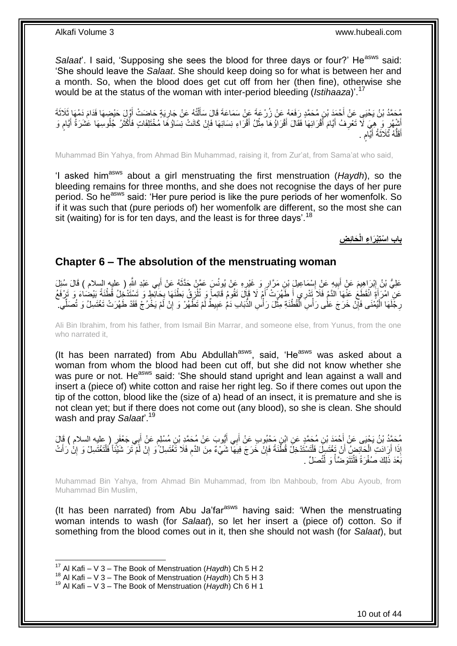*Salaat*. I said, 'Supposing she sees the blood for three days or four?' He<sup>asws</sup> said: 'She should leave the *Salaat*. She should keep doing so for what is between her and a month. So, when the blood does get cut off from her (then fine), otherwise she would be at the status of the woman with inter-period bleeding (*Istihaaza*)<sup>'.1</sup>

مُحَمَّدُ بْنُ يَحْيَى عَنْ أَحْمَدَ بْنِ مُحَمَّدٍ رَفَعَهُ عَنْ زُرْعَةَ عَنْ سَمَاعَةَ قَالَ سَأَلَّتُهُ عَنْ جَارِيَةٍ حَاضَتْ أَوَّلَ حَيْضِهَا فَدَامَ دَمُهَا ثَلَاثَةَ<br>يَنْفُسُ الْمَسْئِمَةِ ْ َ َ ِ أَشْهُرٍ وَ هِيَ لَا تَعْرِفُ أَيَّامَ أَقْرَائِهَا فَقَالَ أَقْرَاؤُهَا مِثْلُ أَقْرَاءِ نِسَائِهَا فَإِنْ كَانَتْ نِسَاؤُهَا مُخْتَلِفَاتٍ فَأَكْثَرُ جُلُوسِهَا عَشَرَةُ أَيَّامٍ وَ<br>نُبُهُرٍ وَ هِيَ لاَ تَعْرِفُ أَيَّام ِ َ **ٔ** َ َ َ ِ ֧֖֧֦֧֦֧֦֧֚֚֝֝֝֝֬֝֓֝֓֝֓**֓** َ َ َ ُّ أَقَلُّهُ ثَّلَاثَةُ أَيَّام َ ٍ َ ة<br>ا

Muhammad Bin Yahya, from Ahmad Bin Muhammad, raising it, from Zur'at, from Sama'at who said,

'I asked himasws about a girl menstruating the first menstruation (*Haydh*), so the bleeding remains for three months, and she does not recognise the days of her pure period. So he<sup>asws</sup> said: 'Her pure period is like the pure periods of her womenfolk. So if it was such that (pure periods of) her womenfolk are different, so the most she can sit (waiting) for is for ten days, and the least is for three days'.<sup>18</sup>

**َحائِ ِض باب ا ْستِْب َرا ِء الْ**

### <span id="page-9-0"></span>**Chapter 6 – The absolution of the menstruating woman**

ِي ب ُه َع ْن أ َس َع َّم ْن َحَّدث ِه َع ْن ُيونُ ٍر َو َغْير ِن َم َّرا ْس َما ِعي َل ْب ي ِه َع ْن إ ب َم َع ْن أ ْب َرا ِهي َق َعْبِد ا َل ُسِئ َل ََّّللا َعلِ ُّي ْب ُن إ ِ ) عليه السالم ( َ َ ِ ِ **!** َ ِ عَنِ ۖ امْرَأَةَ الْقَطَعُ عَنْهَا الدَّمُ فَلَا ۖ تَنْرِي أَصَّهُرَتْ أَمْ لَا قَإِلَ تَقُومُ قَائِماً وَ تُلْزَقُ بَطْنَهَا بِحَانِّطٍ وَ تَسْتَدْخُلُ قُطْنَةً بَيْضُاءَ وَ تَرْفَعُ ِ ِ َ َ ة<br>. رِجَّلَهَا الْيُمْنَى فَإِنْ خَرَجَ عَلَٰى رَأْسِ الْقُطْنَةِ مِثّْلَ رَأْسِ الذَّبَابِ دَمُّ عَبِيطٌ لَّمْ تَظَّهُرْ وَ إِنْ لَمْ يَخُرُجْ فَقَدْ طَهُرَتْ تَغْتَسِلُ وَ تُصَلِّي ۖ ْ ،<br>ا ِ ٔ<br>ا ِ ِ ِ ا<br>أ

Ali Bin Ibrahim, from his father, from Ismail Bin Marrar, and someone else, from Yunus, from the one who narrated it,

(It has been narrated) from Abu Abdullah<sup>asws</sup>, said, 'He<sup>asws</sup> was asked about a woman from whom the blood had been cut off, but she did not know whether she was pure or not. He<sup>asws</sup> said: 'She should stand upright and lean against a wall and insert a (piece of) white cotton and raise her right leg. So if there comes out upon the tip of the cotton, blood like the (size of a) head of an insect, it is premature and she is not clean yet; but if there does not come out (any blood), so she is clean. She should wash and pray *Salaat*'.<sup>19</sup>

مُحَمَّدُ بْنُ يَجْيَى عَنْ أَحْمَدَ بْنِ مُحَمَّدٍ عَنِ ابْنٍ مَحْبُوبٍ عَنْ أَبِي أَيُّوبَ عَنْ مُحَمَّدٍ بْنِ مُسْلِمٍ عَنْ أَبِي جَعْفَرٍ ( عليه السلام ) قَالَ<br>يَه تَمَيَّنَ مِنْ الْمَسْلَمِ الْمَسْلَمَ فَي أَمْرَةٍ مِ ֧֧֖֧֖֧֖֧֧֧֧֧֧֧֧֧֧֧֧֚֚֚֓֝֝֝֝֝֟֓֝֓֬֝֓֝֬֟֓֟֓֝֬֟֓֟֓֝֬֝֬֝֓֟֓֝֬֜֝֬֝֓֝֬֝֓ َ َ َ إِذَا أَرَادَتِ الْحَالِّضِ ۖ أَنْ تَغْتَسِلَ فَلْتَسْتَدْخِلَ قُطْنَةً فَإِنْ خَرَجَ فِيهَا شَيْءٌ مِنَ الدَّمِ فَلَا تَّغْتَسِلْ ًو إِنْ لَمْ تَزَ شَيْئًا فُلْتَغْتَسِلْ وَ إِنْ رَأَت ِ ْ اً ْ َ َ ِ ْ ِ ِ بََعْدَ ذَلِكَ صُفْرَةً فَلْتَتَوَضَّأْ وَ لْتُصَلِّ . ֦֧֦֧֧֦֧֦֧֦֧֦֧֦֧֦֧֧֦֧֦֪֧֪֦֪֦֧֧֧֧֧֧֧֟֟֟֓֕֟֓֕֝֓֟֓֡֟֓֡֟֓֡֟֓֡֟֓֡֟֟֓֡֟֓֡֟֟֩֓֞֟֓֞֟֓֡֟֓֞֟֓֟֓֝֬֝֓֟֝֓֟֝֬֝֬֝֬֝֬֝֬֝֬֝֬<br>֧֪֪֧֪֧֪֪֪֪֦֧֪֧֪֪֪֪֪֦֧֝֝֝֬֝֝֬֝ ْ ֺ֝֟֟֓֕֟֓֕֓֕׆<br>֧֢ׅ֦֧ׅ֦֧֦֧֦֦ׅ֦֧֦֧֦֦֧֧֧ׅ֘֘֜֓֬֘֓֞֬֘֩֓֓֬֟֩֓֓֞֬֩֩֓֓֩

Muhammad Bin Yahya, from Ahmad Bin Muhammad, from Ibn Mahboub, from Abu Ayoub, from Muhammad Bin Muslim,

(It has been narrated) from Abu Ja'far $a<sup>asws</sup>$  having said: 'When the menstruating woman intends to wash (for *Salaat*), so let her insert a (piece of) cotton. So if something from the blood comes out in it, then she should not wash (for *Salaat*), but

<sup>17</sup> Al Kafi – V 3 – The Book of Menstruation (*Haydh*) Ch 5 H 2

<sup>&</sup>lt;sup>18</sup> Al Kafi – V 3 – The Book of Menstruation (*Haydh*) Ch 5 H 3

<sup>19</sup> Al Kafi – V 3 – The Book of Menstruation (*Haydh*) Ch 6 H 1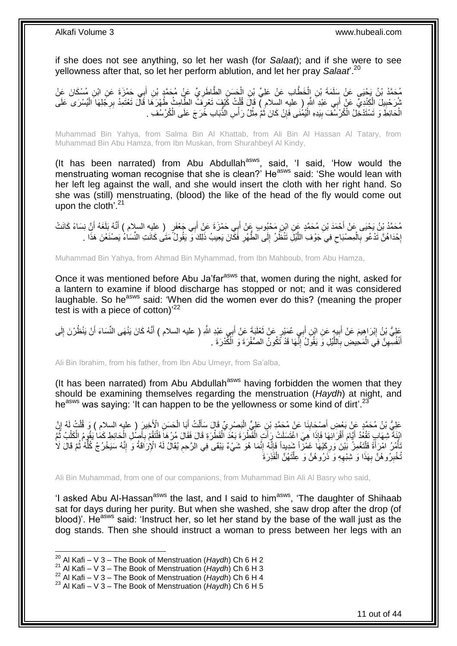if she does not see anything, so let her wash (for *Salaat*); and if she were to see yellowness after that, so let her perform ablution, and let her pray *Salaat*'.<sup>20</sup>

مُحَمَّدُ بْنُ يَحْيَى عَنْ سَلَمَةَ بْنِ إِلْخَطَّابِ عَنْ عَلِيٍّ بِْنِ الْحَسَنِ الطَّاطَرِيِّ عَنْ مُحَمَّدٍ بْنِ أَبِي حَمْزَةَ عَنِ ابْنِ مُسْكَانَ عَنْ ِ ْ ْ َ شُرَحْبِيلَ الْكِنْدِيِّ عَنْ أَبِي عَبْدِ النُّهِ ( عليه السلام ) قَالَ قُلْتُ كََيْفٍ تَعْرِفَ الطَّامِثُ طُهْرَهَا قَالَ تَعْتَمِدُ بِرِجْلِهَا الْيُسْرَى عَلَى ِ ْ ْ ِ ْ ِ الْحَائِطَ وَ تَسْتَدْخِّلُ الْكُرْسَفَ بِبَدِهِ الْيُمْنَى فَإِنْ كَانَ ثُمَّ مِثْلُ رَأْسِ الذَّبَابِ خَرَجَ عَلَى الْكُرْسُفِ . ْ **ٔ ٔ** ة<br>ا ِ ا<br>ا ِ

Muhammad Bin Yahya, from Salma Bin Al Khattab, from Ali Bin Al Hassan Al Tatary, from Muhammad Bin Abu Hamza, from Ibn Muskan, from Shurahbeyl Al Kindy,

(It has been narrated) from Abu Abdullah<sup>asws</sup>, said, 'I said, 'How would the menstruating woman recognise that she is clean?' He<sup>asws</sup> said: 'She would lean with her left leg against the wall, and she would insert the cloth with her right hand. So she was (still) menstruating, (blood) the like of the head of the fly would come out upon the cloth<sup>'.21</sup>

مُحَمَّدُ بْنُ يَحْيَى عَنْ أَحْمَدَ بْنِ مُحَمَّدٍ عَنِ ابْنِ مَحْبُوبٍ عَنْ أَبِي حَمْزَةَ عَنْ أَبِي جَعْفَر<br>مندمة بِنُ يَحْيَى عَنْ أَحْمَدَ بْنِ مُحَمَّدٍ عَنِّي ابْنُ مُحْبُوبٍ عَنْ أَبِي حَمْزَةَ عَنْ أَبِي جُعْفَر َ َ َ َ إِحْدَاهُنَّ تَدْعُو بِالْمِصْبَاحِ فِي جَوْفِ اللَّيْلِ تَنْظُرُ إِلَى الطُّهْرِ فَكَّانَ يَعِيبُ ذَلِكَ وَّ يَقُولُ مَتَنَى كَانَتِ النِّسَاءُ يَصْنَعْنَ هَذَا . **∶** ∣∣<br>∶ َّ  $\zeta$ ْ **∶** ِ

Muhammad Bin Yahya, from Ahmad Bin Myhammad, from Ibn Mahboub, from Abu Hamza,

Once it was mentioned before Abu Ja'far<sup>asws</sup> that, women during the night, asked for a lantern to examine if blood discharge has stopped or not; and it was considered laughable. So he<sup>asws</sup> said: 'When did the women ever do this? (meaning the proper test is with a piece of cotton)<sup>22</sup>

َ عَلِيُّ بْنُ إِبْرَاهِيمَ عَنْ أَبِيهٍ عَنِ ابْنِ أَبِي عُمَيْرٍ عَنْ تَعْلَيَةَ عَنْ أَبِي عَبْدِ اللَّهِ ( عليه السلام ) أَنَّهُ كَانَ يَنْهَى النِّسَاءَ أَنْ يَنْظُرْنَ إِلَى<br>وَمَمْ النَّسَاءَ أَنْ يَنْظُرْنَ إِلَى َ َ َ **!** َ ِ لَ ِ َ **∶** أَنْفُسِهِنَّ فِي الْمَحِيضِ بِاللَّيْلِ وَ يَقُولُ إِنَّهَا قَدْ تَكُونُ الصُّفْرَةَ وَ الْكُدْرَةَ . ْ ِ َ ֺ֧ׅ֧ׅ֧֧֚֚֚֚֚֚֚֚֚֚֚֚֚֚֚֚֚֝֝֬֓֡֡֡֡֡֡֡֬֓֡֟֓֡֟֓֡֟֓֡֡֡֬֓֡֡֬֩֓֓֬֩ َّ

Ali Bin Ibrahim, from his father, from Ibn Abu Umeyr, from Sa'alba,

(It has been narrated) from Abu Abdullah<sup>asws</sup> having forbidden the women that they should be examining themselves regarding the menstruation (*Haydh*) at night, and he<sup>asws</sup> was saying: 'It can happen to be the yellowness or some kind of dirt'.<sup>23</sup>

عَلِيُّ بْنُ مُحَمَّدٍ عَنْ بَعْضِ أَصِدَابِنَا عَنْ مُحَمَّدِ بْنِ عَلِيٍّ الْبَصْرِيِّ قَالَ سَأَلْتُ أَبَا الْحَسَنِ الْأَخِيرَ ( عليه السلام ) وَ قُلْتُ أَمُ إِنَّ ْ َ ْ َ ِ :<br>ا **!** َ ِ ْ انْفَةٌ شِهَابٍ تَقْعُدُ أَيَّامَ أَقْرَابَهَا فَإِذَا هِيَ اغْتَسَلَتْ رَأَتٍ الْقَطْرَةَ بَعْدَ الْقَطْرَةِ قَالَ فَقَالَ مُرْهَا فَلْتَقُمْ بِأَصْلِ الْحَائِطِ كَمَا يَقُومُ الْكَلْبُ ثَمَّ ْ َ َ َ ُ ْ ْ ْ َ ِ ْ ْ ِّأُمُرُ امْرَأَةً فَأَنَّغُوزُ بَيْنَ وَرِكَيْهَا غَمْزَاً فَإِنَّهُ إِنَّمَا هُوَ شَيْءٌ يَبْقَى فِي الرَّحِمِ يُقَالُ لَهُ الْإِرَاقَةُ وَ إِنَّهُ سَيَخْرُجُ كُلَّهُ ثُمَّ قَالَ لَا<br>أَيُمْرُ امْرَأَةً فَأَنَعُوزُ دِمِي ِ ِ ِ ْ ا<br>ا ْ ِ ر<br>ا ُّ ِ ُخْبِرُوهُنَّ بِهَذَا وَ شِبْهِهِ وَ ذَرُوهُنَّ وَ عِلَّتَهُنَّ الْقَذِرَةَ ْ َّ ِ **∶** ِ

Ali Bin Muhammad, from one of our companions, from Muhammad Bin Ali Al Basry who said,

'I asked Abu Al-Hassan<sup>asws</sup> the last, and I said to him<sup>asws</sup>, 'The daughter of Shihaab sat for days during her purity. But when she washed, she saw drop after the drop (of blood)'. He<sup>asws</sup> said: 'Instruct her, so let her stand by the base of the wall just as the dog stands. Then she should instruct a woman to press between her legs with an

 $\overline{a}$ 

<sup>20</sup> Al Kafi – V 3 – The Book of Menstruation (*Haydh*) Ch 6 H 2

<sup>&</sup>lt;sup>21</sup> Al Kafi – V 3 – The Book of Menstruation (*Haydh*) Ch 6 H 3

<sup>&</sup>lt;sup>22</sup> Al Kafi – V 3 – The Book of Menstruation (*Haydh*) Ch 6 H 4

<sup>23</sup> Al Kafi – V 3 – The Book of Menstruation (*Haydh*) Ch 6 H 5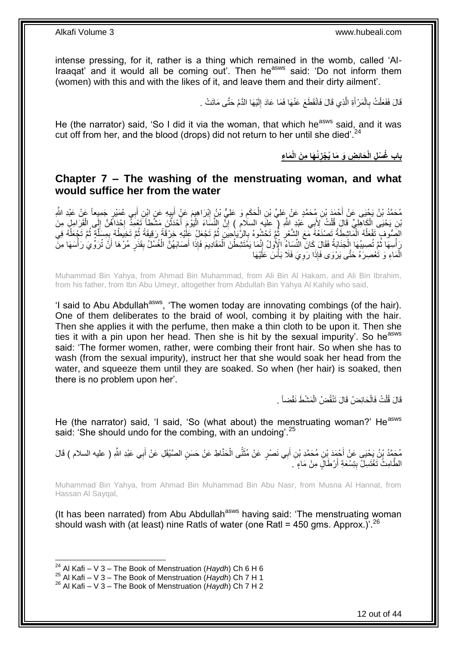intense pressing, for it, rather is a thing which remained in the womb, called 'Al-Iraaqat' and it would all be coming out'. Then he<sup>asws</sup> said: 'Do not inform them (women) with this and with the likes of it, and leave them and their dirty ailment'.

> قَالَ فَفَعَلْتُ بِالْمَرْ أَةِ الَّذِي قَالَ فَانْقَطَعَ عَنْهَا فَمَا عَادَ إِلَيْهَا الذَّمُ حَتَّى مَاتَتْ لَ ِ َّ َ ْ **∶** ْ

He (the narrator) said, 'So I did it via the woman, that which he<sup>asws</sup> said, and it was cut off from her, and the blood (drops) did not return to her until she died'.<sup>24</sup>

> **َما ِء ُئ َها ِم َن الْ َحائِ ِض َو َما ُي ْجز باب ُغ ْس ِل الْ ِ**

### <span id="page-11-0"></span>**Chapter 7 – The washing of the menstruating woman, and what would suffice her from the water**

يُحَدِّدُ بْنُ يَجْنِي عَنْ أَحْمَدَ بْنِ مُحَمَّدٍ عَنْ عَلِيٍّ بْنِ الْحَكَمِ وَ عَلِيُّ بْنُ إِبْرَاهِيمَ عَنْ أَبِيهِ عَنِ ابْنِ أَبِي عُمَيْرٍ جَمِيعاً عَنْ عَبْدِ اللَّهِ ِ َ ِ ِ ْ َ َّنِ يَحْيَى الْكَاهِلِيِّ قَالَ قُلْتُ لِأَبِي عَبْدِ اللَّهِ ( عِلَيه السلامِ ) إِنَّ النِّسَاءَ الْيَوْمَ أَحْدَثْنَ مَشَّطاً تَعْمِدُ بِحْدَاهُنَّ إِلَى الْقَرَامِلِ مِنَ ْ ْ ْ ِ ا.<br>: ْ َ ْ ِ الصِّوف ِتَفْعَلُهُ الْمَاشِطَةُ تَصنَعُهُ مَعَ الشَّعْرِ ثُمَّ تَحْشُوهُ بِالرَّيَاجِيَنِ ثُمَّ تَجْعَلُ عَلْيُهِ خِرْقَةً رَقِيقَةً ثُمَّ تَخِيطُهُ بِمِسَلَّةٍ ثُمَّ تَجْعَلُهُ فِي ان<br>المقام ِ  $\ddot{\ddot{\cdot}}$ **∶** ْ ٔ<br>ا ر<br>ا َّ ∫<br>∶ ُ ا<br>ا رَ أُسِهَا ثُمَّ تُصِيبُهَا إِلْجَذَابَةُ فَقَالَ كَانَ النِّسَاءُ الْإِكْرَلُ إِنَّمَا يَمُّتَثَّنِطْنَ الْمَقَادِيمَ فَإِذَا أَصَابَهُنَّ الْغُسْلُ بِقَذَرٍ مُرْهَا أَنَّ تُرَوِّيَ رَأْسَهَا مِنَّ َ ْ ِ ْ ٔ<br>ـ ة<br>أ َ ِ ْ الْمَاءِ وَ تَٰعْصِرَهُ حَتَّى يَرْوَى فَإِذَا رَوِيَ فَلَا بَأْسَ عَلَيْهَا ْ **ٔ ∶** 

Muhammad Bin Yahya, from Ahmad Bin Muhammad, from Ali Bin Al Hakam, and Ali Bin Ibrahim, from his father, from Ibn Abu Umeyr, altogether from Abdullah Bin Yahya Al Kahily who said,

'I said to Abu Abdullah<sup>asws</sup>, 'The women today are innovating combings (of the hair). One of them deliberates to the braid of wool, combing it by plaiting with the hair. Then she applies it with the perfume, then make a thin cloth to be upon it. Then she ties it with a pin upon her head. Then she is hit by the sexual impurity'. So he<sup>asws</sup> said: 'The former women, rather, were combing their front hair. So when she has to wash (from the sexual impurity), instruct her that she would soak her head from the water, and squeeze them until they are soaked. So when (her hair) is soaked, then there is no problem upon her'.

> قَالَ قُلْتُ فَالْحَائِضُ قَالَ نَنْقُضُ الْمَشْطَ نَقْضاً . ْ ْ ْ

He (the narrator) said, 'I said, 'So (what about) the menstruating woman?' He<sup>asws</sup> said: 'She should undo for the combing, with an undoing'.<sup>25</sup>

مُحَمَّدُ بْنُ يَحْيَى عَنْ أَحْمَدَ بْنِ مُحَمَّدِ بْنِ أَبِي نَصْرٍ عَنْ مُثَنًّى الْحَنَّاطِ عَنْ حَسَنٍ الصَّيْقَلِ عَنْ أَبِي عَبْدِ اللَّهِ ( عليه السلام ) قَالَ ْ ..**.** cu َ َ َ الطُّامِثُ تَغْتَسِلُّ بِتِسْعَةِ أَرْطَالٍَ مِنْ مَاءٍ َ َ

Muhammad Bin Yahya, from Ahmad Bin Muhammad Bin Abu Nasr, from Musna Al Hannat, from Hassan Al Sayqal,

(It has been narrated) from Abu Abdullah<sup>asws</sup> having said: 'The menstruating woman should wash with (at least) nine Ratls of water (one Ratl = 450 gms. Approx.)<sup>'.26</sup>

<sup>1</sup> <sup>24</sup> Al Kafi – V 3 – The Book of Menstruation (*Haydh*) Ch 6 H 6

<sup>&</sup>lt;sup>25</sup> Al Kafi – V 3 – The Book of Menstruation (*Haydh*) Ch 7 H 1

<sup>26</sup> Al Kafi – V 3 – The Book of Menstruation (*Haydh*) Ch 7 H 2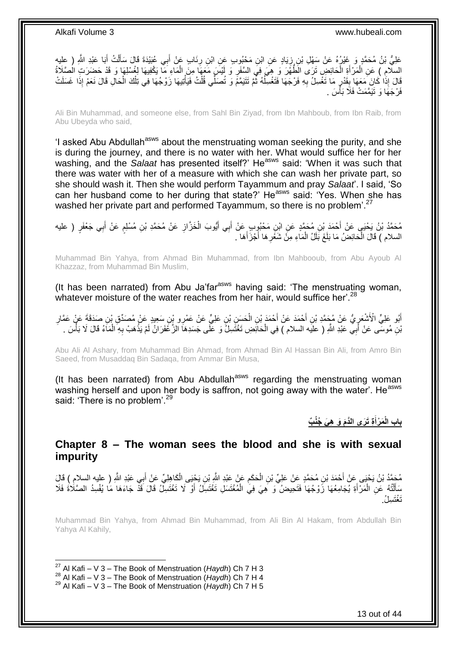عَلِيُّ بْنُ مُحَمَّدٍ وَ غَيْرُهُ عَنْ سَهْلِ بْنِ زِيَادٍ عَنِ ابْنِ مَحْبُوبِ عَنِ ابْنِ رِنَابٍ عَنْ أَبِي عُبَيْدَةَ قَالَ سَأَلْتُ أَبَا عَبْدِ اللَّهِ ( عِلِيه َ **∶** ֦֧֦֦֦֦֦֦֦֦֦֝֝֝֝֜ َ ْ اً ا السِلَّامِ ﴾ عَنِ اَلْمَرْ أَةِ الْحَائِضِ تَرَى الْطُهْْرَ وَ هِيَ فِي السَّفَرِ وَ لَيْسَ مَعَهَا مِنَ المَاءِ مَا يَكْفِيهَا لِغُسْلِهَا وَ قَدْ حَضَرَتِ الْصَّلَاةُ ْ َ ْ ْ ِ َفَالَ إِذَا كَانَ مَعَهَا بِقَدْرٍ مَا تَغْسِلُ بِهِ فَرْجَهَا فَتَغْسِلُهُ ثُمَّ تَتَيَمَّمُ وَ تُصَلِّي قُلْتُ فَيَأْتِيهَا زَوْجُهَا فِي تِلْكَ الْحَالِ قَالَ نَعَمْ إِذَا غَسَلَتْ ْ ْ الم المعامل المسلمات المسلمات المسلمات المسلمات المسلمات المسلمات المسلمات المسلمات المسلمات المسلمات المسلمات<br>المسلمات المسلمات المسلمات المسلمات المسلمات المسلمات المسلمات المسلمات المسلمات المسلمات المسلمات المسلمات ال ُ ِ ِ **ِ** ْ ْ فَرْجَهَا وَ تَيَمَّمَتْ فَلَا بَأْسَ . ا<br>ا

Ali Bin Muhammad, and someone else, from Sahl Bin Ziyad, from Ibn Mahboub, from Ibn Raib, from Abu Ubeyda who said,

'I asked Abu Abdullah<sup>asws</sup> about the menstruating woman seeking the purity, and she is during the journey, and there is no water with her. What would suffice her for her washing, and the *Salaat* has presented itself?' He<sup>asws</sup> said: 'When it was such that there was water with her of a measure with which she can wash her private part, so she should wash it. Then she would perform Tayammum and pray *Salaat*'. I said, 'So can her husband come to her during that state?' He<sup>asws</sup> said: 'Yes. When she has washed her private part and performed Tayammum, so there is no problem<sup>'.27</sup>

مُحَمَّدُ بْنُ يَحْيَى عَنْ أَحْمَدَ بْنِ مُحَمَّدٍ عَنِ ابْنِ مَحْبُوبٍ عَنْ أَبِي أَيُّوبَ الْخَزَّازِ عَنْ مُحَمَّدِ بْنِ مُسْلِمٍ عَنْ أَبِي جَعْفَرٍ ( عليه ِ ْ َ َ َ ֧֖֖֖֖֧֧֧֧֦֧ׅ֧֧ׅ֧֛֧ׅ֧֛֛֛֚֚֚֚֚֚֚֚֓֝֝֬֝֟֓֝֓֝֓֝֓֜֟֓֟֓֝֬֜֓֜֜֡֓֜֜֜ السلام ) قَالَ الْحَائِضُ مَا بَلَغَ بَلَلُ الْمَاءِ مِنَّ شَغْرِهَا أَجْزَأُهَا . َ ِ ْ ْ

Muhammad Bin Yahya, from Ahmad Bin Muhammad, from Ibn Mahbooub, from Abu Ayoub Al Khazzaz, from Muhammad Bin Muslim,

(It has been narrated) from Abu Ja'far<sup>asws</sup> having said: 'The menstruating woman, whatever moisture of the water reaches from her hair, would suffice her'.<sup>28</sup>

أَبُو عَلِيٍّ الْأَشْعَرِيُّ عَنْ مُحَمَّدِ بْنِ أَحْمَدَ عَنْ أَحْمَدَ بْنِ الْحَسَنِ بْنِ عَلِيٍّ عَنْ عَمْرِ وِنْنِ سَعِيدِ عَنْ مُصَدِّقٍ بْنِ صَدَقَةَ عَنْ عَمَّارِ ْ َ َ ِ َ ِ بْنِ مُوسَّى عَنْ أَبِيّ عَبْدِ اللَّهِ ( عليَه السلام ) فِي الْحَانَِضِ تَغْتَسِلُ وَ عَلَى جَسَدِهَا الزَّعْفَرَانُ لَمْ يَذْهَبْ بِهِ الْمَاءُ قَالَ لَا بَأْسَ . ْ َ ْ ْ ِ **ٔ** 

Abu Ali Al Ashary, from Muhammad Bin Ahmad, from Ahmad Bin Al Hassan Bin Ali, from Amro Bin Saeed, from Musaddaq Bin Sadaqa, from Ammar Bin Musa,

(It has been narrated) from Abu Abdullah<sup>asws</sup> regarding the menstruating woman washing herself and upon her body is saffron, not going away with the water'. He<sup>asws</sup> said: 'There is no problem'.<sup>29</sup>

> **ِة َت َرى الَّدَم َو ِه َي ُجُن ب َم ْرأ باب الْ َ**

<span id="page-12-0"></span>**Chapter 8 – The woman sees the blood and she is with sexual impurity**

مُحَمَّدُ بْنُ يَحْيَى عَنْ أَحْمَدَ بْنِ مُحَمَّدٍ عَنْ عَلِيِّ بْنِ الْحَكَمِ عَنْ عَبْدِ اللَّهِ بِّنِ يَحْي<br>مُعَمَّدُ بْنُ يَحْيَى عَنْ أَحْمَدَ بْنِ مُحَمَّدٍ عَنْ عَلِيِّ بْنِ الْحَكَمِ عَنْ عَبْدِ اللَّهِ بِّنِ يَح ْ ِ ْ َ مَأَلْتُهُ عَنِ الْمَرْأَةِ يُجَامِعُهَا زَوْجُهَا فَتَحِيضُ وَ هِيَ فِيَ الْمُغْتَسَلِ تَغْتَسِلُ أَوْ لَا تَغْتَسِلُ قَالَ قَذْ جَاءَهَا مَا يُفْسِدُ الصَّلَاةَ فَلَا َ ْ ֺ֦֧֦֧֦֧֦֧֦֧֦֦֦֦֦֦֦֦֦֧֦֧֦֪֪֦֪֦֪֪֦֝֟֟֓֕֟֓֓֟֓֓֞֟֓֟֓֓֞֟֓֞֓֞֓֞֓֞֟֓֡֟֓֡֟֓֡֟֓֡֟֓֡֟֓֞֓֞֓֞֓֓֞֟֓֟֓֟֓֞֟֟֟ َ َ ْ تَغْتَسا ُ

Muhammad Bin Yahya, from Ahmad Bin Muhammad, from Ali Bin Al Hakam, from Abdullah Bin Yahya Al Kahily,

<sup>27</sup> Al Kafi – V 3 – The Book of Menstruation (*Haydh*) Ch 7 H 3

<sup>&</sup>lt;sup>28</sup> Al Kafi – V 3 – The Book of Menstruation (*Haydh*) Ch 7 H 4

<sup>29</sup> Al Kafi – V 3 – The Book of Menstruation (*Haydh*) Ch 7 H 5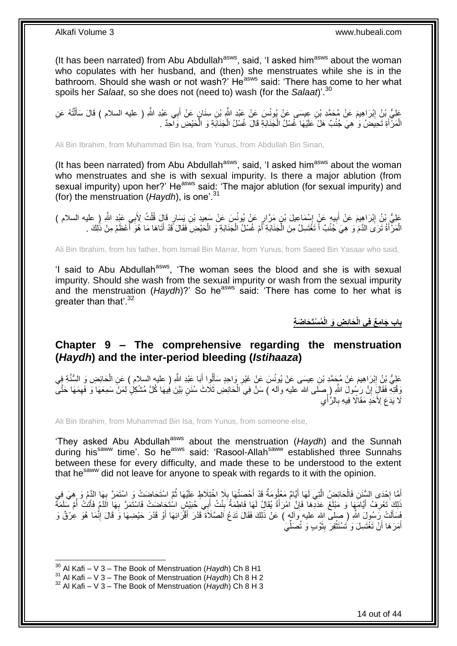(It has been narrated) from Abu Abdullah $a<sup>asws</sup>$ , said, 'I asked him $a<sup>asws</sup>$  about the woman who copulates with her husband, and (then) she menstruates while she is in the bathroom. Should she wash or not wash?' He<sup>asws</sup> said: 'There has come to her what spoils her *Salaat*, so she does not (need to) wash (for the *Salaat*)'.<sup>30</sup>

عَلِيُّ بِنُ إِبْرَاهِيمَ عَنْ مُحَمَّدِ بْنِ عِيسَى عَنْ بُونُسَ عَنْ عَبْدِ اللَّهِ بْنِ سِنَانٍ عَنْ أَبِي عَبْدِ اللَّهِ ( عليه السلام ) قَالَ سَأَلْتُهُ عَنِ َ ِ ْ َ الْمَرّْأَةِ تَحِيضُ وَ هِيَ جُنُبٌ هَلْ عَلَيْهَا غُسْلُ الْجَذَابَةِ قَالَ غُسْلُ الْجَذَابَةِ وَ الْحَيْضِ وَالحِدّ َ ْ ْ ْ ْ

Ali Bin Ibrahim, from Muhammad Bin Isa, from Yunus, from Abdullah Bin Sinan,

(It has been narrated) from Abu Abdullah $a_{\text{sws}}$ , said, 'I asked him $a_{\text{sws}}$  about the woman who menstruates and she is with sexual impurity. Is there a major ablution (from sexual impurity) upon her?' He<sup>asws</sup> said: 'The major ablution (for sexual impurity) and (for) the menstruation (*Haydh*), is one'.<sup>31</sup>

عَلِيُّ بْنُ إِبْرَاهِيمَ عَنْ أَبِيهِ عَنْ إِسْمَاعِيلَ بْنِ مَرَّارٍ عَنْ يُونُسَ عَنْ سَعِيدِ بْنِ يَسَارِ قَالَ قُلْتُ لِأَبِي عَيْدِ اللَّهِ ( عليه السلام ) **!** َ ِ ْ  $\frac{1}{2}$ َ الْمَرْأَةُ تَرَى الدَّمَ وَ هِيَ جُنُبٌ أَ تَغْتَسِلُ مِنَ الْجَنَابَةِ أَمْ غُسْلُ الْجَنَابَةِ وَ الْحَيْضِ فَقَالَ قَدْ أَتَاهَا مَا هُوَ أَعْظَمُ مِنْ ذَٰلِكَ . ْ ْ ا<br>ا ْ ا<br>ا َ ْ َ

Ali Bin Ibrahim, from his father, from Ismail Bin Marrar, from Yunus, from Saeed Bin Yasaar who said,

'I said to Abu Abdullah<sup>asws</sup>, 'The woman sees the blood and she is with sexual impurity. Should she wash from the sexual impurity or wash from the sexual impurity and the menstruation (*Haydh*)?' So he<sup>asws</sup> said: 'There has come to her what is greater than that'.<sup>32</sup>

**ُم ْسَت َحا َض ِة َحاِئ ِض َو الْ باب َجا ِم ع فِي الْ**

### <span id="page-13-0"></span>**Chapter 9 – The comprehensive regarding the menstruation (***Haydh***) and the inter-period bleeding (***Istihaaza***)**

عَلِيُّ بْنُ إِبْرَاهِيمَ عَنْ مُجَمَّدِ بْنِ عِيسَى عَنْ يُونُسَ عَنْ غَيْرِ وَاحِدٍ سَأَلُوا أَبَا عَنْدِ اللَّهِ ( عليه السلام ) عَنِ الْحَائِضِ وَ السُّنَّةِ فِي َ َ ِ ِ ْ وَقْتِهِ فَقَالٍٓ إِنَّ رَسُولَ اللّهِ ( صَلَّى الله عليه وأله ) سَنَّ فِيَ الْحَائِضِ ثَلَاثَ سُنَنٍ بَيَّنَ فِيهَا كُلَّ مُشْكِلٍۢ لِمَنْ سَمِعَهَا وَ فَهِمَهَا حَتَّى ا ِ ْ  $\ddot{\phantom{0}}$ َلَا يَدَعَ لِأَحَدٍّ مَقَالًا ۖ فِيهِ بِالرُّأْيِ ْ ِ

Ali Bin Ibrahim, from Muhammad Bin Isa, from Yunus, from someone else,

'They asked Abu Abdullah<sup>asws</sup> about the menstruation (Haydh) and the Sunnah during his<sup>saww</sup> time'. So he<sup>asws</sup> said: 'Rasool-Allah<sup>saww</sup> established three Sunnahs between these for every difficulty, and made these to be understood to the extent that he<sup>saww</sup> did not leave for anyone to speak with regards to it with the opinion.

أَهَّا إِحْدَى السُّنَنِ فَالْحَائِضِ الَّتِي لَهَا أَيَّامٌ مَعْلُومَةٌ قَدْ أَحْصَنْهَا بِلَا اخْتِلَاطٍ عَلَيْهَا ثُمَّ اسْتَحَاضَتْ وَ اسْتَمَرَّ بِهَا النَّهُم وَ ,هِيَ فِي فِي<br>نَذِي الْمَسْئَمَرَ السُّنَيْنِ فَالْحَ ُ ِ َ َ َّ ْ ┆ ِ َنَاكَ تَعْرِفُ أَيَّامَهَا وَ مَبْلَغَ عَدَدَّهَا فَإِنَّ امْرَأَةً يُقَالُ لَهَا فَاطِمَةُ بِنْتُ أَبِي حُبَيْشٍ اسْتَحَاضَتْ فَاسْتَمَرَّ بِهَا الَدَّمُ فَأَتَتْ أُمَّ سَلَمَةً َ ِ َ ِ َ ِ َ ِ ُ فَسَأَلَتْ رَسُولَ اللَّهِ ( صلى الله عليه وآله ) عَنْ ذَلِكَ فَقَالَ تَدَعُ اَلصَّلَاةَ قَدْرَ أَقْرَائِهَا أَوْ قَدْرَ حَيْضِهَا وَ قَالَ إِنَّمَا هُوَ عِرْقٌ وَ َ َ َ ِ أَمَرَ هَا أَنْ تَغْتَسِلَ وَ تَسْتَثْفِرَ بِثَوْبٍ وَ تُصَلِّيَ ِّ َ **!** ْ َ َ

<sup>1</sup> <sup>30</sup> Al Kafi – V 3 – The Book of Menstruation (*Haydh*) Ch 8 H1

<sup>&</sup>lt;sup>31</sup> Al Kafi – V 3 – The Book of Menstruation (*Haydh*) Ch 8 H 2

<sup>32</sup> Al Kafi – V 3 – The Book of Menstruation (*Haydh*) Ch 8 H 3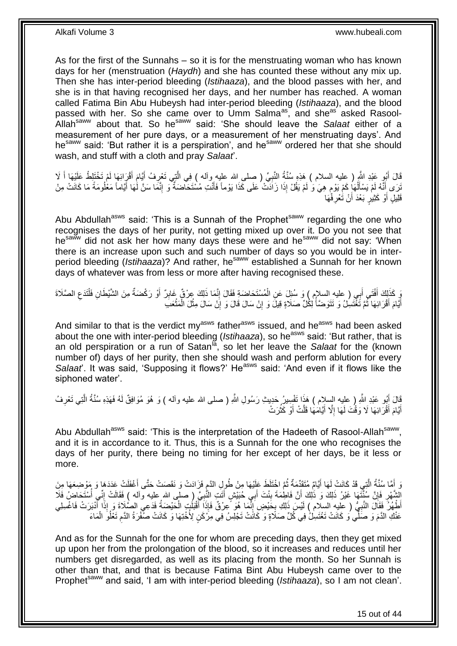As for the first of the Sunnahs – so it is for the menstruating woman who has known days for her (menstruation (*Haydh*) and she has counted these without any mix up. Then she has inter-period bleeding (*Istihaaza*), and the blood passes with her, and she is in that having recognised her days, and her number has reached. A woman called Fatima Bin Abu Hubeysh had inter-period bleeding (*Istihaaza*), and the blood passed with her. So she came over to Umm Salma<sup>as</sup>, and she<sup>as asked Rasool-</sup> Allahsaww about that. So hesaww said: 'She should leave the *Salaat* either of a measurement of her pure days, or a measurement of her menstruating days'. And he<sup>saww</sup> said: 'But rather it is a perspiration', and he<sup>saww</sup> ordered her that she should wash, and stuff with a cloth and pray *Salaat*'.

قَالَ أَبُو عَبْدِ اللَّهِ ( عليه السلام ) هَذِهِ سُنَّةُ النَّبِيِّ ( صلى الله عليه وآله ) فِي الَّتِي تَعْرِفُ أَيَّامَ أَقْرَائِهَا لَمْ تَخْتَلِطْ عَلَيْهَا أَ لَا َ َ ِ َّ ِ َ ِ َنَّنَ وَ أَنَّهُ لَمْ يَسْأَلُهَا كَمْ يَوْمٍ هِيَ وَ لَمْ يَقُلْ إِذَا زَاَدَتْ عَلَى كَذَا يَوْماً فَأَنْتِ مُسْتَحَاضَةٌ وَ إِنَّمَا سَنَّ لَٰهَا أَيَّاماً مَعْلُومَةً مَا كَانَتْ مِنْ َ ٍ ْ َ َ َ قَلِيلٍ أَوْ كَثِيرٍ بَعْدَ أَنْ تَعْرِفَهَا ِ اُ َ

Abu Abdullah<sup>asws</sup> said: 'This is a Sunnah of the Prophet<sup>saww</sup> regarding the one who recognises the days of her purity, not getting mixed up over it. Do you not see that hesaww did not ask her how many days these were and hesaww did not say: 'When there is an increase upon such and such number of days so you would be in interperiod bleeding (*Istihaaza*)? And rather, he<sup>saww</sup> established a Sunnah for her known days of whatever was from less or more after having recognised these.

رَ كَذَلِكَ أَفْتَى أَبِي ( عليهِ السلام ) وَ سُئِلَ عَنِ الْمُسْتَحَاضَةِ فَقَالَ إِنَّمَا ذَلِكَ عِرْقٌ غَابِرٌ أَوْ رَكْضَةٌ مِنَ الشَّيْطَانِ فَلْتَدَعِ الصَّلَاةَ َ َ ِ ْ َ ِ ِ ْ أَيَّامَ أَقْرَائِهَا ثُمَّ تَغْتَسِلُ وَ تَتَوَضَّأُ لِكُلِّ صَلَاةٍ قِيلَ وَ إِنْ سَالَ قَالَ وَ إِنْ سَالَ مِثْلَ الْمَثْعَبَ ْ ِ ِ المناطقي.<br>المناطقين ُ َ ْ ْ

And similar to that is the verdict my<sup>asws</sup> father<sup>asws</sup> issued, and he<sup>asws</sup> had been asked about the one with inter-period bleeding (*Istihaaza*), so heasws said: 'But rather, that is an old perspiration or a run of Satan<sup>la</sup>, so let her leave the *Salaat* for the (known number of) days of her purity, then she should wash and perform ablution for every *Salaat*. It was said, 'Supposing it flows?' He<sup>asws</sup> said: 'And even if it flows like the siphoned water'.

قَالَ أَبُو عَبْدِ اللَّهِ ( عليه السِلام ) هَذَا تَفْسِيرُ حَدِيثِ رَسُولِ اللَّهِ ( صلى الله عليه وأله ) وَ هُوَ مُوَافِقٌ لَمُهُ فَهَذِهِ سُنَّةُ الَّتِي تَعْرِفُ ِ َّ أَيَّامَ أَقْرَائِهَا لَا وَقْتَ لَهَا إِلَّا أَيَّامَهَا قَلَّتْ أَوْ كَثُرَتْ ُ َ ِ َ َ

Abu Abdullah<sup>asws</sup> said: 'This is the interpretation of the Hadeeth of Rasool-Allah<sup>saww</sup>, and it is in accordance to it. Thus, this is a Sunnah for the one who recognises the days of her purity, there being no timing for her except of her days, be it less or more.

وَ أَمَّا سُنَّةُ الَّتِي قَدْ كَانَتْ لَهَا أَيَّامٌ مُتَقَدِّمَةٌ ثُمَّ اخْتَلَطَ عَلَيْهَا مِنْ طُولِ الدَّمِ فَزَادَتْ وَ نَقَصَتْ حَتَّى أَغْفَلَتْ عَدَدَهَا وَ مَوْضِعَهَا مِنَ َ ِ ُ َ َّ َ لِشَّهْرِ فَإِنَّ سُنَّتَهَا غَيْرُ ذَلِكَ وَ ذَلِكَ أَنَّ فَاطِمَةَ بِنْتَ أَبِي حُبَيْشٍ أَتَتِ النَّبِيَّ (صلى الله عليه وآله ) فَقَالَتْ إِنِّي أَسْتَحَاضُ فَلَا َ ِ ِ ِ ِ ِ َ أَطْهُلُّ فَقَالَ النَّبِيُّ ( عَلِيهِ السِلَام ) لَيْسَ ذَلِكِ بِخَيْضٍ إِنَّمَا هُوَ عَرْقٌ فَإِذَا أَقْبَلُتٍ الْخَيْضِيَةُ فَدَعِي الصُّلَاةَ وَ إِذَا أَنْذَرَتْ فَاغْسِلِي ْ َ ِ ِ ِ َ عَنْكِ الدَّمَ وَ صَلِّي وَ كَانَتْ تَغْتَسِلُ فِي كُلِّ صَلَاةٍ وَ كَانَتْ تَجْلِسُ فِي مِزْكَنٍ لِأُخْتِهَا وَ كَانَتْ صُفْرَةُ الدَّمِ تَغْلُو الْمَاءَ ْ ِ

And as for the Sunnah for the one for whom are preceding days, then they get mixed up upon her from the prolongation of the blood, so it increases and reduces until her numbers get disregarded, as well as its placing from the month. So her Sunnah is other than that, and that is because Fatima Bint Abu Hubeysh came over to the Prophet<sup>saww</sup> and said, 'I am with inter-period bleeding (*Istihaaza*), so I am not clean'.

15 out of 44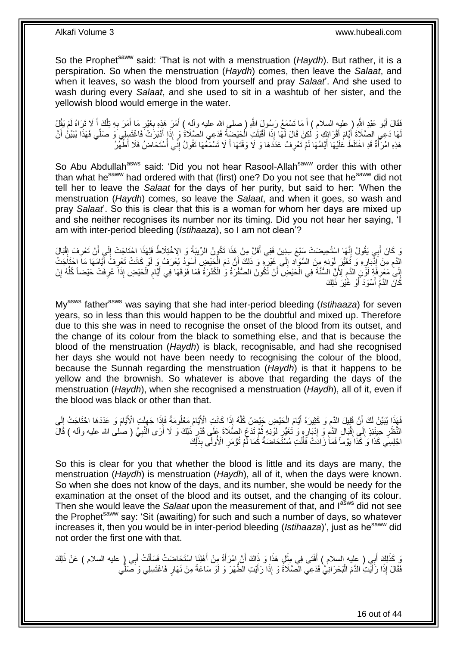So the Prophet<sup>saww</sup> said: 'That is not with a menstruation (*Haydh*). But rather, it is a perspiration. So when the menstruation (*Haydh*) comes, then leave the *Salaat*, and when it leaves, so wash the blood from yourself and pray *Salaat*'. And she used to wash during every *Salaat*, and she used to sit in a washtub of her sister, and the yellowish blood would emerge in the water.

فَقَالَ أَبُو عَبْدِ اللّهِ ( عليهِ السلام ) أَ مَا تَسْمَعُ رَسُولَ اللّهِ ( صلى الله عليه وأله ) أَمَرَ هَذِهِ بِغَيْرِ مَا أَمَرَ بِهِ تِلْكَ أَ لَا تَزِاهُ لَمْ يَقُلْ ِ **∶** َ َ َ ْ **∶** َ لَمَا دَعِي الصَّلَاةَ أَقْرَائِكِ وَ لَكِنْ قَالَ لَمَّا إِذَا أَقْبَلَتِ الْحَيْضَبَةُ فَدَعِي الصَّلَاةُ وَ إِذَا أَنْبَرَتْ فَاغْتَبِلِي وَ صَلِّي فَهَذَا يُبَيِّنُ أَنَّ َ َ َ َ َ ْ هَذِهِ امْرَآَةٌ قَدِ اخْتَلَطَ عَلَيْهَا أَيَّامُهَا لَمْ تَعْرِفْ عَدَدَهَا وَ لَا وَقْتَهَا أَ لَا تَسْمَعُهَا تَقُولُ إِنَّيَ أُسْتَحَاضُ فَلَا أَطْهُرُ ِ َ **∶** َ ا<br>أ

So Abu Abdullah<sup>asws</sup> said: 'Did you not hear Rasool-Allah<sup>saww</sup> order this with other than what hesaww had ordered with that (first) one? Do you not see that hesaww did not tell her to leave the *Salaat* for the days of her purity, but said to her: 'When the menstruation (*Haydh*) comes, so leave the *Salaat*, and when it goes, so wash and pray *Salaat*'. So this is clear that this is a woman for whom her days are mixed up and she neither recognises its number nor its timing. Did you not hear her saying, 'I am with inter-period bleeding (*Istihaaza*), so I am not clean'?

وَ كَانَ أَبِي يَقُولُ إِنَّهَا اسْتُحِيضَتْ سَنْعَ سِنِينَ فَفِي أَقَلَّ مِنْ هَذَا تَكُونُ الرِّيبَةُ وَ الاِخْتِلَاطُ فَلِهَذَا اِحْتَاجَتْ إِلَى أَنْ تَعْرِفَ إِقْبَالَ َ ِ َ ِ ِ َ ِ الِّدَمِ مِنْ إِنَّذَارِهِ وَ تَغَيُّرَ لَوْنِهِ مِنَ السَّوَادِ إِلَى غَيْرٍ وَ ذَلِكَ أَنَّ دَمَ الْجَيْضِ أَسْوَدُ يُعْرَفُ وَ لَوْ كَانَتْ تَعْرِفُ أَيَّامَهَا مَاَ احْتَاجَتْ ِ ِ ِ ∣اد<br>∶ ِ َ ِ َ ْ َ إِلَىٰ مَعْرِفَةٍ لَوِّنٍ الدَّمِ لِأَنَّ السُّنَّةَ فِي الْحَيْضِ ۖ أَنْ تَكُونَ الصُّفْرَةُ وَ الْكُذْرَةُ فَمَا فَوْقَهَا فِي أَيَّامِ الْحَيْضِ إِذَا َ عُرِفَتْ حَيْضاً كُلُّهُ إِنْ َ ْ ِ ِ ِ ِ ْ ِ ِ ُّ كَانَ الذَّمَّ أَسْوَدَ أَوْ غَيْرَ ذَلِكَ َ

My<sup>asws</sup> father<sup>asws</sup> was saying that she had inter-period bleeding (*Istihaaza*) for seven years, so in less than this would happen to be the doubtful and mixed up. Therefore due to this she was in need to recognise the onset of the blood from its outset, and the change of its colour from the black to something else, and that is because the blood of the menstruation (*Haydh*) is black, recognisable, and had she recognised her days she would not have been needy to recognising the colour of the blood, because the Sunnah regarding the menstruation (*Haydh*) is that it happens to be yellow and the brownish. So whatever is above that regarding the days of the menstruation (*Haydh*), when she recognised a menstruation (*Haydh*), all of it, even if the blood was black or other than that.

ا<br>ا فَهَذَا يُبَيِّنُ لَكَ أَنَّ قَلِيلَ الدَّمِ وَ كَثِيرَهُ أَيَّامَ الْحَيْضِ حَيْضٌ كُلَّهُ إِذَا كَانَتِ الْأَيَّامُ مَعْلُومَةً فَإِذَا جَهِلَتِ الْأَيَّامَ وَ عَدَدَهَا احْتَاجَتْ إِلَى َّ ْ َ ِ ِ لَ ِ النَّظَرِ حِينَئِذٍ إِلَى إِقْبَالِ الذَّمِ وَ إِدْبَارِ وِ وَ تَغَيُّرٍ لَوْنِهِ ثُمَّ تَدَعُ الصَّلَاةَ بِجَلَى قَدْرِ ذَلِكَ وَ لَا أَرَى النَّبِيَّ ( صلى الله عليه وآله ) قَالَ ِ ان<br>المقام لَ ِ ِ ِ ِ ِ  $\frac{1}{2}$ ِ ِ َ اجْلِسِي كَذَا ۚ وَ كَذَا يَوْماً فَمَا ٰ زَّادَتْ فَأَنْتِ مُسْتَّحَاضَنَٰةٌ كَٰمَا لَمْ تُؤْمَرِ ۚ الْأُولَى بِذَلِّكَ **∶** َ

So this is clear for you that whether the blood is little and its days are many, the menstruation (*Haydh*) is menstruation (*Haydh*), all of it, when the days were known. So when she does not know of the days, and its number, she would be needy for the examination at the onset of the blood and its outset, and the changing of its colour. Then she would leave the *Salaat* upon the measurement of that, and lasws did not see the Prophet<sup>saww</sup> say: 'Sit (awaiting) for such and such a number of days, so whatever increases it, then you would be in inter-period bleeding (*Istihaaza*)', just as he<sup>saww</sup> did not order the first one with that.

يَ كَذَلِكَ أَبِي ( عليه السلام ) أَفْتَى فِي مِثْلِ هَذَا وَ ذَاكَ أَنَّ إمْرَأَةً مِنْ أَهْلِنَا اسْتَحَاضَتْ فَسَأَلَتْ أَبِي (ٍ عليه السلام ) عَنْ ذَلِكَ َ َ ĺ َ اُ ْ َ فَقَالَ إِذَا رَأَيْتِ الدَّمَ الْبَحْرَانِيُّ فَدَعِي الصَّلَاةَ وَ إِذَا رَأَيْتِ الطَّهْرَ وَ لَوْ سَاعَةً مِنْ نَهَارٍ فَاغْتَسِلِي وَ صَلَّي َ ْ َ ِّ

16 out of 44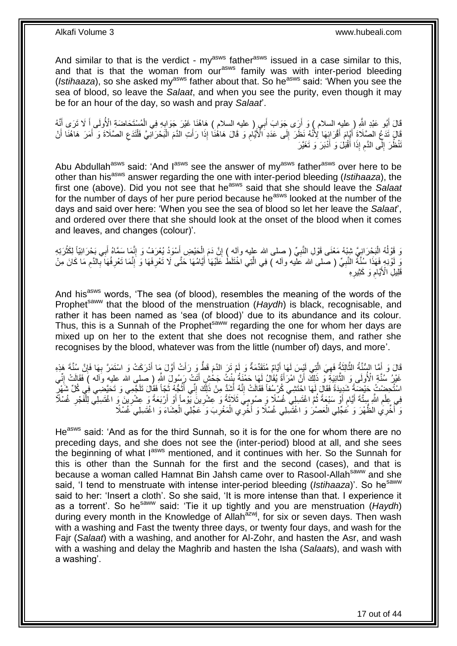And similar to that is the verdict -  $my<sup>asws</sup>$  father<sup>asws</sup> issued in a case similar to this, and that is that the woman from our<sup>asws</sup> family was with inter-period bleeding (*Istihaaza*), so she asked my<sup>asws</sup> father about that. So he<sup>asws</sup> said: 'When you see the sea of blood, so leave the *Salaat*, and when you see the purity, even though it may be for an hour of the day, so wash and pray *Salaat*'.

قَالَ أَبُو عَبْدِ اللَّهِ ( عليه السلام ) وَ أَرَى جَوَابَ أَبِي ( عليه السلام ) هَاهُنَا غَيْرَ جَوَابِهِ فِي الْمُسْتَحَاضَةِ الْأُولَى أَ لَا تَرَى أَنَّهُ **∶** َ َ ْ قَالَ تَدَعْ الصَّلَاةَ أَقْرَائِهَا لِأَنَّهُ نَظَلَ إِلَى عَدَدِ الْأَيَّامِ وَ قَالَ هَاهُنَا إِذَا رَأَتِ النَّمَ الْبَحْرَانِيَّ فَأَنَدَعِ الصَّلَاةَ وَ أَمَرَ هَاهُنَا أَنْ َ ِ  $\frac{1}{2}$ َ َ َ ِ ْ ْ تَنْظُرَ إِلَى الذَّمِ إِذَا أَقْبَلُ وَ أَدْبَرَ وَ تَغَيَّرَ  $\frac{1}{2}$ َ **ُ** 

Abu Abdullah<sup>asws</sup> said: 'And l<sup>asws</sup> see the answer of my<sup>asws</sup> father<sup>asws</sup> over here to be other than hisasws answer regarding the one with inter-period bleeding (*Istihaaza*), the first one (above). Did you not see that he<sup>asws</sup> said that she should leave the *Salaat* for the number of days of her pure period because he<sup>asws</sup> looked at the number of the days and said over here: 'When you see the sea of blood so let her leave the *Salaat*', and ordered over there that she should look at the onset of the blood when it comes and leaves, and changes (colour)'.

وَ قَوْلُهُ الْبَحْرَ انِيَّ شَيْهُ مَعْنَى قَوْلِ النَّبِيِّ ( صلى الله عليه وآله ) إِنَّ دَمَ الْحَيْضِ أَسْوَدُ يُعْرَفُ وَ إِنَّمَا سَمَّاهُ أَبِي بَحْرَانِيَّاً لِكَثْرَتِهِ َ ْ ِ **∶** :<br>ا ُ ْ َ ِ وَ لَوْنِهِ فَهَذَا سُنَّةُ النَّبِيِّ ( صلى الله عَلْيه وآله ) فِي الَّتِي اخْتَلَطُ عَلَيْهَا أَيَّامُهَا حَتَّى لَا تَعْرِفَهَا وَ إِنَّمَا تَعْرِفُهَا بِالدَّم مَا كَانَ مِنْ ِ َ َّ **∶** ِ ِ ِ ِ َقَلِيلِۖ الْأَيَّامِ وَ كَثِيرِهِ **∶ ُ** 

And his<sup>asws</sup> words, 'The sea (of blood), resembles the meaning of the words of the Prophet<sup>saww</sup> that the blood of the menstruation (*Haydh*) is black, recognisable, and rather it has been named as 'sea (of blood)' due to its abundance and its colour. Thus, this is a Sunnah of the Prophet<sup>saww</sup> regarding the one for whom her days are mixed up on her to the extent that she does not recognise them, and rather she recognises by the blood, whatever was from the little (number of) days, and more'.

َّ قَالَ وَ أَمَّا السُّنَّةُ الثَّالِثَةُ فَهِيَ الَّتِي لَيْسَ لَهَا أَيَّامٌ مُتَقَدِّمَةٌ وَ لَمْ تَرَ الدَّمَ قَطَّ وَ رَأَتْ أَوَّلَ مَا أَدْرَكَتْ وَ اسْتَمَرَّ بِهَا فَإِنَّ سُنَّةَ هَذِهِ َ َ َ َ َّ ِ ∣ٍ ِ غَيْرُ سُنَّةِ الْأُولَى وَ الثَّانِيَةِ وَّ ذَلِكَ أَنَّ امْرَأَةً يُقَالُ لَهَا حَمْنَةُ بِنْتُ جَحْشٍ أَتَتْ رَسُولَ الثَّهِ رِ صلِي الله عليه وَالَه ) فَقَالَتْ إِنِّي **↓** َ َّ ِ َ اسْتُحِضْتُ كَيْضَةً شَدِيدَةً فَقَالَ لَهَا احْتَشِي كُرْسُفاً فَقَالَتْ إِنَّهُ أَشَدُّ مِنْ ذَلِكَ إِنِّي أَتُجُّهُ ثَجِّاً فَقَالَ نَلَجَّمِي وَ تَحَيَّضِي فِي كُلِّ شَهْرٍ َ ان<br>ا ا<br>أا ِ َ ِ فِي عِلْمِ اللَّهِ بِبِنَّةَ أَيَّامٍ أَوْ سَبْعَةً ثُمَّ اغْتَسِلِي غُسْلًا وَ صُومِيَ ثَلاَثَةً وَ عِشْرِينَ يَّوْماً أَوْ أَرْبَعَةً وَ عِشْرِيْنَ وَ اغْتَسِلِي لِلْفَجْرِ غُسْلاً َ اُ ِ َ .<br>• • • • ٍ َ ِ ِ ْ ِ وَ أَخَّرِي الظَّهْرَ وَ عُجِّلِي الْعَصْرُ وَ اغْتَسِلِي غُسْلًا وَ أَخَّرِي الْمَغْرِبَ وَ عَجِّلِي الْعِشَاءَ وَ اغْتَسِلِي غُسْلًا ْ ْ ْ ِ

He<sup>asws</sup> said: 'And as for the third Sunnah, so it is for the one for whom there are no preceding days, and she does not see the (inter-period) blood at all, and she sees the beginning of what Iasws mentioned, and it continues with her. So the Sunnah for this is other than the Sunnah for the first and the second (cases), and that is because a woman called Hamnat Bin Jahsh came over to Rasool-Allah<sup>saww</sup> and she said, 'I tend to menstruate with intense inter-period bleeding (*Istihaaza*)'. So he<sup>saww</sup> said to her: 'Insert a cloth'. So she said, 'It is more intense than that. I experience it as a torrent'. So he<sup>saww</sup> said: 'Tie it up tightly and you are menstruation (Haydh) during every month in the Knowledge of Allah<sup>azwj</sup>, for six or seven days. Then wash with a washing and Fast the twenty three days, or twenty four days, and wash for the Fajr (*Salaat*) with a washing, and another for Al-Zohr, and hasten the Asr, and wash with a washing and delay the Maghrib and hasten the Isha (*Salaat*s), and wash with a washing'.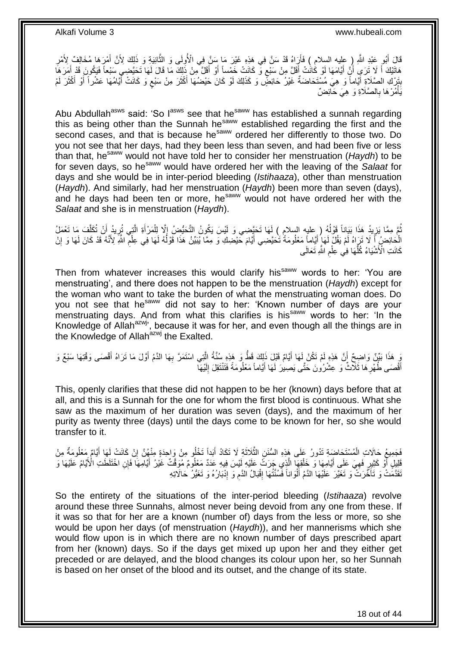قَالَ أَبُو عَبْدِ اللَّهِ ( عِليه السلام ) فَأَرَاهُ قَدْ سَنَّ فِي هَذِهِ غَيْرَ مَا سَنَّ فِي الْأُولَى وَ الثَّانِيَةِ وَ ذَلِكَ لِأَنَّ أَمْرِهَا مُخَالِفٌ لِأَمْرِ َّ َ َ ِ َ هَاتَيْكَ أَ لَا تَرَىِ أَنِّ أَيَّامَهَا لَوْ كَانَٰتْ أَقَلَّ مِنْ سَبْع وَ كَانَتْ خَمْساً أَوْ أَقَلَّ مِنْ ذَلِكَ مَا قَالَ لَهَا تَحَيَّضِي سَبْعاً فَيَكُونَ قَدْ أَمَرَهَا ٍ َ َ م<br>ا َ َ َ َ بِتَرْكِ الصَّلَاةِ أَيَّاماً وَ هِيَ مُسْتَحَاضَةٌ غَيْرُ حَائِضٍّ وَ كَذَلِكَ لَوْ كَانَ حَيْضُهَا أَكْثَرَ مِنْ سَبْع وَ كَانَتْ أَيَّامُهَا عَشْراً أَوْ أَكْثَرَ لَمْ ٍ َ َ َ **ِ** َ َ َ َ لَ يَأْمُرْ هَا بِالصَّلَاةِ وَ ۚ هِيَ حَائِضٌ **∶** ْ

Abu Abdullah<sup>asws</sup> said: 'So l<sup>asws</sup> see that he<sup>saww</sup> has established a sunnah regarding this as being other than the Sunnah he<sup>saww</sup> established regarding the first and the second cases, and that is because he<sup>saww</sup> ordered her differently to those two. Do you not see that her days, had they been less than seven, and had been five or less than that, hesaww would not have told her to consider her menstruation (*Haydh*) to be for seven days, so he<sup>saww</sup> would have ordered her with the leaving of the *Salaat* for days and she would be in inter-period bleeding (*Istihaaza*), other than menstruation (*Haydh*). And similarly, had her menstruation (*Haydh*) been more than seven (days), and he days had been ten or more, he<sup>saww</sup> would not have ordered her with the *Salaat* and she is in menstruation (*Haydh*).

َ ُمَّ مِمَّا يَزِيدُ هَذَا بَيَاناً قَوْلُهُ ( ِعليه السلامِ ) لَهَا تَحَيَّضِي وَ لَيْسَ يَكُونُ التَّحَيُّضُ إِلَّا لِلْمَرْأَةِ الَّتِي تُرِيدُ أَنْ تُكَلَّفَ مَا تَعْمَلُ ْ ِ ا<br>ا ِ َّ َ ِ َّ الْحَائِضُ أَ لَا تَرَاهُ لَمْ يَقُلْ لَهَا ۢ أَيَّاماً مَعْلُومَةً تُحَيَّضِي أَيَّامَ حَيْضِكَ وَ مِمَّا يُبَيِّنُ هَذَا قَوْلُهُ لَهَا فِي عِلْمِ الثَّهِ لَاَنَّهُ قَدْ كَانَ لَهَا وَ إِنْ ا<br>ا َ َ ِ ِ ْ لَ كَانَتِ الْأَشْيَاءُ كُلُّهَا فِي عِلْمِ اللَّهِ تَعَالَى ِ ْ ُّ

Then from whatever increases this would clarify his<sup>saww</sup> words to her: 'You are menstruating', and there does not happen to be the menstruation (*Haydh*) except for the woman who want to take the burden of what the menstruating woman does. Do you not see that he<sup>saww</sup> did not say to her: 'Known number of days are your menstruating days. And from what this clarifies is his<sup>saww</sup> words to her: 'In the Knowledge of Allah<sup>azwj</sup>, because it was for her, and even though all the things are in the Knowledge of Allah<sup>azwj</sup> the Exalted.

وَ هَذَا بَيِّنٌ وَاضِحٌ أَنَّ هَذِهِ لَمْ تَكُنْ لَهَا أَيَّامٌ قَبْلَ ذَلِكَ قَطُّ وَ هَذِهِ سُنَّةُ الَّتِي اسْتَمَرَّ بِهَا الدَّمُ أَوَّلَ مَا تَرَاهُ أَقْصَى وَقْتِهَا سَبْعٌ وَ ِ َّ َ َ َ أَفْصَى طُهْرِ هَا ثَلَّاثٌ وَ عِشْرُونَ حَتَّى يَصِيرَ لَهَا أَيَّاماً مَعْلُومَةً فَتَنْتَقِلَ إِلَيْهَآ َ ِ َ لَ ∣∣<br>∶

This, openly clarifies that these did not happen to be her (known) days before that at all, and this is a Sunnah for the one for whom the first blood is continuous. What she saw as the maximum of her duration was seven (days), and the maximum of her purity as twenty three (days) until the days come to be known for her, so she would transfer to it.

َفَجَمِيعُ حَالَاتِ الْمُسْتَحَاضَةِ تَذُورُ عَلَى هَذِهِ السُّنَنِ الثَّلَاثَةِ لَا تَكَادُ أَبَداً تَخْلُو مِنْ وَاحِدَةٍ مِنْهُنَّ إِنْ كَانَتْ لَهَا أَيَّامٌ مَعْلُومَةٌ مِنْ َ ة<br>أ َّ ْ َ ِ ْفَلِيلٍ أَوْ كَثِيرٍ فَهِيَ عَلَى أَيَّامِهَا وَ خَلْقِهَا الَّذِي جَرَتَّ عَلَيْهِ لَيْسَ فِيهِ عَدَدٌ مَعْلُومٌ مُوَقَّتٌ غَيْرُ أَيَّامَهَا فَإِن اخْتَلَطَتِ الْأَيَّامُ عَلَيْهَا وَ َّ ْ َ ِ ر<br>ا َ ْقَدَّمَتْ وَ تَأَخَّرَتْ ۚ وَ تَغَيَّرَ عَلَيْهَا الدَّمُ أَلْوَاناً فَسُنَّتُهَا إِقْبَالُ الدَّمِ وَ إِنْبَارُهُ وَ تَغَيُّرُ حَالَاتِهِ ِ ِ ِ ْ َ َ

So the entirety of the situations of the inter-period bleeding (*Istihaaza*) revolve around these three Sunnahs, almost never being devoid from any one from these. If it was so that for her are a known (number of) days from the less or more, so she would be upon her days (of menstruation (*Haydh*)), and her mannerisms which she would flow upon is in which there are no known number of days prescribed apart from her (known) days. So if the days get mixed up upon her and they either get preceded or are delayed, and the blood changes its colour upon her, so her Sunnah is based on her onset of the blood and its outset, and the change of its state.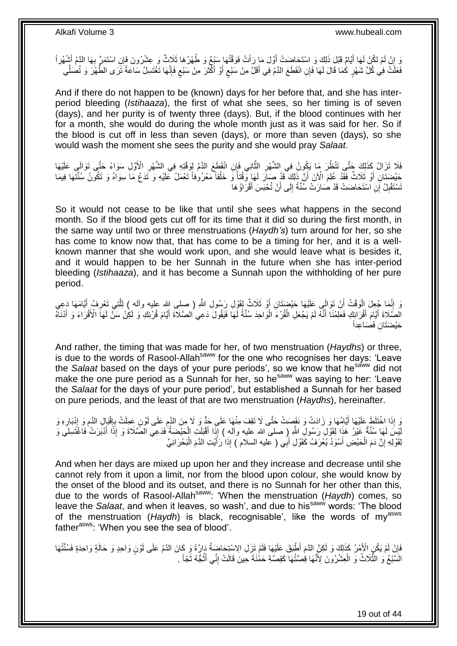وَ إِنْ لَمْ تَكُنْ لَهَا أَيَّامٌ قَبْلَ ذَلِكَ وَ اسْتَحَاضِتْ أَوَّلَ مَا رَأَتْ فَوَقْتُهَا سَبْعٌ وَ طُهْرُهَا ثَلَاثٌ وَ عِشْرُونَ فَإِنِ اسْتَمَرَّ بِهَا الدَّمُ أَشْهُراً َ َ َ ِ َ ِ فَعَلَتْ فِي كُلِّ شَهْرٍ كُمَا قَالَ لَهَا فَإِنِ انْقَطَعَ الدَّمَ فِي أَقَلَّ مِنْ سَبْعِ أَوْ أَكْثَرَ مِنْ سَبْعِ فَإِنَّهَا تَغْتَسِلُ سَاعَةً تَرَى الطَّهْرَ وَ تُصلِّي ِ **≀** َ َ َ ٍ َ ِّ

And if there do not happen to be (known) days for her before that, and she has interperiod bleeding (*Istihaaza*), the first of what she sees, so her timing is of seven (days), and her purity is of twenty three (days). But, if the blood continues with her for a month, she would do during the whole month just as it was said for her. So if the blood is cut off in less than seven (days), or more than seven (days), so she would wash the moment she sees the purity and she would pray *Salaat*.

فَلَا تَزَالُ كَذَلِكَ جَتَّى تَنْظُرَ مَا يَكُونُ فِي الشَّهْرِ الثَّانِي فَإِنِ انْقَطَعَ الدَّمُ لِوَقْتِهِ فِي الشَّهْرِ الْأَوَّلِ سَوَاءً حَتَّى تَوَالَي عَلَيْهَا :<br>نا ِ َّ ِ حَيْضَتَانِ أَوْ ثَلَاثٌ فَقَدْ عُلِمَ الْأَنَ أَنَّ ذَلِكَ ۖ قَدْ صَاَرَ لَهَا وَّقْتَأَ وَ خَلْقاً مَعْرُوٰفاً تَعْمَلُ عَلَيْهِ وَ تَدَعُ مَا سِوَاهُ وَ تَكُونُ سُنَّتَهَا فِيمَا ْ َ َ تَسْتَقْبِلُ إِنِ اسْتَحَاضَتْ قَدْ صَارَتْ سُنِّةً إِلَى أَنْ تُحْبَسَ أَقْرَاؤُ هَا َ َ ∣∣<br>∶ ِ

So it would not cease to be like that until she sees what happens in the second month. So if the blood gets cut off for its time that it did so during the first month, in the same way until two or three menstruations (*Haydh's*) turn around for her, so she has come to know now that, that has come to be a timing for her, and it is a wellknown manner that she would work upon, and she would leave what is besides it, and it would happen to be her Sunnah in the future when she has inter-period bleeding (*Istihaaza*), and it has become a Sunnah upon the withholding of her pure period.

َ إِنَّمَا جُعِلَ الْوَقْتُ أَنْ تَوَالَى عَلَيْهَا حَيْضَتَانِ أَوْ ثَلَاثٌ لِقَوْلِ رَسُولِ اللَّهِ ( صلى الله عليه وأله ) اِلَّذِي تَعْرِفُ أَيَّامَهَا دَعِي اً ْ ِ َ ِ َّ اُ الْصَّلَاةَ أَيَّامَ أَقْرَابِكِ فَعَلِمْنَا أَنَّهُ لَمْ يَجْعَلِ الْقُرْءَ الْوَاحِدَ سُنَّةً لِّهَا فَيَقُولَ دَعِي الصَّلَاةَ أَيَّامَ قُرْئِكِ وَ لَكِنْ سَنَّ لَهَا الْأَقْرَاءَ وَ أَدْنَاهُ لَ ْ ْ َ َ َ َ َ لَ حَيْضَتَانِ فَصَاعِداً

And rather, the timing that was made for her, of two menstruation (*Haydhs*) or three, is due to the words of Rasool-Allah<sup>saww</sup> for the one who recognises her days: 'Leave the *Salaat* based on the days of your pure periods', so we know that he<sup>saww</sup> did not make the one pure period as a Sunnah for her, so he<sup>saww</sup> was saying to her: 'Leave the *Salaat* for the days of your pure period', but established a Sunnah for her based on pure periods, and the least of that are two menstruation (*Haydhs*), hereinafter.

وَ إِذَا اخْتَلَطَ عَلَيْهَا أَيَّامُهَا وَ زَادَتْ وَ نَقَصَتْ حَتَّى لَا تَقِفَ مِنْهَا عَلَى جَدٍّ وَ لَا مِنَ الدَّمِ عَلَى لَوْنٍ عَمِلَتْ بِإِقْبَالِ الدَّمِ وَ إِنْدَارِهِ وَ ِ َ ِ ِ ِ  $\frac{1}{2}$ ِ لَيْسَ لَمَا سُنَّةٌ غَيْرُ هَذَا لِقَوْلِ رَسُولِ اللَّهِ إِ صلى الله عليه وأله ) إِذَا أَقْبَلَتِ الْحَيْضَةُ فَدَعِي الصَّلَاةَ وَ إِذَا أَدْبَرَتْ فَاغْتَسِلِي وَ ْ َ َ لِقَوْلِهِ إِنَّ دَمَ الْحَيْضِ أَسْوَدُ يُعْرَفُ كَقَوْلِ أَبِي ( عليه السلام ) إِذَا رَأَيْتِ الدَّمَ الْبَحْرَانِيَّ َ َ َ ْ יִי, ْ

And when her days are mixed up upon her and they increase and decrease until she cannot rely from it upon a limit, nor from the blood upon colour, she would know by the onset of the blood and its outset, and there is no Sunnah for her other than this, due to the words of Rasool-Allah<sup>saww</sup>: 'When the menstruation (*Haydh*) comes, so leave the *Salaat*, and when it leaves, so wash', and due to his<sup>saww</sup> words: 'The blood of the menstruation (Haydh) is black, recognisable', like the words of my<sup>asws</sup> father<sup>asws</sup>: 'When you see the sea of blood'.

َائِلُ لَمْ يَكُنِ الْأَمْرُ كَذَلِكَ وَ لَكِنَّ الذَمَ أَطْبَقَ عَلَيْهَا فَلَمْ تَزَلِ الِاسْتِحَاضَةُ دَارَّةً وَ كَانَ الذَّمُ عَلَى لَوْنٍ وَاحِدٍ وَ حَالَةٍ وَاحِدَةٍ فَسُنَّتُهَا ِ الشَّبْعُ وَ الثَّلَاثُ وَ الْعِشْرُونَ لِأَنَّهَا قِصَنُّهَا كَقِصَّةِ حَمْٰنَةً حِينَ قَالَتْ إِنِّي أَنُٰجُّهُ ثَجّاً . َّ َ ُ َ ِ ْ

19 out of 44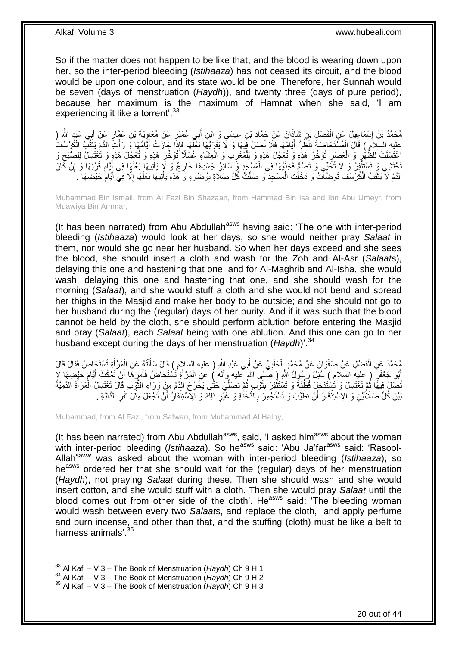So if the matter does not happen to be like that, and the blood is wearing down upon her, so the inter-period bleeding (*Istihaaza*) has not ceased its circuit, and the blood would be upon one colour, and its state would be one. Therefore, her Sunnah would be seven (days of menstruation (*Haydh*)), and twenty three (days of pure period), because her maximum is the maximum of Hamnat when she said, 'I am experiencing it like a torrent'.<sup>33</sup>

مُحَمَّدُ بْنُ إِسْمَاعِيلَ عَنِ الْفَضْلِ بْنِ شَاذَانَ عَنِْ حَمَّادِ بْنِ عِيسَىِ وَ ابْنِ أَبِي عُمَيْرٍ عَنْ مُعَاوِيَةَ بْنِ عَمَّارٍ عَنْ أَبِي عَبْدٍ الثَّهِ ( ِ ْ ֖֧֓<u>֓</u> َ عليه السلام ) قَالَ الْمُسْتَحَاضَةُ تَنْظُّلُ أَيَّامَهَا فَلَا تُصَلِّ فَبِهَا وَ لَا يَقْرَبْهَا بَعْلُهَا فَإِذَا جَازَتْ أَيَّامُهَا وَ رَأَتَ الدَّمَ يَثْقُبُ الْكُرْسُفُ َ ْ ْ َ َ ֪֪֧֪֪֪֪֦֧֪֪֦֧֝֝֟֟֟֟֟֟֟֟֟֟֟֟֟֟֟֟֟֟֟֟֟֟֟֝֟֟֝֟֝֟֟֟֟ ِ ٔ<br>ا اغْتَسَلَتْ لِلظَّهْرِ وَ الْعَصْبِ تُؤَخِّرُ هَذِهِ وَ تُعَجِّلُ هَذِهِ وَ لِلْمَغْرِبِ وَ الْعِشَاءِ غُسْلاً تُؤَخِّرُ هَذٍهِ وَ تُعَجِّلُ هَذِهِ وَ تُغْتَسِلُ لِلصُّبْحِ وَ ْ **∶** ْ ِ ْ ِ ِ َجْتَشِي وَ تَسْتَثْفِرُ وَ لَا تُكَبِّي وَ تَضُبُّ فَخِذَيْهَا فِي الْمَسْجِدِ وَ سَائِرُ جَسَدِهَا خَارِجٌ وَ لَإِ يَأْتِيهَا بَعْلُهَا فِي أَيَّامِ قُرْئِهَا وَ إِنْ كَانَ ة<br>أ ِ ْ **ٔ** ِ  $\ddot{\phantom{a}}$ َ ُ الذَّمُ لَا يَثْقُبُ الْكُرْسُفَ تَوَصَّأَتْ وَ دَخَلْتِ الْمَسْجِدَ وَ صَلَّتٌ كُلَّ صَلَاةٍ بِوُضُوءٍ وَ ۖ هَذِهِ يَأْتِيهَا بَعْلُهَا إِلَّا فِي أَيَّامٍ حَيْضِهَا . َ ֦֘<u>֓</u>֖֖֦֚֝֝ ِ َ ا<br>ا ا<br>ا **ٔ** ِ ْ

Muhammad Bin Ismail, from Al Fazl Bin Shazaan, from Hammad Bin Isa and Ibn Abu Umeyr, from Muawiya Bin Ammar,

(It has been narrated) from Abu Abdullah<sup>asws</sup> having said: 'The one with inter-period bleeding (*Istihaaza*) would look at her days, so she would neither pray *Salaat* in them, nor would she go near her husband. So when her days exceed and she sees the blood, she should insert a cloth and wash for the Zoh and Al-Asr (*Salaat*s), delaying this one and hastening that one; and for Al-Maghrib and Al-Isha, she would wash, delaying this one and hastening that one, and she should wash for the morning (*Salaat*), and she would stuff a cloth and she would not bend and spread her thighs in the Masjid and make her body to be outside; and she should not go to her husband during the (regular) days of her purity. And if it was such that the blood cannot be held by the cloth, she should perform ablution before entering the Masjid and pray (*Salaat*), each *Salaat* being with one ablution. And this one can go to her husband except during the days of her menstruation (*Haydh*)<sup>'.34</sup>

مُحَمَّدٌ عَنِ الْفَضْلِ عَنْ صَفْوَانَ عَنْ مُحَمَّدٍ إِلْحَلَبِيِّ عَنْ أَبِي عَبْدِ اللَّهِ ( عليه السلام) قَالَ سَأَلْتُهُ عَنِ الْمَرْ أَةِ تُسْتَجَاضُ فَقَالَ قَالَ<br>يَبْ َ **∶** ْ ْ َ ْ ْ ĺ أَبُو جَعْفَرٍ ( عِليهِ السلامِ ) سُئِلَ رَسُولُ اللَّهِ ( صَلْيِ اللهَ عَليه وآله ) عَنِ الْمَرْأَةِ تُسْتَحَاضُ فَأَمَرٍكَمَا أَنْ تَمْكُثَ أَيَّامَ حَيْضِهَا لَإِ َ َ َ ْ َ َ تُصَلِّ فِيهًا ثُمَّ تَغْتَسِلَ وَ تُسْتَدْخِلَ قُطْنَةً وَ تَسْتَثْفِرَ بِثَوْبٍ ثُمَّ تُصَلِّيَ حَتَّى يَخْرُجَ الذَّمُ مِنْ وَرَاءِ الثَّوْبِ قَالَ تَغْتَسِلُ الْمَرْأَةُ الدَّمِيَّةُ ِّ ا دیکھیے َ **ٔ** ا ماہ<br>سال َ ْ َّ َبْيْنَ كُلِّ صَلَاْتَيْنِ وَ اِلِاسْتِذْفَارُ أَنْ تَطَيَّبَ وَ تَسْتَجْمِرَ بِالدُّخْذَةِ وَ غَيْرِ ذَلِكَ وَ الِاسْتِثْفَارُ أَنْ تَجْعَلَ مِثْلَ ثَفْرِ الدَّابَّةِ . ِ َ **ٔ : : :** ِ َ **ٔ** َ ْ ِ

Muhammad, from Al Fazl, from Safwan, from Muhammad Al Halby,

(It has been narrated) from Abu Abdullah<sup>asws</sup>, said, 'I asked him<sup>asws</sup> about the woman with inter-period bleeding (*Istihaaza*). So he<sup>asws</sup> said: 'Abu Ja'far<sup>asws</sup> said: 'Rasool-Allahsaww was asked about the woman with inter-period bleeding (*Istihaaza*), so he<sup>asws</sup> ordered her that she should wait for the (regular) days of her menstruation (*Haydh*), not praying *Salaat* during these. Then she should wash and she would insert cotton, and she would stuff with a cloth. Then she would pray *Salaat* until the blood comes out from other side of the cloth'. He<sup>asws</sup> said: 'The bleeding woman would wash between every two *Salaat*s, and replace the cloth, and apply perfume and burn incense, and other than that, and the stuffing (cloth) must be like a belt to harness animals'.<sup>35</sup>

<sup>33</sup> Al Kafi – V 3 – The Book of Menstruation (*Haydh*) Ch 9 H 1

<sup>&</sup>lt;sup>34</sup> Al Kafi – V 3 – The Book of Menstruation (*Haydh*) Ch 9 H 2

<sup>35</sup> Al Kafi – V 3 – The Book of Menstruation (*Haydh*) Ch 9 H 3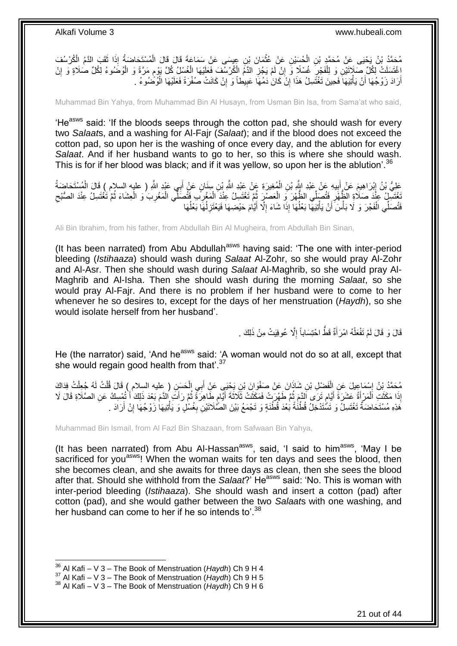مُحَمَّدُ بْنُ يَحْيَى عَنْ مُحَمَّدِ بْنِ الْحُسَيْنِ عَنْ عُثْمَانَ بْنِ عِيسَى عَنْ سَمَاعَةَ قَالَ قَالَ الْمُسْتَحَاضَةُ إِذَا ثَقَبَ الْذَمُ الْكُرْسُفَ<br>مُحَمَّدُ بْنُ يَحْيَى عَنْ مُحَمَّدِ بْنِ الْحُسَيْنِ عَنْ عُث **ٔ** ْ َ ْ ْغَتَسَلَتْ لِكُلِّ صَالَاتَيْنِ وَ لِلْفَجْرِ غُسْلًا وَ إِنْ لَمْ يَجُزِ الذَّمُ الْكُرْسُفَ فَعَلَيْهَا الْغُسْلُ كُلَّ يَوْمٍ مَرَّةً وَ الْوُضُوءُ لِكُلِّ صَلَاةٍ وَ إِنْ ْ ِ ِ ِ ْ ِ ْ ֧֧֖֧֖֧֖֧֧֧֧֧֧֧֧֧֧֧֧֚֚֚֓֝֝֝֝֝֟֓֝֓֬֝֓֝֬֟֓֟֓֝֬֟֓֟֓֝֬֝֬֝֓֟֓֝֬֜֝֬֝֓֝֬֝֓ أَرَادَ زَوْجُهَا أَنْ يَأْتِيَهَا فَحِينَ تَغْتَسِلُ هَذَا إِنْ كَانَ دَمُهَا عَبِيطاً وَ إِنْ كَانَتْ صُفْرَةً فَعَلَيْهَا الْوُضْمُوءُ ـ ْ اً اً ْ ِ **!** ِ

Muhammad Bin Yahya, from Muhammad Bin Al Husayn, from Usman Bin Isa, from Sama'at who said,

'He<sup>asws</sup> said: 'If the bloods seeps through the cotton pad, she should wash for every two *Salaat*s, and a washing for Al-Fajr (*Salaat*); and if the blood does not exceed the cotton pad, so upon her is the washing of once every day, and the ablution for every *Salaat*. And if her husband wants to go to her, so this is where she should wash. This is for if her blood was black; and if it was vellow, so upon her is the ablution'.<sup>36</sup>

عَلِيُّ بْنُ إِبْرَاهِيمَ عَنْ أَبِيهِ عَنْ عَبْدِ اللَّهِ بْنِ الْمُغِيرَةِ عَنْ عَبْدِ اللَّهِ بْنِ سِنَانٍ عَنْ أَبِي عَبْدِ اللَّهِ ( عليه السلام ) قَالَ الْمُسْتَحَاضَةُ َ ْ **∣** َ ِ ْ َّغْتَسِلُ عِنْدَ صَلَاةِ الظَّهْرِ فَتُصَلِّي الظَّهْرَ وَ الْعَصْرِ ثُمَّ تَغْتَسِلُ عِنْدَ الْمَغْرِبَ فَتُصَلِّي الْمَغْرِبَ وَ الْعِشَاءَ ثُمَّ تَغْتَسِلُ عِنْدَ الصُّبْح ان<br>المقامات ْ ِ ِ ا<br>المقام ْ **∶** ْ **∶** ْ فَتُصَلِّي الْفَجْرَ وَ لَا بَأْسَ أَنْ يَأْتِيَهَا بَعْلُهَا إِذَا شَاءَ إِلَّا أَيَّامَ حَيْضِهَا فَيَعْتَزِلُهَا بَعْلُهَا ُ ُ **∶** َ ِ ا<br>ا ْ **ٔ** ْ

Ali Bin Ibrahim, from his father, from Abdullah Bin Al Mugheira, from Abdullah Bin Sinan,

(It has been narrated) from Abu Abdullah<sup>asws</sup> having said: 'The one with inter-period bleeding (*Istihaaza*) should wash during *Salaat* Al-Zohr, so she would pray Al-Zohr and Al-Asr. Then she should wash during *Salaat* Al-Maghrib, so she would pray Al-Maghrib and Al-Isha. Then she should wash during the morning *Salaat*, so she would pray Al-Fajr. And there is no problem if her husband were to come to her whenever he so desires to, except for the days of her menstruation (*Haydh*), so she would isolate herself from her husband'.

> قَالَ وَ قَالَ لَمْ تَفْعَلْهُ امْرَأَةٌ قَطَّ احْتِسَاباً إِلَّا عُوفِيَتْ مِنْ ذَلِكَ . ِ َ ْ

He (the narrator) said, 'And he<sup>asws</sup> said: 'A woman would not do so at all, except that she would regain good health from that  $37$ 

مُحَمَّدُ بِنُ إِسْمَاعِيلَ عَنِ الْفَضْلِ بْنِ شَاذَانَ عَنْ صَفْوَانَ بْنِ يَجْيَي عَنِْ أَبِي الْحَسَنِ ( عليه السلام ) قَالَ قُلْتُ لَهُ جُعِلْتُ فِدَاكَ ْ َ ْ יִין<br>: ْ ْ إِذَا مَكَثَّتِ اَلْمَرْ أَةُ عَشَرَةَ أَيَّامٍ تَرَى اَلدَّمَ ثُمَّ طَهُرَتْ فَمَكَثَتْ ثَلَاثَةَ أَيَّامٍ طَاهِرَةً ثُمَّ رَأَتَ اللَّهَ بَعْدَ ذَلِكَ أَ تُمْسِكُ عَنِ الصَّلَاةِ قَالَ لَا َ ُ ֧֚֚֚֓֝֝֬֝ َ ُ م َ َ ْ َ َ هَٰذِهِ مُسْتَحَاضَةٌ تَغْتَسِلُ وَ تَسَّتَدْخِلُ قُطْنَةً بَعْدَ قُطْنَةٍ وَ تَجْمَعُ بَيْنَ الْصَّلَاتَيْنِ بِغُسْلٍ وَ يَأْتِيهَا زَوْجُهَا إِنْ أَرَادَ . َ ِ ْ **∶** 

Muhammad Bin Ismail, from Al Fazl Bin Shazaan, from Safwaan Bin Yahya,

(It has been narrated) from Abu Al-Hassan<sup>asws</sup>, said, 'I said to him<sup>asws</sup>, 'May I be sacrificed for you<sup>asws</sup>! When the woman waits for ten days and sees the blood, then she becomes clean, and she awaits for three days as clean, then she sees the blood after that. Should she withhold from the *Salaat*?' He<sup>asws</sup> said: 'No. This is woman with inter-period bleeding (*Istihaaza*). She should wash and insert a cotton (pad) after cotton (pad), and she would gather between the two *Salaat*s with one washing, and her husband can come to her if he so intends to<sup>'.38</sup>

<sup>36</sup> Al Kafi – V 3 – The Book of Menstruation (*Haydh*) Ch 9 H 4

<sup>&</sup>lt;sup>37</sup> Al Kafi – V 3 – The Book of Menstruation (*Haydh*) Ch 9 H 5

<sup>38</sup> Al Kafi – V 3 – The Book of Menstruation (*Haydh*) Ch 9 H 6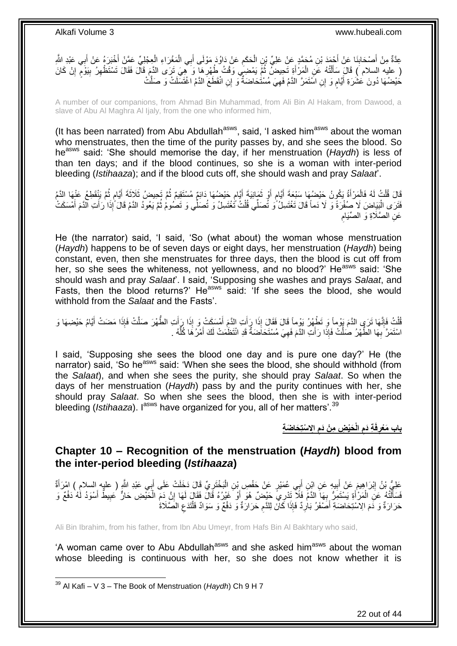ْ عِدَّةٌ مِنْ أَصْحَابِنَا عَنْ أَحْمَدَ بْنِ مُحَمَّدٍ عَنْ عَلِيِّ بْنِ الْحَكَمِ عَنْ دَاوُدَ مَوْلَى أَبِي الْمَغْرَاءِ الْعِجْلِيِّ عَمَّنْ أَخْبَرَهُ عَنْ أَبِي عَبْدِ الثَّهِ ْ َ **ُ** ْ َ ِ َ َ َ ( عليه السلام ) قَالَ سَأَلْتُهُ عَنِ الْمَرْأَةِ تَحِيضُ ثُمَّ يَمْضِي وَفْتُ طُهْرِها وَ هِيَ تَرَى الدَّمَ قَالَ فَقَالَ تَسْتَظْهِرُ بِيَوْمٍ إِنْ كَانَ ُ َ ْ ْ **ื** ِ ِ ِ كَيْضُهَا دُونَ عَشْرَةِ أَيَّامٍ وَ إِنِ اسَّنَمَرَّ الذَّمُ فَهِيَ مُسْتُحَاضَةٌ وَ إِنِ انْقَطَعَ الذَّمُ اغْتَسَلَتْ وَ صَلَّتْ ِ م َ

A number of our companions, from Ahmad Bin Muhammad, from Ali Bin Al Hakam, from Dawood, a slave of Abu Al Maghra Al Ijaly, from the one who informed him,

(It has been narrated) from Abu Abdullah $a<sup>asws</sup>$ , said, 'I asked him $a<sup>asws</sup>$  about the woman who menstruates, then the time of the purity passes by, and she sees the blood. So heasws said: 'She should memorise the day, if her menstruation (*Haydh*) is less of than ten days; and if the blood continues, so she is a woman with inter-period bleeding (*Istihaaza*); and if the blood cuts off, she should wash and pray *Salaat*'.

ا<br>المقام قَالَ قُلْتُ لَهُ فَالْمَرْأَةُ يَكُونُ حَيْضُهَا سَبْعَةَ أَيَّام أَوْ ثَمَانِيَةَ أَيَّام حَيْضُهَا دَائِمٌ مُسْتَقِيمٌ ثُمَّ تَحِيضُ ثَلَاثَةَ أَيَّام ثُمَّ يَنْقَطِعُ عَنْهَا الدَّمُ ٍ َ َ اُ ٍ َ َ ْ ْ ُ م<br>م َ فَتَرَى الْبَيَاضَ لَا صُفْرَةً وَ لَا دَماً قَالَ تَغْتَسِلُ وَ تُصَلِّي قُلْتُ تُغْتَسِلُ وَ تُصَلِّي وَ تَصُومُ ثُمَّ يَعُودُ الدَّمُ قَالَ َإِذَا رَأَتِ الَّذَمَ أَمْسَكَتْ ُ ْ ا.<br>ا َ َ ِ عَنِ الصَّلَاةِ وَ الصِّيَامِ

He (the narrator) said, 'I said, 'So (what about) the woman whose menstruation (*Haydh*) happens to be of seven days or eight days, her menstruation (*Haydh*) being constant, even, then she menstruates for three days, then the blood is cut off from her, so she sees the whiteness, not yellowness, and no blood?' He<sup>asws</sup> said: 'She should wash and pray *Salaat*'. I said, 'Supposing she washes and prays *Salaat*, and Fasts, then the blood returns?' He<sup>asws</sup> said: 'If she sees the blood, she would withhold from the *Salaat* and the Fasts'.

لْكُ فَإِنَّهَا تَرَى الدَّمَ يَوْماً وَ تَطْهُرُ يَوْماً قَالَ فَقَالَ إِذَا رَأَتِ الدَّمَ أَمْسَكَتْ وَ إِذَا رَأَتِ الطَّهْرَ صَلَّتْ فَإِذَا مَضَتْ أَيَّامُ حَيْضِهَا وَ َ َ َ ِ ْ َ ِ اسْتَمَرَّ بِهَا الطُّهْرُ صَلَّتْ فَإِذَا رَأَتِ الدَّمَ فَهِيَ مُسْتَحَاضَةٌ قَدِ انْتَظَمَتْ لَكَ أَمْرُ هَا كُلُّهُ . َ **∶** ُّ َ

I said, 'Supposing she sees the blood one day and is pure one day?' He (the narrator) said, 'So he<sup>asws</sup> said: 'When she sees the blood, she should withhold (from the *Salaat*), and when she sees the purity, she should pray *Salaat*. So when the days of her menstruation (*Haydh*) pass by and the purity continues with her, she should pray *Salaat*. So when she sees the blood, then she is with inter-period bleeding (*Istihaaza*). I<sup>asws</sup> have organized for you, all of her matters'.<sup>39</sup>

> **اِِل ْستِ َحا َض ِة َحْي ِض ِم ْن َدم الْ ِة َدم فَ باب َم ْعر ِ ِ ِ**

### <span id="page-21-0"></span>**Chapter 10 – Recognition of the menstruation (***Haydh***) blood from the inter-period bleeding (***Istihaaza***)**

عَلِيُّ بْنُ إِبْرَاهِيمَ عَنْ أَبِيهِ عَنِ ابْنِ أَبِي عُمَيْرٍ عَنْ حَفْصٍ بْنِ الْبَخْتَرِيِّ قَالَ دَخَلَتْ عَلَى أَبِي عَبْدِ الثَّهِ ( عليه السلامِ ) امْرَأَةٌ َ ِ :<br>ا **!** َ ِ َ َفَسَأَلَّنَّهُ عَنِ الْمَرْأَةِ يَسْتَمِرُّ بِهَا الدَّمِّ فَلاَّ تَدْرِيَّ حَيْضٌ هُوَ أَوْ غَيْرُهُ قَالَ فَقَالَ لَهَا إِنَّ دَمِّ الْحَيْضِ حَارٌّ كَبِيطٌ أَسْوَدُ لَٰهُ دَفْعٌ وَ َ **∶** َ ْ لَ َ َ ِ ْ ِ حَرَارَةٌ وَ دَمَ الِاسْتِحَاضَةِ أَصَّفَرُ بَاٰرِدٌ فَإِذَا كَانَ لِلدَّمِ حَرَارَةٌ وَ دَفْعٌ وَ سَوَادٌ فَلْتَدَعِ الْصَّلَاةُ ِ ْ ِ ِ َ

Ali Bin Ibrahim, from his father, from Ibn Abu Umeyr, from Hafs Bin Al Bakhtary who said,

'A woman came over to Abu Abdullah<sup>asws</sup> and she asked him<sup>asws</sup> about the woman whose bleeding is continuous with her, so she does not know whether it is

 $\overline{1}$ 

22 out of 44

<sup>39</sup> Al Kafi – V 3 – The Book of Menstruation (*Haydh*) Ch 9 H 7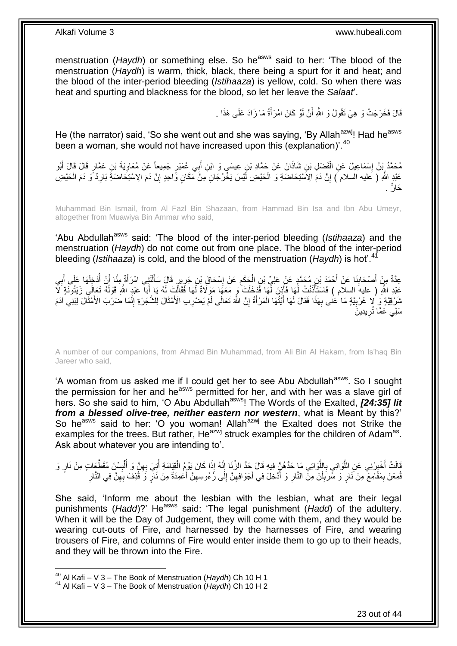menstruation (*Haydh*) or something else. So he<sup>asws</sup> said to her: 'The blood of the menstruation (*Haydh*) is warm, thick, black, there being a spurt for it and heat; and the blood of the inter-period bleeding (*Istihaaza*) is yellow, cold. So when there was heat and spurting and blackness for the blood, so let her leave the *Salaat*'.

> قَالَ فَخَرَجَتْ وَ هِيَ تَقُولُ وَ اللَّهِ أَنْ لَوْ كَانَ امْرَأَةً مَا زَادَ عَلَى هَذَا . َ اً

He (the narrator) said, 'So she went out and she was saying, 'By Allah<sup>azwj</sup>! Had he<sup>asws</sup> been a woman, she would not have increased upon this (explanation)<sup>'.40</sup>

مُحَمَّدُ بِنُ إِسْمَاعِيلَ عَنِ الْفَضْلِ بْنِ شَاذَانَ عَنْ حَمَّادِ بْنِ عِيسَى وَ ابْنِ أَبِي عُمَيْرٍ جَمِيعاً عَنْ مُعَاوِيَةَ بْنِ عَمَّارٍ قَالَ قَالَ أَبُو ْ **֡** َ ِ عَبْدٍ اللَّهِ ( عَليه السلام َ) إِنَّ دَمَ الِاَسْتِحَاضَةِ وَ الْحَيْضِ أَيْسَ يَخْرُجَانِ مِنْ مَكَانٍ وَّاحِدٍ إِنَّ دَمَ الِاسْتِحَاضَةِ بَارِدٌ ًوَ دَمَ الْحَيْضِ ِ ِ ْ ْ حَارٌ .

Muhammad Bin Ismail, from Al Fazl Bin Shazaan, from Hammad Bin Isa and Ibn Abu Umeyr, altogether from Muawiya Bin Ammar who said,

'Abu Abdullah<sup>asws</sup> said: 'The blood of the inter-period bleeding (*Istihaaza*) and the menstruation (*Haydh*) do not come out from one place. The blood of the inter-period bleeding (*Istihaaza*) is cold, and the blood of the menstruation (*Haydh*) is hot'.<sup>41</sup>

عِدَّةٌ مِنْ أَصْحَابِنَا عَنْ أَحْمَدَ بْنِ مُحَمَّدٍ عَنْ عَلِيِّ بْنِ الْحَكَمِ عَنْ إِسْحَاقَ بْنِ جَرِيرٍ قَالَ سَأَلَنْتِنِي امْرَأَةٌ مِنَّا أَنْ أَدْخِلَهَا عَلَى أَبِي لَ َ ِ ِ ِ ْ ِ َ ِ َ ا<br>ا َ َ عَبْدِ اللَّهِ ( عليهَ السلام ) فَاسْتَأَذْنتُ لَمَا فَأَذِنَ لَّهَا فَدَخَلَتْ وَ مَعَهَا مَوْلَاةٌ لَهَا فَقَالَتْ لَهُ يَا أَبَا ۖ عَبْدِ اللَّهِ قَوْلُهُ تَعَالَى زَيْتُونَةٍ لَآ لَ َ ْ ُ َ نْدَرْقِيَّةٍ وَ لا غَرْبِيَّةٍ مَا عَنَٰى بِهَذَا فَقَالَ لَهَا أَيَّتُهَا الْمَرْأَةُ إِنَّ اللَّهَ تَعَالَى لَمْ يَصْرِب الْأَمْثَالَ لِلشَّجَرَةِ إِنَّمَا ضَرَبَ الْأَمْثَالَ لِبَنِي آدَمَ **!** ِ َ ِ ِ َ ْ َ **∶** َ س*َلِي* عَمَّا تُرِيدِينَ ِ

A number of our companions, from Ahmad Bin Muhammad, from Ali Bin Al Hakam, from Is'haq Bin Jareer who said,

'A woman from us asked me if I could get her to see Abu Abdullah<sup>asws</sup>. So I sought the permission for her and he<sup>asws</sup> permitted for her, and with her was a slave girl of hers. So she said to him, 'O Abu Abdullah<sup>asws</sup>! The Words of the Exalted, **[24:35] lit** *from a blessed olive-tree, neither eastern nor western*, what is Meant by this?' So he<sup>asws</sup> said to her: 'O you woman! Allah<sup>azwj</sup> the Exalted does not Strike the examples for the trees. But rather, He $^{a}$ zwj struck examples for the children of Adam<sup>as</sup>. Ask about whatever you are intending to'.

اَلَّ أَخْبِرْنِي عَنِ اللَّوَاتِي بِاللَّوَاتِي مَا حَدُّهُنٍّ فِيهِ قَالَ حَدُّ الزِّنَا إِنَّهُ إِذَا كَانَ يَوْمُ الْقِيَامَةِ أُتِيَ بِهِنَّ وَ أُلْبِسْنَ مُقَطَّعَاتٍ مِنْ نَارٍ وَ ْ  $\frac{1}{2}$ اً<br>ا **∶** م<br>ا ِ َ ِ ْ أ ِ ُمِعْنَ بِمَقَّامِعَ مِنْ َنارٍ وَ سُرْبُلْنَ مِنَ النَّارِ وَ أُدْخِلَ فِي أَجْوَافِهِنَّ إِلَى رُءُوسِهِنَّ أُعْمِدَةٌ مِنْ نَارٍ وَ قُذِفَ بِهِنَّ فِي النَّارِ َ ِ ِ ِ َ ا<br>ا ِ ْ **ِ** ِ ِ ِ

She said, 'Inform me about the lesbian with the lesbian, what are their legal punishments (*Hadd*)?' He<sup>asws</sup> said: 'The legal punishment (*Hadd*) of the adultery. When it will be the Day of Judgement, they will come with them, and they would be wearing cut-outs of Fire, and harnessed by the harnesses of Fire, and wearing trousers of Fire, and columns of Fire would enter inside them to go up to their heads, and they will be thrown into the Fire.

<sup>40</sup> Al Kafi – V 3 – The Book of Menstruation (*Haydh*) Ch 10 H 1

<sup>41</sup> Al Kafi – V 3 – The Book of Menstruation (*Haydh*) Ch 10 H 2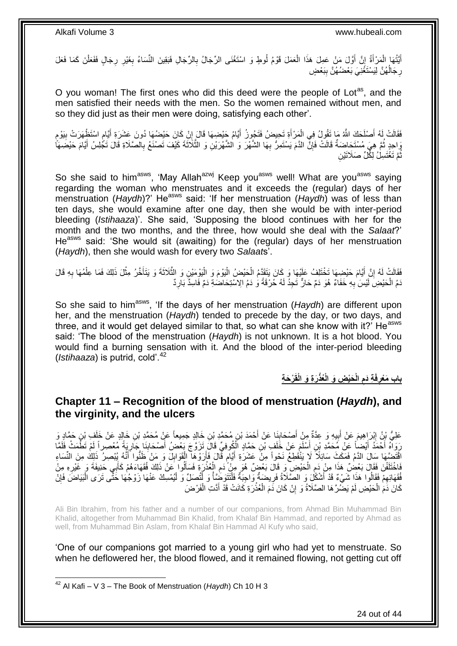أَيَّتُهَا الْمَرْأَةُ إِنَّ أَوَّلَ مَنْ عَمِلَ هَذَا الْعَمَلَ قَوْمُ لُوطٍ وَ اسْتَغْنَى الرِّجَالُ بِالرِّجَالِ فَبَقِينَ النِّسَاءُ بِغَيْرِ رِجَالٍ فَفَعَلْنَ كَمَا فَعَلَ ِ ْ اُ ِ َ ْ َ ِ ِ ْ ِ رِجَالُهُنَّ لِيَسْتَغْنِيَ بَعْضُهُنَّ بِبَعْضٍ **ِ** ا<br>ا ِ

O you woman! The first ones who did this deed were the people of Lot<sup>as</sup>, and the men satisfied their needs with the men. So the women remained without men, and so they did just as their men were doing, satisfying each other'.

فَقَالَتْ لَهُ أَصْلَحَكَ اللَّهُ مَا تَقُولُ فِي الْمَرْأَةِ تَحِيضُ فَتَجُوزُ أَيَّامُ جَيْضِهَا قَالَ إِنْ كَانَ حَيْضُهَا دُونَ عَشَرَةِ أَيَّامِ اسْتَظْهَرَتْ بِيَوْمِ ِ َ َ ْ َ ֧֩֘׆֧ ِ ֦֦֖֚֝֝֟֝֬֝֝ َ وَاحِدٍ ثُمَّ هِيَ مُسْتَحَاضَةٌ قَالَتْ فَإِنٍّ الدَّمَ يَسْتَمِرُّ بِهَا الشَّهْرَ وَ الشَّهْرَيْنِ وَ الثَّلَاثَةَ كَيْفَ تَصْنَعُ بِالصَّلَاةِ قَالَ تَكْلِسُ أَيَّامَ حَيْضِهَاْ ُ ِ َّ **∶** ِ َ ثُمَّ تَغْتَسِلُ لِكُلِّ صَلَاتَيْنِ ُ

So she said to him<sup>asws</sup>, 'May Allah<sup>azwj</sup> Keep you<sup>asws</sup> well! What are you<sup>asws</sup> saying regarding the woman who menstruates and it exceeds the (regular) days of her menstruation (*Haydh*)?' He<sup>asws</sup> said: 'If her menstruation (*Haydh*) was of less than ten days, she would examine after one day, then she would be with inter-period bleeding (*Istihaaza*)'. She said, 'Supposing the blood continues with her for the month and the two months, and the three, how would she deal with the *Salaat*?' He<sup>asws</sup> said: 'She would sit (awaiting) for the (regular) days of her menstruation (*Haydh*), then she would wash for every two *Salaat*s'.

َّ فَقَالَتْ لَهُ إِنَّ أَيَّامَ حَيْضِهَا تَخْتَلِفُ عَلَيْهَا وَ كَانَ يَتَقَدَّمُ الْحَيْضُ الْيَوْمَ وَ الْيَوْمَيْنِ وَ الثَّلَاثَةَ وَ يَتَأَخَّرُ مِثْلَ ذَلِكَ فَمَا عِلْمُهَا بِهِ قَالَ :<br>ا ْ ْ َ ِ ِ ْ **ٔ** َ دَمُ الْحَيْضِ لَيْسَ بِهِ خَفَاءٌ هُوَ دَمٌ حَارٌّ تَجِدُ لَهُ حُرْقَةً وَ دَمُ الِاسْتِحَاضُةِ دَمٌ فَاسِدٌ بَارِدٌ **∶ ∶** لَ

So she said to him<sup>asws</sup>, 'If the days of her menstruation (*Haydh*) are different upon her, and the menstruation (*Haydh*) tended to precede by the day, or two days, and three, and it would get delayed similar to that, so what can she know with it?' He<sup>asws</sup> said: 'The blood of the menstruation (*Haydh*) is not unknown. It is a hot blood. You would find a burning sensation with it. And the blood of the inter-period bleeding (*Istihaaza*) is putrid, cold'.<sup>42</sup>

> **ْر َح ِة َر ِة َو الْقَ ُعذْ َحْي ِض َو الْ الْ ِة َدم فَ باب َم ْعر ِ ِ**

### <span id="page-23-0"></span>**Chapter 11 – Recognition of the blood of menstruation (***Haydh***), and the virginity, and the ulcers**

عَلِيُّ بِنُ إِبْرَاهِيمَ عَنْ أَبِيهِ وَ عِدَّةٌ مِنْ أَصْحَابِنَا عَنْ أَحْمَدَ بْنِ مُحَمَّدِ بْنِ خَالِدٍ جَمِيعاً عَنْ مُحَمَّدِ بْنِ خَالِدٍ عَنْ خَلَفٍ بْنِ حَمَّادٍ وَ َ ِ **∣** َ ∣l<br>∶ رَوَاهُ أَحْمَدُ أَيْضاً عَنْ مُحَمَّدِ بْنِ أَسْلَمَ عَنْ خَلَفٍ بْنِ حَمَّادٍ الْكُوفِيِّ قَالَ تَزَوَّجَ يَعْضُ أَصْحَابِنَا جَارِيَةً مُعْصِراً لَمْ تَطْمَتْ فَلَقَا َ َ َ لَ ِ ِ َ اقْتَضَّهَا سَالَ الدَّمُ فَمَكَثٍ سَائِلًا لَا يَنْقَطِعُ نَحْواً مِنْ عَشَرَةِ أَيَّامٍ قَالَ فَأَرَوْهَا الْقَوَابِلَ وَ مَنْ ظَنُّوا أَنَّهُ يُبْصِرُ ذَلِكَ مِنَ النِّسَاءِ ِ ْ َ ٍ َ َ ِّفَاخْتَلَفْنَ فِقَالَ بَعْضٌ هَذَا مِنْ دَمِ الْحَيْضِ ۖ وَ قَالَ بَعْضٌ هُوَ مِنْ َدَمِ الْعُذْرَةِ فَسَأَلُوا عَنْ ذَلِكَ فُقَهَاءَهُمْ كَأَبِي حَنِيفَةَ وَ غَيْرِهِ مِنْ َ **ٔ** ْ ِ ْ ֧֧֧֚֚֚֚֚֚֚֚֚֚֚֚֚֚֚֝֓֡֓֓֝֓֡֓֡֓֡֓֡֡֡֬֜֝֓֡֡֡֬֓֡֡֓֡֡֡֬֓ ِ َ فُقَهَائِهِمْ فَقَالُوا هَذَا شَّيْءٌ قَدْ أَشْكُلِّ وَ الصَّلَاةُ فَرِيضَةٌ وَاجِبَةٌ فَلْتَتَوَضِّئًا وَ لَّتُصَلِّ وَ لْيُمْسِكُ عَنْهَا زَوْجُهَا خَثَّى تَرَى الْبَيَاضَ فَإِنَّ ِ ِ ِ ْ ْ ْ **Contracts** ْ كَانَ ذَمَ الْحَيْضِ لَمْ يَضُرَّ هَا الصَّلَاةُ وَ ۚ إِنْ كَانَ ذَمَ الْعُذْرَةِ كَانَتْ قَدْ أَدَّتِ الْفَرْضَ ْ َ **ٔ** ْ ِ ْ

Ali Bin Ibrahim, from his father and a number of our companions, from Ahmad Bin Muhammad Bin Khalid, altogether from Muhammad Bin Khalid, from Khalaf Bin Hammad, and reported by Ahmad as well, from Muhammad Bin Aslam, from Khalaf Bin Hammad Al Kufy who said,

'One of our companions got married to a young girl who had yet to menstruate. So when he deflowered her, the blood flowed, and it remained flowing, not getting cut off

<sup>42</sup> Al Kafi – V 3 – The Book of Menstruation (*Haydh*) Ch 10 H 3

 $\overline{\phantom{a}}$ 

24 out of 44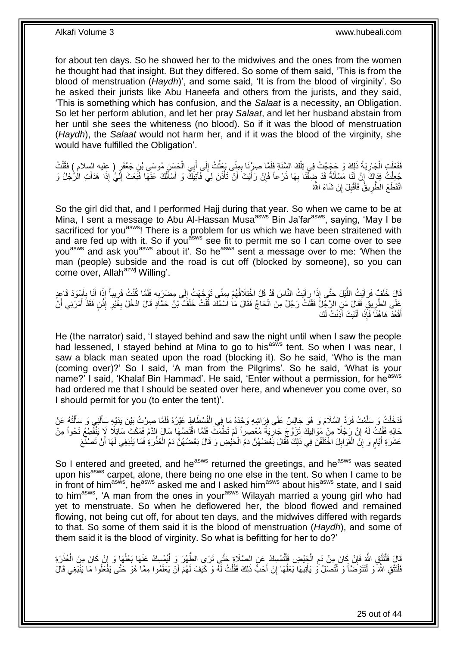for about ten days. So he showed her to the midwives and the ones from the women he thought had that insight. But they differed. So some of them said, 'This is from the blood of menstruation (*Haydh*)', and some said, 'It is from the blood of virginity'. So he asked their jurists like Abu Haneefa and others from the jurists, and they said, 'This is something which has confusion, and the *Salaat* is a necessity, an Obligation. So let her perform ablution, and let her pray *Salaat*, and let her husband abstain from her until she sees the whiteness (no blood). So if it was the blood of menstruation (*Haydh*), the *Salaat* would not harm her, and if it was the blood of the virginity, she would have fulfilled the Obligation'.

فَفَعَلَتِ الْجَارِيَةُ ذَلِكَ وَ حَجَجْتُ فِي تِلْكَ السَّنَةِ فَلَمَّا صِرْنَا بِمِنِّي بَعَثْتُ إِلَى أَبِي الْحَسَنِ مُوسَى بْنِ جَعْفَرٍ ( عِليه السلام ) فَقُلْتُ<br>. ْ َ ِ **ٔ** ِ ْ ِ ْ ْ جُعِلْتُ فِدَاكَ إِنَّ لَنَا مَسْأَلَةً قَدْ ضِقْنَا بِهَا ذَرْعاً فَإِنْ رَأَيْتَ أَنْ تَأْذَنَ لِيَ فَآتِيَكَ وَ أَسْأَلُكَ عَنْهَا فَبَعَثَ إِلَيَّ إِذَا هَدَأَتِ الْاُجْلُ وَ ِ ِ َ **׀** َ لَ ِ ُ ו<sup>ו</sup> َ ْ َ انْقَطَعَ الطُّرِيقُ فَأَقْبِلْ إِنْ شَاءَ اللَّهُ ِ **!** َ **∶** 

So the girl did that, and I performed Hajj during that year. So when we came to be at Mina, I sent a message to Abu Al-Hassan Musa<sup>asws'</sup> Bin Ja'far<sup>asws</sup>, saying, 'May I be sacrificed for you<sup>asws</sup>! There is a problem for us which we have been straitened with and are fed up with it. So if you<sup>dsws</sup> see fit to permit me so I can come over to see you<sup>asws</sup> and ask you<sup>asws</sup> about it'. So he<sup>asws</sup> sent a message over to me: 'When the man (people) subside and the road is cut off (blocked by someone), so you can come over, Allah<sup>azwj</sup> Willing'.

قَالَ خَلَفٍ فَرَأَيْتُ اللَّيْلَ حَتَّى إِذَا رَأَيْتُ النَّاسَ قَدْ قَلَّ اخْتِلَافُهُمْ بِمِنًى تَوَجَّهْتُ إِلَى مِصْرَبِهِ فَلَمًا كُنْتُ قَرِيباً إِذَا أَنَا بِأَسْوَدَ قَاعِدٍ<br>وَفَلا أَنَا بِأَسْوَدَ قَاعِدٍ َ َّ َ َ **∶** َ ِ ِ ِ ِ عَلَى الطَّرِيقِ فَقَالَ مَنِ الرَّجِلُ فَقُلْتُ رَجُلٌ مِنَ الْحَاجِّ فَقَالَ مَاٰ اَسْمُكَ قُلْتُ خَلَفَ بْنُ حَمَّادٍ قَالَ ادْخُلْ بِغَيْرِ إِنْنٍ فَقَدْ أَمَرَنِي أَنْ ْ ْ ْ ِ َ **ٔ** ِ **∶** َ أَقْعُدَ هَاهُنَا فَإِذَا أَتَيْتَ أَذِنْتُ لَكَ َ َ َ

He (the narrator) said, 'I stayed behind and saw the night until when I saw the people had lessened, I stayed behind at Mina to go to his<sup>asws</sup> tent. So when I was near, I saw a black man seated upon the road (blocking it). So he said, 'Who is the man (coming over)?' So I said, 'A man from the Pilgrims'. So he said, 'What is your name?' I said, 'Khalaf Bin Hammad'. He said, 'Enter without a permission, for he<sup>asws</sup> had ordered me that I should be seated over here, and whenever you come over, so I should permit for you (to enter the tent)'.

فَدَخَلْتُ وَ سَلَّمْتُ فَرَدَّ السَّلَامَ وَ هُوَ جَالِسٌ عَلَى فِرَاشِهِ وَحْدَهُ مَا فِي الْفُسْطَاطِ غَيْرُهُ فَلَمَّا صِرْتُ بَيْنَ يَدَيْهِ سَأَلَنِي وَ سَأَلْتُهُ عَنْ ْ َّ ْ ْ َ لَ Í حَالِهِ فَقُلْتُ لَهُ إِنَّ رَجُلًا مِنْ مَوَالِيكَ تَزَوَّجَ جَارِيَةً مُعْصِراً لَمْ تَطْمَتْ فَلَمَّا اقْتَضَمَّا سَالَ الدَّمُ فَمَكَثِّ سَائِلًا لَا يَنْقُطِعُ نَحْواً مِنْ لَ **∶** ِ ْ عَشَرَةِ أَيَّام وَ إِنَّ الْقَوَابِلَ اخْتَلَفْنَ فِي ذَلِكَ فَّقَالَ بَعْضُهُنَّ دَمُ الْحَيْضِ وَ قَالَ بَعْضُهُنَّ دَمُ الْعُذْرَةِ فَمَا يَنْبَغِي لَهَا أَنْ تَصنَّعَ ِ ْ ِ م َ َ **ٔ** ْ ْ

So I entered and greeted, and he<sup>asws</sup> returned the greetings, and he<sup>asws</sup> was seated upon his<sup>asws</sup> carpet, alone, there being no one else in the tent. So when I came to be in front of him<sup>asws</sup>, he<sup>asws</sup> asked me and I asked him<sup>asws</sup> about his<sup>asws</sup> state, and I said to him<sup>asws</sup>, 'A man from the ones in your<sup>asws</sup> Wilayah married a young girl who had yet to menstruate. So when he deflowered her, the blood flowed and remained flowing, not being cut off, for about ten days, and the midwives differed with regards to that. So some of them said it is the blood of menstruation (*Haydh*), and some of them said it is the blood of virginity. So what is befitting for her to do?'

َالَ فَلْتَتَّقِ اللَّهَ فَإِنْ كَانَ مِنْ دَمِ الْجَيْضِ فَلْتُمْسِكْ عَنِ الصَّلَاةِ حَتَّى تَرَى الطُّهْرَ وَ لْيُمْسِكْ عَنْهَا بَعْلُهَا وَ إِنْ كَانَ مِنَ الْعُزْرَةِ ْ ֦֖֖֦֧֦֦֦֖֦֧֦֦֖֦֧֦֦֧֦֦֧֦֪֦֪֪֦֧֦֪֦֧֦֧֦֪֦֧֦֪֪֦֧֦֧֦֪֪֦֧֦֧֦֧֦֧֦֧֟֟֟֟֟֟֟֟֟֟֟֟֟֟֟֟֟֟֟֟֟֬֟֟֟֟֟֓֞֟֟֟֟֬֟֟֓֞֟֟֩֕֟֟֩֞֟֟֓֞֟֟֟֟֟֝֟ ْ ; ِ ْ **ٔ** ْ ِ ا<br>ا فَلْتَتَّقِ اللَّهَ وَ لْتَتَوَضَّأْ وَ لْتُصَلِّ وَ يَأْتِيهَا بَعْلُهَا إِنْ أَحَبَّ ذَلِكَ فَقُلْتُ لَهُ وَ كَيْفَ لَهُمْ أَنْ يَعْلَمُوا مِمَّا هُوَ حَتَّى يَفْعَلُوا مَا يَنْبَغِي قَالَ َ ِ ٔ<br>ا ْ ֺ֦֦֦֧֦֦֪ׅ֧֦֧֦֧֦֧֦֧֦֪ׅ֦֧֦֪֪֦֧֦֧֝֟֟֓֕֓֕֓֕֓֕֓֕֓֓֡֓֓֡֟֓֡֟֓֡֟֓֡֟֓֡֟֓֡֟֩֓֓֞֓֞֓֞֟֓֡֟֓֡֟֓֟֩֓֟֓֟֓֟֟<br>֧֧֧֪֧֪֝֩֘֝֬֞֟׆<br>֧֪֘ ْ ْ ْ َ ْ

25 out of 44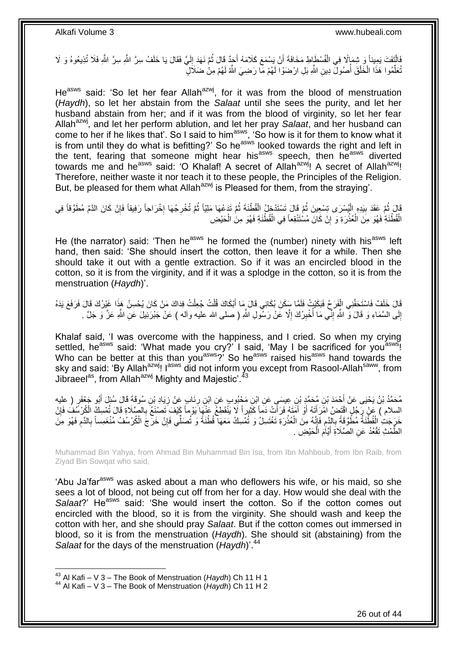فَالْتَفَتَ يَمِيناً وَ شِمَالًا فِي الْفُسْطَاطِ مَخَافَةَ أَنْ يَسْمَعَ كَلَامَهُ أَجَدٌ قَالَ ثُمَّ نَهَدَ إِلَيَّ فَقَالَ يَا خَلَفُ سِرَّ اللَّهِ سَرَّ اللَّهِ فَلَا تُذِيعُوهُ وَ لَا لَ ِ ان<br>المقامات َ ْ ֧֡֝֟֓<u>֓</u> تُعَلِّمُوا هَذَا الْخَلْقَ أُصُولَّ دِينِ اللَّهِ بَلِ ارْضَوْا لَهُمْ مَاۤ رَضِيَ اللَّهُ لَهُمْ مِنْٰ ضَلَالٍّ ُ ْ ْ ِّ

He<sup>asws</sup> said: 'So let her fear Allah<sup>azwj</sup>, for it was from the blood of menstruation (*Haydh*), so let her abstain from the *Salaat* until she sees the purity, and let her husband abstain from her; and if it was from the blood of virginity, so let her fear Allah<sup>azwj</sup>, and let her perform ablution, and let her pray *Salaat*, and her husband can come to her if he likes that'. So I said to him<sup>asws</sup>, 'So how is it for them to know what it is from until they do what is befitting?' So he<sup>asws</sup> looked towards the right and left in the tent, fearing that someone might hear his<sup>asws</sup> speech, then he<sup>asws</sup> diverted towards me and he<sup>asws</sup> said: 'O Khalaf! A secret of Allah<sup>azwj</sup>! A secret of Allah<sup>azwj</sup>! Therefore, neither waste it nor teach it to these people, the Principles of the Religion. But, be pleased for them what Allah<sup>azwj</sup> is Pleased for them, from the straying'.

قَالَ ثُمَّ عَقَدَ بِيَدِهِ الْيُسْرَى تِسْعِينَ ثُمَّ قَالَ تَسْتَدْخِلُ الْقُطْنَةَ ثُمَّ تَدَعُهَا مَلِيّاً ثُمَّ تُخْرِجُهَا إِخْرَاجاً رَفِيقاً فَإِنْ كَانَ الدَّمُ مُطَوَّقاً فِي **∶** ا پایا<br>ا ُ ْ .<br>• • • • ْ **!** ِ ׀.<br>? ْ الْقُطْنَةِ فَهُوَ مِنَ الْعُذْرَةِ ۖ وَ إِنْ كَانَ مُسْتَنْقِعاً فِي الْقُطْنَةِ فَهُوَ مِنَٰ الْحَيْضِ יִי, <u>ٔ</u> ْ ْ

He (the narrator) said: 'Then he<sup>asws</sup> he formed the (number) ninety with his<sup>asws</sup> left hand, then said: 'She should insert the cotton, then leave it for a while. Then she should take it out with a gentle extraction. So if it was an encircled blood in the cotton, so it is from the virginity, and if it was a splodge in the cotton, so it is from the menstruation (*Haydh*)'.

قَالَ خَلَفٌ فَاسْتَحَفَّنِي الْفَرَ حُ فَبَكَيْتُ فَلَمَّا سِكَنَ بُكَائِي قَالَ مِا أَبْكَاكَ قُلْتُ جُعِلْتُ فِدَاكَ مَنْ كَانَ يُحْسِنُ هَذَا غَيْرُكَ قَالَ فَرَفَعَ يَدَهُ ْ َ ْ ْ إِلَى السَّمَاءِ وَ قَالَ وَّ اللَّهِ إِنِّم مَا أُخْبِرُكَ إِلَّا عَنْ رَسْولِ اللَّهِ ( صلى الله عليه وأله ) عَنْ جَبْرَئِيلَ عَنِ اللَّهِ عَزَّ وَ جَلَّ . ِ ِ .<br>ا ِ ِ

Khalaf said, 'I was overcome with the happiness, and I cried. So when my crying settled, he<sup>asws</sup> said: 'What made you cry?' I said, 'May I be sacrificed for you<sup>asws</sup>! Who can be better at this than you<sup>asws</sup>?' So he<sup>asws</sup> raised his<sup>asws</sup> hand towards the sky and said: 'By Allah<sup>azwj</sup>! I<sup>asws</sup> did not inform you except from Rasool-Allah<sup>saww</sup>, from Jibraeel<sup>as</sup>, from Allah<sup>azwj</sup> Mighty and Majestic'.<sup>43</sup>

مُحَمَّدُ بْنُ يَحْيَى عَنْ أَحْمَدَ بْنِ مُحَمَّدٍ بْنِ عِيسَىٍ عَنِ ابْنِ مَحْبُوبٍ عَنِ ابْنِ رِئَابٍ عَنْ زِيَادِ بْنِ سُوقَةَ قَالَ سُئِلَ أَبُو جَعْفَرٍ ( عليه<br>. **∶ ∶** َ السلام ) عَنْ رَجُلٍ اقْتَضَّ امْرَأَتَهُ أَوْ أَمَتَهُ فَرَأَتْ دَمَاً كَثِيراً لَا يَنْقَطِعُ عَنْهَا يَوْماً كَيْفَ تَصنْغُ بِالصَّلَاةِ قَالَ تُمْسِكُ الْكُرْسَفَ فَإِنْ َ َ اُ َ ∣ļ ِ ْ خَرَجَتِ الْقُطْنَةُ مُطَّوَّقَةً بِالَّذِم فَإِنَّهُ مِنَ الْعُذْرَةِ تَغْتَسِلُ وَ تُمْسِكُ مَعَهَا قُطْنَةً وَ تُصَلِّي فَإِنْ خَرَجَ الْكُرْسُفُ مُنْغَمِساً بِالدَّم فَهُوَ مِنَّ ا<br>پُ ِ **∶** :<br>ا ِ ِ ∣ļ **ٔ** الطُّمْتِ تَقْعُدُ عَنِ الصَّلَاةِ أَيَّاَمَ الْكَيْضِ . ْ َ

Muhammad Bin Yahya, from Ahmad Bin Muhammad Bin Isa, from Ibn Mahboub, from Ibn Raib, from Ziyad Bin Sowqat who said,

'Abu Ja'far<sup>asws</sup> was asked about a man who deflowers his wife, or his maid, so she sees a lot of blood, not being cut off from her for a day. How would she deal with the *Salaat*?' He<sup>asws</sup> said: 'She would insert the cotton. So if the cotton comes out encircled with the blood, so it is from the virginity. She should wash and keep the cotton with her, and she should pray *Salaat*. But if the cotton comes out immersed in blood, so it is from the menstruation (*Haydh*). She should sit (abstaining) from the *Salaat* for the days of the menstruation (*Haydh*)'.<sup>44</sup>

<sup>43</sup> Al Kafi – V 3 – The Book of Menstruation (*Haydh*) Ch 11 H 1

<sup>44</sup> Al Kafi – V 3 – The Book of Menstruation (*Haydh*) Ch 11 H 2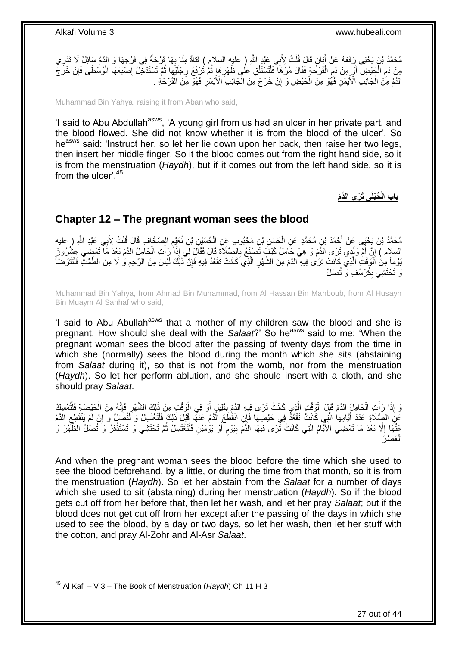مُحَمَّدُ بْنُ يَحْيَى رَفَعَهُ عَنْ أَبَانٍ قَالَ قُلْتُ لِأَبِي عَبْدِ اللَّهِ ( عليه السلام ) فَتَاةٌ مِنَّا بِهَا وَرْحَةٌ فِي فَرْجِهَا وَ النَّمُ سَائِلٌ لَا تَدْرِي ِ ْ َ ِ مِنْ دَمِ الْجَيْضِ أَوْ مِنْ دَمِ الْقَرْحَةِ فَقَالَ مُرْهَا فَلْتَسْتَلْقِ عَلَى ظَهْرِهَا ثُمَّ تَرْفَعُ رِجْلَيْهَا ثُمَّ تَسْتَدْخِلُ إِصْبَعَهَا الْوُسْطَى فَإِنْ خَرَجَ ُ ِ ا پایا<br>سال ِ ْ ْ ْ ֧֧֚֚֚֚֚֚֚֚֚֚֚֚֚֚֝֟֓֡֓׆֧ ْ **ُ** ِ ْ ِ ْ الذَّمُ مِنَ الْجَانِبِ الْأَيْمَنِ فَهُُوَ مِنَ الْحَيْضِ وَ إِنْ خَرَجَ مِنَ الْجَانِبِ الْأَيْسَٰرِ فَهُوَ مِنَ الْقَرْحَةِ . ْ ْ ِ ْ ِ

Muhammad Bin Yahya, raising it from Aban who said,

'I said to Abu Abdullah<sup>asws</sup>, 'A young girl from us had an ulcer in her private part, and the blood flowed. She did not know whether it is from the blood of the ulcer'. So he<sup>asws</sup> said: 'Instruct her, so let her lie down upon her back, then raise her two legs, then insert her middle finger. So it the blood comes out from the right hand side, so it is from the menstruation (*Haydh*), but if it comes out from the left hand side, so it is from the ulcer<sup>'.45</sup>

**ُحْبلَى َت َرى الَّدَم باب الْ**

### <span id="page-26-0"></span>**Chapter 12 – The pregnant woman sees the blood**

مُحَمَّدُ بْنُ يَحْيَى عَنْ أَحْمَدَ بْنِ مُحَمَّدٍ عَنِ الْحَسَنِ بْنِ مَحْبُوبٍ عَنِ الْحُسَيْنِ بْنِ نُعَيْمٍ الصَّحَّافِ قَالَ قُلْتُ لِأَبِي عَبْدِ اللَّهِ ( عليه ْ ْ ْ ٍ السلام ) إِنَّ أُمَّ وَلَدِي تَرَى الأَمَ وَ هِيَ جَامِلٌ كَيْفَ تَصَنْعُ بِالصَّلَاةِ قَالَ فَقَالَ لِي إِذَا رَأَتِ الْحَامِلُ الذَّمَ بَعْدَ مَا تَمْضِي عِثْرُونَ ْ َ **∶** ैं।<br>। َّ يَوْماً مِنَ اَلْوَقْتِ الَّذِي كَانَتْ تَرَى فِيهِ ۗالدَّمَ مِنَ الشَّهْرِ الَّذِي كَانَتْ تَقْعُدُ فِيهِ فَإِنَّ ذَلِكَ لَيْسَ مِنَ الرَّحِمِ وَ لَا مِنَ الطَّمْثِ فَلْتَتَوَضَّأْ ْ ِ ِ َّ **∶** ْ ْ رَ تَحْتَشِي بِكُرْسُفٍ وَ تُصَلِّ ِ

Muhammad Bin Yahya, from Ahmad Bin Muhammad, from Al Hassan Bin Mahboub, from Al Husayn Bin Muaym Al Sahhaf who said,

'I said to Abu Abullah<sup>asws</sup> that a mother of my children saw the blood and she is pregnant. How should she deal with the *Salaat*?' So he<sup>asws</sup> said to me: 'When the pregnant woman sees the blood after the passing of twenty days from the time in which she (normally) sees the blood during the month which she sits (abstaining from *Salaat* during it), so that is not from the womb, nor from the menstruation (*Haydh*). So let her perform ablution, and she should insert with a cloth, and she should pray *Salaat*.

وَ إِذَا رَأَتِ الْحَامِلُ الْأَمَ قَبْلَ الْوَقْتِ الَّذِي كَانَتْ تَرَى فِيهِ النَّمَ بِقَلِيلٍ أَوْ فِي الْوَقْتِ مِنْ ذَلِكَ الشَّهْرِ فَإِنَّهُ مِنَ الْحَيْضَةِ فَلْتُمْسِكُ ْ **ِ** َّ ْ ْ َ ْ ِ ِ ْ ْ عَنِ الصَّلَاةِ عَدَدَ أَيَّامِهَا الَّذِي كَانَتْ نَقْعُذُ فِي حَيْضِهَا فَإِنِ انْقَطَّعَ الَّذَمُ عَنْهَا قَبْلَ ذَلِكَ فَلْتَغْتَسِلْ وَ لَنُصَلٍّ وَ إِنْ لَمْ يَنْقَطِعِ الدَّمُ َّ َ ِ ِ ْ عَذْهَا إِلَّا بَعْدَ مَا تَمْضِي الْأَيِّامُ الَّتِي كَانَتْ تَّرَى فِيهَا الذَّمَّ بِيَوْمٍ أَوْ يَوْمَيْنِ فَأَنَّغْتَسِلْ ثُمَّ تَحْتَشِي وَ تَسْتَذْفِرُ وَ تُصَلِّ الظُّهْرَ وَ َّ  $\ddot{\phantom{a}}$ **ٔ** ُ ْ ֧֧֧֧֧֧֧֧֓֝֓֝֓֝֓֝֬֟֓֟֓֓֓֟֓֓֟֓֓<del>֛</del> ِ مَصْرَ ْ ال

And when the pregnant woman sees the blood before the time which she used to see the blood beforehand, by a little, or during the time from that month, so it is from the menstruation (*Haydh*). So let her abstain from the *Salaat* for a number of days which she used to sit (abstaining) during her menstruation (*Haydh*). So if the blood gets cut off from her before that, then let her wash, and let her pray *Salaat*; but if the blood does not get cut off from her except after the passing of the days in which she used to see the blood, by a day or two days, so let her wash, then let her stuff with the cotton, and pray Al-Zohr and Al-Asr *Salaat*.

 $\overline{\phantom{a}}$ <sup>45</sup> Al Kafi – V 3 – The Book of Menstruation (*Haydh*) Ch 11 H 3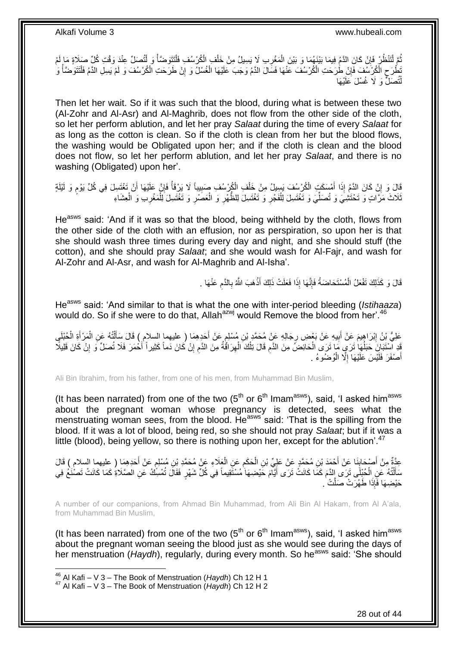ُّمَّ لْتَنْظُرِ فَإِنْ كَانَ الدَّمُ فِيمَا بَيْنَهُمَا وَ بَيْنَ الْمَغْرِبِ لَا يَسِيلُ مِنْ خَلْفٍ الْكُرْسُفِ فَلْتَتَوَضَّأْ وَ لِنُتُصَلِّ عِنْدَ وَقْتِ كُلِّ صَلَاةٍ مَا لَمْ ْ ْ ْ ْ ْ **∶** ْ ِ يَطُّرَحِ الْكُرْسَفَ فَإِنْ طَرَحَتِ الْكُرْسُفَ عَنْهَا فَسَالَ الدَّمُ وَجَبَ عَلَيْهَا الْغُسْلُ وَ إِنْ طَرَحَتِ الْكُرْسُفَ وَ لَمْ يَسِلِ الدَّمُ فَلْتَتَوَضَّأْ وَ ِ ِ ْ ْ ِ ْ لْتُصَلُّ وَ لَا غُسْلَ َعَلَيْهَا ֦֧֦֦֦֦֧֦֦֧֦֦֧֦֦֧֦֧֦֧֦֧֦֧֦֧֦֧֦֧֦֪֦֧֦֪֦֧֦֧֦֪֦֧֦֧֦֧֦֧֦֧֦֧֦֧֦֧֦֪֦֧֦֧֘֝֟֟֟֟֟֟֟֟֟֘֟֟֟֘֟֟֟֟֟֟֟֟֘֟֓֕֟֓֞֟֟֓֞֟֟֓֟֓֟֓֟֟֟֟

Then let her wait. So if it was such that the blood, during what is between these two (Al-Zohr and Al-Asr) and Al-Maghrib, does not flow from the other side of the cloth, so let her perform ablution, and let her pray *Salaat* during the time of every *Salaat* for as long as the cotton is clean. So if the cloth is clean from her but the blood flows, the washing would be Obligated upon her; and if the cloth is clean and the blood does not flow, so let her perform ablution, and let her pray *Salaat*, and there is no washing (Obligated) upon her'.

ْقَالَ وَ إِنْ كَانَ الدَّمُ إِذَا أَمْسَكَتِ الْكُرْسُفَ يَسِيلُ مِنْ خَلْفِ الْكُرْسُفِ صَبِيباً لَا يَرْقَأُ فَإِنَّ عَلَيْهَا أَنْ تَغْتَسِلَ فِي كُلِّ يَوْمٍ وَ لَيْلَةٍ<br>بَعْدَ الْمَسْئِمَةِ الْمَوْلِمِينَ الْكُرْسُفَ َ ِ م َ ِ ا<br>ا ِ ْ ُلَاثَ مَرَّاتٍ وَ تَحْتَشِيَ وَ تُصَلِّيَ وَ تَغْتَسِلَ لِلْفَجْرِ وَ تَغْتَسِلَ لِلظَّهْرِ وَ الْعَصَٰرِ وَ تَغْتَسِلَ لِلْمَغْرِبِ وَ الْعِشَاءِ ِ ْ **∶ ∶** ْ ِّ ْ ِ ْ

He<sup>asws</sup> said: 'And if it was so that the blood, being withheld by the cloth, flows from the other side of the cloth with an effusion, nor as perspiration, so upon her is that she should wash three times during every day and night, and she should stuff (the cotton), and she should pray *Salaat*; and she would wash for Al-Fajr, and wash for Al-Zohr and Al-Asr, and wash for Al-Maghrib and Al-Isha'.

> قَالَ وَ كَذَلِكَ تَفْعَلُ الْمُسْتَحَاضَهُ فَإِنَّهَا إِذَا فَعَلَتْ ذَلِكَ أَذْهَبَ اللَّهُ بِالدَّمِ عَنْهَا . **ٔ:** َ ِ ْ ِ **∶**

He<sup>asws</sup> said: 'And similar to that is what the one with inter-period bleeding (*Istihaaza*) would do. So if she were to do that, Allah<sup>azwj</sup> would Remove the blood from her'.<sup>46</sup>

عَلِيُّ بِنُ إِبْرَاهِيمَ عَنْ أَبِيهِ عَنْ بَعْضِ رِجَالِهِ عَنْ مُحَمَّدٍ بْنِ مُسْلِمٍ عَنْ أَحَدِهِمَا ( عليهما السلام ) قَالَ سِأَلْتُهُ عَنِ الْمَرْأَةِ الْخُلِلَيِ ِ َ <u>֖֚֚֚֓</u> ْ َ ْ ْ ĺ َ ֧֚֚֚֚֚֚֚֚֚֚֚֚֚֓֝ ِ قَدِ اْسْتَبَانَ حَبَلُهَا تَرَىِ مَا تَرَى الْحَائِضُ مِنَ الدَّم قَالَ تِلْكَ الْهِرَاقَةُ مِنَ الدَّم إِنْ كَانَ ذَماً كَثِيراً أَخْمَرَ فَلَا تُصَلِّ وَ إِنْ كَانَ فَلِيلًا ِ ِ ِ ْ ْ ِ ْ ا<br>ا َ ِ أَصْفَرَ فَلَيْسَ عَلَيْهَا إِلَّا الْوُضُوءُ <sub>.</sub> ْ ِ َ

Ali Bin Ibrahim, from his father, from one of his men, from Muhammad Bin Muslim,

(It has been narrated) from one of the two  $(5<sup>th</sup>$  or  $6<sup>th</sup>$  Imam<sup>asws</sup>), said, 'I asked him<sup>asws</sup> about the pregnant woman whose pregnancy is detected, sees what the menstruating woman sees, from the blood. He<sup>asws</sup> said: 'That is the spilling from the blood. If it was a lot of blood, being red, so she should not pray *Salaat*; but if it was a little (blood), being yellow, so there is nothing upon her, except for the ablution<sup>'.47</sup>

عِدَّةٌ مِنْ أَصْحَابِنَا عَنْ أَحْمَدَ بْنِ مُحَمَّدٍ عَنْ عَلِيٍّ بْنِ الْحَكَمِ عَنِ الْعَلَاءِ عَنْ مُحَمَّدٍ بْنِ مُسْلِمٍ عَنْ أَحَدِهِمَا ( عليهما السلام ) قَالَ<br>مَنْ أُحَدِهِمَا ( ْ ِ ْ َ **∣** َ ֧֧֖֧֖֧֖֧֧֧֧֧֧֧֧֧֧֧֧֚֚֚֓֝֝֝֝֝֟֓֝֓֬֝֓֝֬֟֓֟֓֝֬֟֓֟֓֝֬֝֬֝֓֟֓֝֬֜֝֬֝֓֝֬֝֓ ֺ֖֧֝֟֟֓֟֓֟֓֕֓֡֓֟֓֟֓֡֟֟֘֩֓<u>֦֖</u> سَأَلْتُهُ عَنِ الْحُبْلَى تَرَى إِلدَّمَ كَمَا كَانَتْ تَرَى أَيَّامَ خَيْضِهَا مُسْتَقِيماً فِي كُلِّ شَهْرٍ فَقَالَ تُمْسِّكُ عَنِ الصَّلَاةِ كَمَا كَانَتْ تَصْنَعُ فِي َ َ ْ حَيْضِهَا فَإِذَا طَهُرَتْ صَلَّتْ ۚ.

A number of our companions, from Ahmad Bin Muhammad, from Ali Bin Al Hakam, from Al A'ala, from Muhammad Bin Muslim,

(It has been narrated) from one of the two  $5<sup>th</sup>$  or  $6<sup>th</sup>$  Imam<sup>asws</sup>), said, 'I asked him<sup>asws</sup> about the pregnant woman seeing the blood just as she would see during the days of her menstruation (*Haydh*), regularly, during every month. So he<sup>asws</sup> said: 'She should

1

<sup>47</sup> Al Kafi – V 3 – The Book of Menstruation (*Haydh*) Ch 12 H 2

<sup>46</sup> Al Kafi – V 3 – The Book of Menstruation (*Haydh*) Ch 12 H 1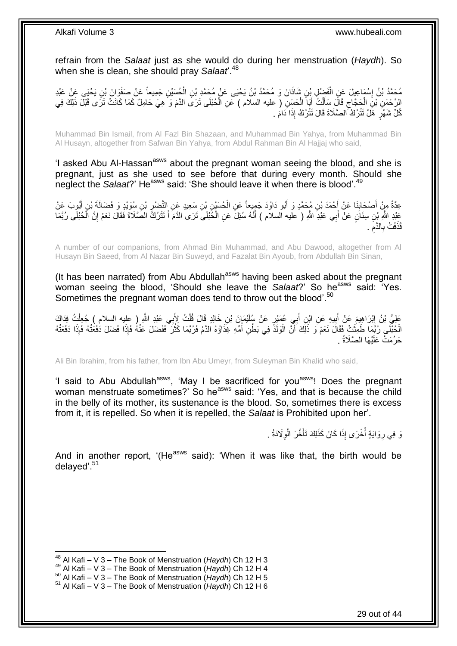refrain from the *Salaat* just as she would do during her menstruation (*Haydh*). So when she is clean, she should pray *Salaat*'.<sup>48</sup>

مُحَمَّدُ بْنُ إِسْمَاعِيلَ عَنِ الْفَضْلِ بِْنِ شَاذَانَ وَ مُحَمَّدُ بْنُ يَحْيَى عَنْ مُحَمَّدِ بْنِ الْحُسَيْنِ جَمِيعاً عَنْ صَفْوَانَ بْنِ يَحْيَى عَنْ عَبْدِ<br>دَيَمَةٍ ْ ْ ֘<u>֓</u> الرَّحْمَنِ بْنِ الْحَجَّاجِ قَالَ سَأَلْتُ أَبَا الْحَسَنِ ( عليه السلام ) عَنِ الْحُبْلَى تَرَى الذَّمَ وَ هِيَ حَامِلٌ كَمَا كَانَتْ تَرَى قَبْلَ ذَلِكَ فِي<br>مُدَّجِّدَ مَعْ مَنْ مَثَّلِ الْمُحَمَّدِينَ مِنْ الْمُحَسِّن ْ ْ َ ْ َ  $\zeta$ ْ كُلِّ شَهْرٍ ۚ هَلْ نَتْرُكُ ۖ الصَّلَاةَ قَالَ نَتْرُكُ ۚ إِذَا دَامَ ۚ .

Muhammad Bin Ismail, from Al Fazl Bin Shazaan, and Muhammad Bin Yahya, from Muhammad Bin Al Husayn, altogether from Safwan Bin Yahya, from Abdul Rahman Bin Al Hajjaj who said,

'I asked Abu Al-Hassan<sup>asws</sup> about the pregnant woman seeing the blood, and she is pregnant, just as she used to see before that during every month. Should she neglect the *Salaat*?' He<sup>asws</sup> said: 'She should leave it when there is blood'.<sup>49</sup>

ِ عِدَّةٌ مِنْ أَصْحَابِنَا عَنْ أَحْمَدَ بْنِ مُحَمَّدٍ وَ أَبُو دَاوُدَ جَمِيعاً عَنِ الْحُسَيْنِ بْنِ سَعِيدٍ عَنِ النَّصْرِ بْنِ سُوَيْدٍ وَ فَضَالَةَ بْنِ أَيْوِبَ عَنْ ْ َ َ ِ َ َ عَبْدِ اللَّهِ بْنِ سِنَانٍ عَنْ أَبِي عَبْدِ اللَّهِ ( عليه السلام ) أَنَّهُ سُئِلَ عَنِ الْخُبْلَى تَرَى الدَّمَ أَ تَتْرُكَ الصَّلَاةَ فَقَالَ نَعَمْ إِنَّ الْحُبْلَى رُبَّمَا َ ْ ِ َ ْ َ قَذَفَتْ بِالذَّمَ . ِ ِ

A number of our companions, from Ahmad Bin Muhammad, and Abu Dawood, altogether from Al Husayn Bin Saeed, from Al Nazar Bin Suweyd, and Fazalat Bin Ayoub, from Abdullah Bin Sinan,

(It has been narrated) from Abu Abdullah<sup>asws</sup> having been asked about the pregnant woman seeing the blood, 'Should she leave the *Salaat*?' So he<sup>asws</sup> said: 'Yes. Sometimes the pregnant woman does tend to throw out the blood'.<sup>50</sup>

عَلِيُّ بْنُ إِبْرَاهِيمَ عَنْ أَبِيهِ عَنِ ابْنِ أَبِي عُمَيْرٍ عَنْ سُلَيْمَإِنَ بْنِ خَالِدٍ قَالَ قُلْتُ لِأَبِي عَبْدِ اللَّهِ ( عِلِيه السلام ) جُعِلْتُ فِذَاكَ<br>وَفَيْ أَسْرِ الْعَلَيْمِ عَنْ أَبِيهِ عَنِ ابْنِ أَبِ ْ َ  $\ddot{\phantom{a}}$ َ **ֽ**ו ْ َ الْحُبْلَى ۚ رُبِّمَا ۖ طَمِثَتْ فَقَالَ نَعَمْ ۖ وَ ذَلِّكَ أَنَّ الْوَلَدَّ فِي بَطْنِ أُمِّهِ غِذَاوُهُ الدَّمُ فَرُبَّمَا كَثُرَ ۖ فَفَضْلَ عَنْهُ فَإِذَا فَضَلَ كَفَعَتْهُ فَإِذَا دَفَعَتْهُ ْ ان<br>سال ا<br>ا ْ َ حَرُمَتْ عَلَيْهَا الصَّلَاةُ .

Ali Bin Ibrahim, from his father, from Ibn Abu Umeyr, from Suleyman Bin Khalid who said,

'I said to Abu Abdullah<sup>asws</sup>, 'May I be sacrificed for you<sup>asws</sup>! Does the pregnant woman menstruate sometimes?' So he<sup>asws</sup> said: 'Yes, and that is because the child in the belly of its mother, its sustenance is the blood. So, sometimes there is excess from it, it is repelled. So when it is repelled, the *Salaat* is Prohibited upon her'.

> نَ فِي رِوَايَةٍ أُخْرَى إِذَا كَانَ كَذَلِكَ تَأَخَّرَ الْوِلَادَةُ . ِ َ ا<br>ا ِ

And in another report, '(He<sup>asws</sup> said): 'When it was like that, the birth would be delayed'.<sup>51</sup>

 $\overline{\phantom{a}}$ 

<sup>48</sup> Al Kafi – V 3 – The Book of Menstruation (*Haydh*) Ch 12 H 3

<sup>49</sup> Al Kafi – V 3 – The Book of Menstruation (*Haydh*) Ch 12 H 4

<sup>50</sup> Al Kafi – V 3 – The Book of Menstruation (*Haydh*) Ch 12 H 5

<sup>51</sup> Al Kafi – V 3 – The Book of Menstruation (*Haydh*) Ch 12 H 6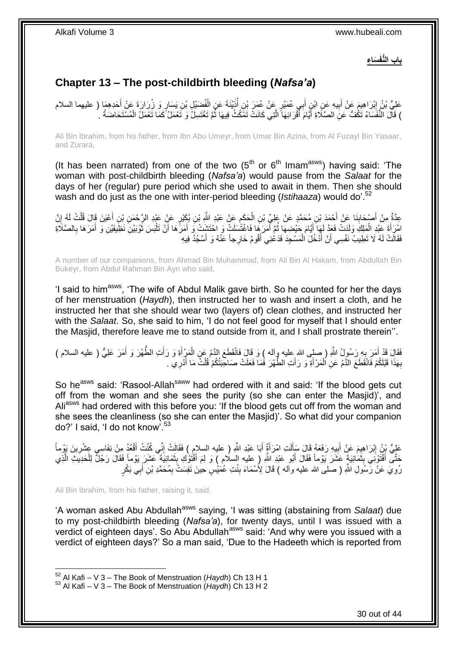**َسا ِء باب الُّنفَ**

## <span id="page-29-0"></span>**Chapter 13 – The post-childbirth bleeding (***Nafsa'a***)**

عَلِيُّ بْنُ إِبْرَاهِيمَ عَنْ أَبِيهِ عَنِ ابْنِ أَبِي عُمَيْرٍ عَنْ عُمَرَ بْنِ أُذَيْنَةَ عَنِ الْفُضَيْلِ بْنِ يَسَارٍ وَ زُرَارَةَ عَنْ أَحَدِهِمَا ( عليهما السلام ُ َ **!** َ ِ َ ْ ) قَالَ النَّفَسَاءُ تَكُفُّ عَنِ الصَّلَاةِ أَيَّامَ أَقْرَائِهَا الَّتِي كَانَتْ تَمْكُثُ فِيهَا ثُمَّ تَغْتَسِلُ وَ نَعْمَلُ كَمَا تَعْمَلُ الْمُسْتَحَاضَةُ . المالية المالية المالية المالية المالية المالية المالية المالية المالية المالية المالية المالية ال<br>المالية المالية المالية المالية المالية المالية المالية المالية المالية المالية المالية المالية المالية المالي َّ َ َ ْ

Ali Bin Ibrahim, from his father, from Ibn Abu Umeyr, from Umar Bin Azina, from Al Fuzayl Bin Yasaar, and Zurara,

(It has been narrated) from one of the two  $(5<sup>th</sup>$  or  $6<sup>th</sup>$  Imam<sup>asws</sup>) having said: 'The woman with post-childbirth bleeding (*Nafsa'a*) would pause from the *Salaat* for the days of her (regular) pure period which she used to await in them. Then she should wash and do just as the one with inter-period bleeding (*Istihaaza*) would do<sup>'.52</sup>

عِدَّةٌ مِنْ أَصْحَابِنَا عَنْ أَحْمَدَ بْنِ مُحَمَّدٍ عَنْ عَلِيِّ بْنِ الْحَكَمِ عَنْ عَبْدِ النَّهِ بْنِ بُكَيْرٍ عَنْ عَبْدِ الرَّحْمَنِ بْنِ أَعْيَنَ قَالَ قُلْتُ لَهُ إِنَّ<br>جَمَّةٍ مِنْ أَعْيَنَ قَالَ قُلْتُ لَهُ إِ **∣** َ ِ ْ َ ِ ْ َّمْرِ الْمَلِكِ وَلَدَتْ فَعَذَّ لَهَا أَيَّامَ حَيْضِهَا ثُمَّ أَمَرَهَا فَاغْتُسَلَتْ وَ احْتَشَتْ وَ أَمَرَهَا أَنْ تَلْبَسَ ثَوْبَيْنِ نَظِيفَيْنِ وَ أَمَرَهَا بِالصَّلَاةِ<br>َكِيفَ عَصَادِ الْمَلِكِ وَلَدَتْ فَعَ مُوْ َ َ ُ َ ْ َ :<br>ا اُ ِ َ َ فَقَالَتْ لَهُ لَا تَطِيبُ نَفْسِي أَنْ أَدْخُلَ الْمَسْجِدَ فَدَعْنِي أَقُومُ خَارِجاً عَنْهُ وَ أَسْجُدُ فِيهِ َ ْ َ اً

A number of our companions, from Ahmad Bin Muhammad, from Ali Bin Al Hakam, from Abdullah Bin Bukeyr, from Abdul Rahman Bin Ayn who said,

'I said to him<sup>asws</sup>, 'The wife of Abdul Malik gave birth. So he counted for her the days of her menstruation (*Haydh*), then instructed her to wash and insert a cloth, and he instructed her that she should wear two (layers of) clean clothes, and instructed her with the *Salaat*. So, she said to him, 'I do not feel good for myself that I should enter the Masjid, therefore leave me to stand outside from it, and I shall prostrate therein''.

فَقَالَ قَدْ أَمَرَ بِهِ رَسُولُ اللَّهِ ( صلى الله عليه وآله ) وَ قَالَ فَانْقَطَعَ الدَّمُ عَنِ الْمَزْأَةِ وَ رَأَتِ الطُّهْرَ وَ أَمَرَ عَلِيٌّ ( عليه السلام )<br>يَمْ يَمْ أَمَرَ مِنْ أَمْرَ مِنْ أَمْرٍ فَيْ أَمْرٍ مِنْ َ َ ْ ِ َ َ بِهَذَا قَبْلَكُمْ فَانْقَطَعَ الذَّمُ عَنِ اُلْمَرْ أَةِ وَ رَأَتِ الطُّهْرَ فَمَا فَعَلَتْ صَاحِبَتُكُمْ قُلْتُ مَا أَدْرِي . َ َ ْ **∶** ِ َ ْ

So he<sup>asws</sup> said: 'Rasool-Allah<sup>saww</sup> had ordered with it and said: 'If the blood gets cut off from the woman and she sees the purity (so she can enter the Masjid)', and Ali<sup>asws</sup> had ordered with this before you: 'If the blood gets cut off from the woman and she sees the cleanliness (so she can enter the Masjid)'. So what did your companion do?' I said, 'I do not know'.<sup>53</sup>

لَ َ عَلِيُّ بِْنُ إِبْرَاهِيمَ عَنْ أَبِيهِ رَفَعَهُ قَالَ سَأَلَتِ امْرَأَةٌ أَبَا عَبْدِ اللّهِ ( عليه السلامِ ) فَقَالَتْ إِنِّي كُنْتُ أَقْعُدُ مِنْ نِفَاسِي عِشْرِينَ يَوْماً **!** َ **ֽו** ِ َ ِ َ َ حَتَّى أَفْتَوْنِي بِثَمَانِيَةٍ عَشَرَ يَوْماً فَقَالَ أَبُو عَبْدِ اللَّهِ ( عليه السلام ) وَ لِمَ أَفْتُوْكِ بِثَمَانِيَةٍ عَشَرَ بِوْماً فَقَالَ رَجُلٌّ لِلْحَدِيثِ الَّذِي َ ِ َ َ ان<br>ا ِ َ َّ ْ رُوِيَ عَنْ رَّسُولِ اللَّهِ ( صلى الله عليه وآله ) قَالَ لِأَسْمَاءَ بِنْتِ عُمُيْسٍ حِينَ نَفِسَتٌ بِمُحَمَّدِ بْنِ أَبِيّ بَكْرٍ َ ِ  $\frac{1}{2}$ **∶** 

Ali Bin Ibrahim, from his father, raising it, said,

1

'A woman asked Abu Abdullah<sup>asws</sup> saying, 'I was sitting (abstaining from *Salaat*) due to my post-childbirth bleeding (*Nafsa'a*), for twenty days, until I was issued with a verdict of eighteen days'. So Abu Abdullah<sup>asws</sup> said: 'And why were you issued with a verdict of eighteen days?' So a man said, 'Due to the Hadeeth which is reported from

<sup>52</sup> Al Kafi – V 3 – The Book of Menstruation (*Haydh*) Ch 13 H 1

<sup>53</sup> Al Kafi – V 3 – The Book of Menstruation (*Haydh*) Ch 13 H 2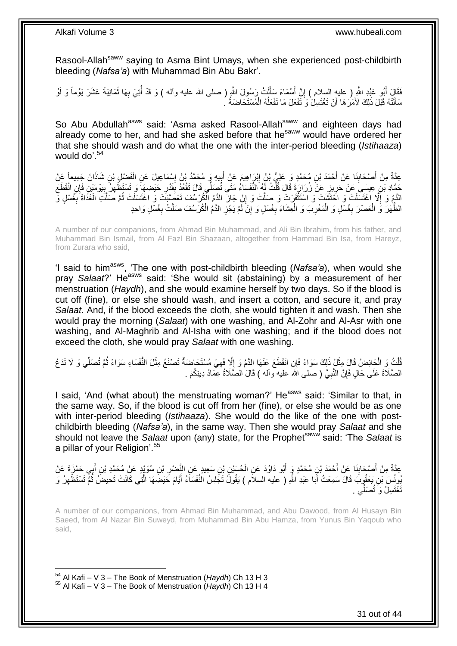Rasool-Allah<sup>saww</sup> saying to Asma Bint Umays, when she experienced post-childbirth bleeding (*Nafsa'a*) with Muhammad Bin Abu Bakr'.

فَقَالِ أَبُو عَبْدِ اللَّهِ ( عليهِ السلام ) إِنَّ أَسْمَاءَ سَأَلَتْ رَسُولَ اللَّهِ ( صلى الله عليه وأله ) وَ قَدْ أُنِيَ بِهَا ثَمَانِيَةَ عَشَرَ يَوْماً وَ لَوْ **∶** ا<br>أ َ َ ِ َ سَأَلَتْهُ قَبْلَ ذَلِكَ لَأَمَرَ هَا أَنْ تَغْتَسِلْ وَ تَفْعَلَ مَا تَفْعَلُهُ الْمُسْتَحَاضَهُ ' ْ ُ اً لَ َ

So Abu Abdullah<sup>asws</sup> said: 'Asma asked Rasool-Allah<sup>saww</sup> and eighteen days had already come to her, and had she asked before that he<sup>saww</sup> would have ordered her that she should wash and do what the one with the inter-period bleeding (*Istihaaza*) would do'. $54$ 

عِدَّةٌ مِنْ أَصْحَابِنَا عَنْ أَحْمَدَ بْنِ مُحَمَّدٍ وَ عَلِيُّ بْنُ إِبْرَاهِيمَ عَنْ أَبِيهِ وَ مُحَمَّدُ بْنُ إِسْمَاعِيلَ عَنِ الْفَضْلِ بْنِ شَاذَانَ جَمِيعاً عَنْ ِ ِ َ ِ َ **∣** َ ْ حَمَّادِ بْنِ عِسِيَ عَنْ حَرِيزٍ عَنْ زُرَارَةَ قَالَ قُلْتُ لَهُ النُّفَسَاءُ مَتَى ثُصَلِّي قَالَ تَقْعُدُ بِقَدْرِ حَيْضِهَا ۖ وَ تَسْتَظْهِلُّ بِيَوْمَيْنِ فَإِنِ انْقَطَعَ ْ ِ ِ ِ ِ  $\frac{1}{2}$ النَّمُ وَ إِلَّا اغْتَسَلَتْ وَ اخْتَشَتْ وَ اسْتَثْفَرَتْ وَ صَلَّتْ وَ إِنْ جَازَ الدَّمُ الْكُرْسُفَ تَعَصِّبَتْ وَ اغْتَسَلَتْ ثُمَّ صَلَّتِ الْغَدَاةَ بِغُسْلٍ وَّ ِ **ٔ** ِ **∶** ْ َّ ا<br>المقام الظَّهْرَ وَ الْعَصْرَ بِغُسْلٍ وَ الْمَغْرِبَ وَ الْعِشَاءَ بِغُسْلٍ وَ إِنْ لَمْ يَجُزِ الدَّهُ الْكُرْسُفَ صَلَّتْ بِغُسْلٍ وَاحِدٍ ِ ِ ِ ِ ْ **ٍ** ْ **∶** ْ

A number of our companions, from Ahmad Bin Muhammad, and Ali Bin Ibrahim, from his father, and Muhammad Bin Ismail, from Al Fazl Bin Shazaan, altogether from Hammad Bin Isa, from Hareyz, from Zurara who said,

'I said to himasws, 'The one with post-childbirth bleeding (*Nafsa'a*), when would she pray *Salaat*?' He<sup>asws</sup> said: 'She would sit (abstaining) by a measurement of her menstruation (*Haydh*), and she would examine herself by two days. So if the blood is cut off (fine), or else she should wash, and insert a cotton, and secure it, and pray *Salaat*. And, if the blood exceeds the cloth, she would tighten it and wash. Then she would pray the morning (*Salaat*) with one washing, and Al-Zohr and Al-Asr with one washing, and Al-Maghrib and Al-Isha with one washing; and if the blood does not exceed the cloth, she would pray *Salaat* with one washing.

ْ ُّلْتُ وَ الْحَائِضُ قَالَ مِثْلُ ذَلِكَ سَوَاءً فَإِنِ انْقَطَعَ عَنْهَا الدَّمُ وَ إِلَّا فَهِيَ مُسْتَحَاضَةٌ تَصْنَعُ مِثْلَ النَّفَسَاءِ سَوَاءً ثُمَّ تُصَلِّي وَ لَا تَدَعُ ِ ِ ْ ْ ْ ُ الصَّلَاةَ عَلَى حَالٍ فَإِنَّ النَّبِيَّ ( صلى الله عليه وآله ) قَالَ الصَّلَاةُ عِمَادُ دِينِكُمْ . ِ ِ

I said, 'And (what about) the menstruating woman?' He<sup>asws</sup> said: 'Similar to that, in the same way. So, if the blood is cut off from her (fine), or else she would be as one with inter-period bleeding (*Istihaaza*). She would do the like of the one with postchildbirth bleeding (*Nafsa'a*), in the same way. Then she would pray *Salaat* and she should not leave the *Salaat* upon (any) state, for the Prophet<sup>saww</sup> said: 'The *Salaat* is a pillar of your Religion'.<sup>55</sup>

عِدَّةٌ مِنْ أَصْحَابِذَا عَنْ أَحْمَدَ بْنِ مُحَمَّدٍ وَ أَبُو دَاوُدَ عَنِ الْحُسَيْنِ بْنِ سَعِيدٍ عَنِ النَّصْرِ بْنِ سُوَيْدٍ عَنْ مُحَمَّدِ بْنِ أَبِي حَمْزَةَ عَنْ<br>وَأَسْتَحْسَنَةِ مِنْ أَجْمَدَ بِنِ مُحَمَّدٍ وَ أَ ِ ْ َ َ ِ َ َ يُونُسَ بْنِ يَعْقُوبَ قَالَ سَمِعْتُ أَبَا عَبْدِ اللَّهِ ( عليه السلاَم ) يَقُولُ تَجْلِسُ الْنُّفَسَاَءُ أَيَّامَ حَيْضِهَا الَّتِي كَانَتْ تَحِيضُ ثُمَّ تَسْتَظْهِرُ وَ َّ َ َ ِ ُ تَغْتَسِلُ وَ تُصَلِّي . َصل

A number of our companions, from Ahmad Bin Muhammad, and Abu Dawood, from Al Husayn Bin Saeed, from Al Nazar Bin Suweyd, from Muhammad Bin Abu Hamza, from Yunus Bin Yaqoub who said,

1 <sup>54</sup> Al Kafi – V 3 – The Book of Menstruation (*Haydh*) Ch 13 H 3 <sup>55</sup> Al Kafi – V 3 – The Book of Menstruation (*Haydh*) Ch 13 H 4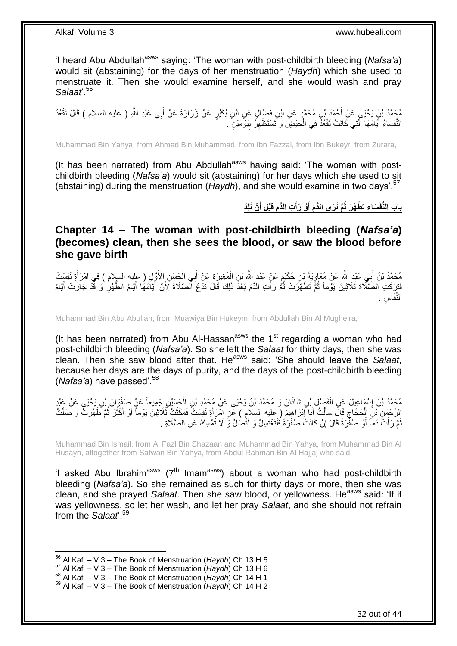'I heard Abu Abdullah<sup>asws</sup> saying: 'The woman with post-childbirth bleeding (Nafsa'a) would sit (abstaining) for the days of her menstruation (*Haydh*) which she used to menstruate it. Then she would examine herself, and she would wash and pray *Salaat*'.<sup>56</sup>

مُحَمَّدُ بْنُ يَحْيَى عَنْ أَحْمَدَ بْنِ مُحَمَّدٍ عَنِ ابْنِ فَضَالٍ عَنِ ابْنِ بُكَيْرٍ عَنْ زُرَارَةَ عَنْ أَبِي عَبْدِ اللَّهِ ( عليه السلام ) قَالَ تَقْعُدُ<br>\* َ النُّفَسَاءُ أَيَّامَهَا الَّذِي كَانَتْ تَقْعُذُ فِي الْحَيْضِ وَ تَسْتَظْهِرُ بِيَوْمَيْنِ ۖ . ِ ِ ْ َّ َ

Muhammad Bin Yahya, from Ahmad Bin Muhammad, from Ibn Fazzal, from Ibn Bukeyr, from Zurara,

(It has been narrated) from Abu Abdullah<sup>asws</sup> having said: 'The woman with postchildbirth bleeding (*Nafsa'a*) would sit (abstaining) for her days which she used to sit (abstaining) during the menstruation (*Haydh*), and she would examine in two days'.<sup>57</sup>

> باب النُّفَسَاءِ تَطْهُرُ ثُمَّ تَرَى الذَّمَ أَوْ رَأَتِ الذَّمَ قَبْلَ أَنْ تَلِّذَ **َ َ َ**

<span id="page-31-0"></span>**Chapter 14 – The woman with post-childbirth bleeding (***Nafsa'a***) (becomes) clean, then she sees the blood, or saw the blood before she gave birth**

مُحَمَّدُ بْنُ أَبِي عَيْدِ اللَّهِ عَنْ مُعَاوِيَةَ بِنِ حُكَيْمٍ عَنْ عَيْدِ اللَّهِ بْنِ الْمُغِيرَةِ عَنْ أَبِي الْحَسَنِ الْأَوَّلِ ( عليه السلام ) فِي امْرَأَةٍ نَفِسَتْ أ ِ َ َ ْ َ ْ َّفَزِّكَتِ الْصَّلَّاةَ ثَلَاثِينَ يَوْماً ثُمَّ تَطَهَّرَتْ ثُمَّ رَأَتِ الدَّمَ بَعْدَ ذَلِكَ قَالَ تَدَعُ الصَّلَاةَ لِأَنَّ أَيَّامَهَا أَيَّامُ الطُّهْرِ ۚ وَ فَّذْ جَازَتْ أَيَّامُ َ ُ ُ ِ َ َ ِس . النِّفَا

Muhammad Bin Abu Abullah, from Muawiya Bin Hukeym, from Abdullah Bin Al Mugheira,

(It has been narrated) from Abu Al-Hassan<sup>asws</sup> the 1<sup>st</sup> regarding a woman who had post-childbirth bleeding (*Nafsa'a*). So she left the *Salaat* for thirty days, then she was clean. Then she saw blood after that. He<sup>asws</sup> said: 'She should leave the *Salaat*, because her days are the days of purity, and the days of the post-childbirth bleeding (*Nafsa'a*) have passed'.<sup>58</sup>

مُحَمَّدُ بْنُ إِسْمَاعِيلَ عَنِ الْفَضْلِ بْنِ شَاذَانَ وَ مُحَمَّدُ بْنُ يَحْيَى عَنْ مُحَمَّدِ بْنِ الْحُسَيْنِ جَمِيعاً عَنْ صَفْوَانَ بْنِ يَحْيَى عَنْ عَنْدٍ<br>دَيَمَةُ بِّنُ إِسْمَاعِيلَ عَنِ الْفَضْلِ بِنِ شَاذَانَ ْ ْ الرَّحْمَنِ بْنَ الْحَجَّاجِ قَالَ سَأَلْتُ أَبَا إِبْرَاهِيمَ ( عليه السلام ) عَنِ امْرَأَةٍ نَفِسَتْ فَمَكَث<br>إِن مَّمَّ إِنَّ إِنَّ الْحَجَاجِ قَالَ سَأَلْتُ أَبَا إِبْرَاهِيمَ ( عليه السلام ) عَنِ امْرَأَةٍ نَفِسَتْ فَ ِ َ ْ َ  $\zeta$ ْ ُ َ َ َ نُّمَّ رَأَتٌ دَمَاً أَوْ صُفْرَةً قَالَ إِنْ كَانَتْ صُفْرَةً فَلْتَغْتَسِلْ وَ لْتُصَلِّ وَ لَا تُمْسِكْ عَنِ الصَّلَاةِ . ْ ْ יֲ<br>י َ َ ُ

Muhammad Bin Ismail, from Al Fazl Bin Shazaan and Muhammad Bin Yahya, from Muhammad Bin Al Husayn, altogether from Safwan Bin Yahya, from Abdul Rahman Bin Al Hajjaj who said,

'I asked Abu Ibrahim<sup>asws</sup> ( $7<sup>th</sup>$  Imam<sup>asws</sup>) about a woman who had post-childbirth bleeding (*Nafsa'a*). So she remained as such for thirty days or more, then she was clean, and she prayed *Salaat*. Then she saw blood, or yellowness. He<sup>asws</sup> said: 'If it was yellowness, so let her wash, and let her pray *Salaat*, and she should not refrain from the *Salaat*'.<sup>59</sup>

<sup>56</sup> Al Kafi – V 3 – The Book of Menstruation (*Haydh*) Ch 13 H 5

<sup>57</sup> Al Kafi – V 3 – The Book of Menstruation (*Haydh*) Ch 13 H 6

<sup>58</sup> Al Kafi – V 3 – The Book of Menstruation (*Haydh*) Ch 14 H 1

<sup>59</sup> Al Kafi – V 3 – The Book of Menstruation (*Haydh*) Ch 14 H 2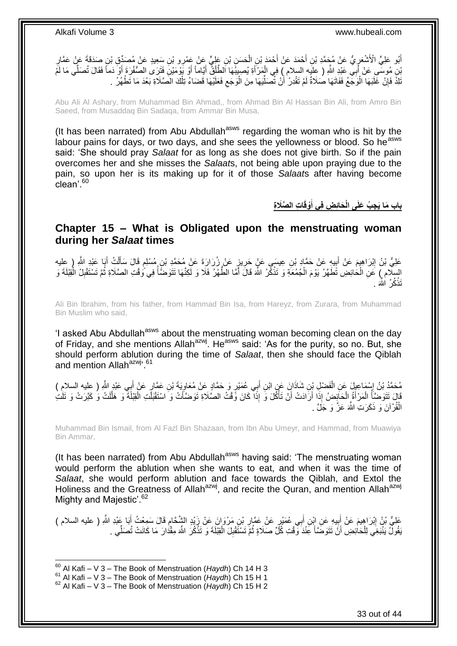أَبُو عَلِيٍّ الْأَشْعَرِيُّ عَنْ مُحَمَّدِ بْنِ أَحْمَدَ عَنْ أَحْمَدَ بْنِ الْحَسَنِ بْنِ عَلِيٍّ عَنْ عَمْر<br>إِن الْجَمَعَةِ الْأَشْعَرِيُّ عَنْ مُحَمَّدِ بْنِ أَحْمَدَ عَنْ أَحْمَدَ بْنِ الْحَسَنِ بْنِ عَلَيْهِ عَنْ عَ ْ َ َ ِ ِ َنْ مُوسَّى عَنْ أَبِي عَلِّدِ اللَّهِ ( عِلَيْهِ السلام ) فِي الْمَرْأَةِ يُصِيبُهَا الطَّلْقُ أَيَّاماً أَوْ يَوْمَيْنِ فَثَرَى الصَّفْرَةِ أَوْ دَماً فَقَالَ تُصَلِّي مَا لَمَّ ْ َ ْ َ َ َ َ َلَاْ فَإِنْ غَلَبَهَا الْوَجِّعُ فَفَاتَهَا صُلَاةٌ لَمْ تَقْدِرْ ٰ أَنْ تُصَلِّيَهَا مِنَ الْوَجَع فَعَلَيْهَا قَضَاءُ تِلْكَ الصَّلَاةِ بَعْدَ مَا تَطْهُرُ ۚ . ْ  $\zeta$ ْ ِّأ اً لَ ْ ِ

Abu Ali Al Ashary, from Muhammad Bin Ahmad,, from Ahmad Bin Al Hassan Bin Ali, from Amro Bin Saeed, from Musaddaq Bin Sadaqa, from Ammar Bin Musa,

(It has been narrated) from Abu Abdullah<sup>asws</sup> regarding the woman who is hit by the labour pains for days, or two days, and she sees the yellowness or blood. So he<sup>asws</sup> said: 'She should pray *Salaat* for as long as she does not give birth. So if the pain overcomes her and she misses the *Salaat*s, not being able upon praying due to the pain, so upon her is its making up for it of those *Salaat*s after having become clean'.<sup>60</sup>

> **ا ِت ال َّصَال ِة ْوقَ َحائِ ِض فِي أ ِج ُب َعلَى الْ باب َما َي َ**

### <span id="page-32-0"></span>**Chapter 15 – What is Obligated upon the menstruating woman during her** *Salaat* **times**

عَلِيُّ بْنُ إِبْرَاهِيمَ عَنْ أَبِيهِ عَنْ حَمَّادِ بْنِ عِيسَى عَنٍْ حَرِيزٍ عَنْ زُرَارَةَ عَنْ مُحَمَّدِ بْنِ مُسْلِمٍ قَالَ سَأَلْتُ أَبَا عَبْدِ اللَّهِ ( عِليه ֧֖֚֚֓֝֝֬֝ ِ **∣ ֽו** َ ْ اً<br>أ السِّلَام ﴾ كَلِّ الْحَائِضِ تَطَهَّرُ يَوْمَ الْجُمُعَةِ وَ تَذْكُّرُ اللَّهَ قَالَ أَمَّا الطَّهْرُ فَلَا وَ لَكِنَّهَا تَتَوَضَّأُ فِي وُقْتِ الصَّلَاةِ ثُمَّ تَسْتَقْلِنُ الْقِبْلَةَ وَ َ **ٔ** ْ ْ ْ ِ ُ ُ تَذْكُرُ اللَّهَ . ْ

Ali Bin Ibrahim, from his father, from Hammad Bin Isa, from Hareyz, from Zurara, from Muhammad Bin Muslim who said,

'I asked Abu Abdullah<sup>asws</sup> about the menstruating woman becoming clean on the day of Friday, and she mentions Allah<sup>azwj</sup>. He<sup>asws</sup> said: 'As for the purity, so no. But, she should perform ablution during the time of *Salaat*, then she should face the Qiblah and mention Allah<sup>azwj, 61</sup>

مُحَمَّدُ بْنُ إِسْمَاعِيلَ عَنِ الْفَضْلِ بِنِ شَاذَانَ عَنِ ابْنِ أَبِي عُمَيْرٍ وَ حَمَّادٍ عَنْ مُعَاوِيَةَ بْنِ عَمَّارٍ عَنْ أَبِي عَبْدٍ اللَّهِ ( عِليه السلامِ )<br>مُحتَّذُ بْنُ لِمَّ بِنَّهِ فَيَّامَ بِنَ الْفَضْلِ ِ َ ْ ¦ٍ<br>≀ٍ َ قَالَ تَتَوَضَّأَ الْمَرْأَةُ الْحَائِضُ إِذَا أَرَادَتْ أَنْ تَأْكُلَ وَ إِذَا كَانَ وَّقْتُ الصَّلَاةِ تَوضَّأَتْ وَ اسْتَقْبَلَتِ الْقِبْلَةَ وَ هَلَّلَتْ وَ كَيَرَتْ وَ تَلَتْ ا<br>أ اُ ْ َ ْ ا<br>ا َّ ْ اً الْقُرْآنَ وَ ذَكَرَتِ اللَّهَ عَزَّ وَ جَلَّ . :<br>ا

Muhammad Bin Ismail, from Al Fazl Bin Shazaan, from Ibn Abu Umeyr, and Hammad, from Muawiya Bin Ammar,

(It has been narrated) from Abu Abdullah<sup>asws</sup> having said: 'The menstruating woman would perform the ablution when she wants to eat, and when it was the time of *Salaat*, she would perform ablution and face towards the Qiblah, and Extol the Holiness and the Greatness of Allah<sup>azwj</sup>, and recite the Quran, and mention Allah<sup>azwj</sup> Mighty and Majestic'.<sup>62</sup>

عَلِيُّ بْنُ إِبْرَاهِيمَ عَنْ أَبِيهِ عَنِ إِبْنِ أَبِي عُمَيْرٍ عَنْ عَمَّارِ بْنِ مَرْوَانَ عَنْ زَيْدٍ الشَّخَامِ قَالَ سَمِعْتُ أَبَا عَبْدِ اللَّهِ ( عليه السلام ) ِ **∶** َ **⊥** َ ِ َ َقُولٌ يَنْبَغِي لِلْحَاٰئِضِ أَنَّ تَتَوَضَّأَ عِنْدَ وَّقْتِ كُلِّ صَلَاةٍ ثُمَّ تَسْتَقْلِلَ الْقِبْلَةَ وَ تَذْكُرَ اللَّهَ مِقْدَارَ مَا كَانَتْ تُصَلِّي . :<br>. ْ ِ ان<br>المقام **∫** ْ ِّ

<sup>60</sup> Al Kafi – V 3 – The Book of Menstruation (*Haydh*) Ch 14 H 3

<sup>61</sup> Al Kafi – V 3 – The Book of Menstruation (*Haydh*) Ch 15 H 1

<sup>62</sup> Al Kafi – V 3 – The Book of Menstruation (*Haydh*) Ch 15 H 2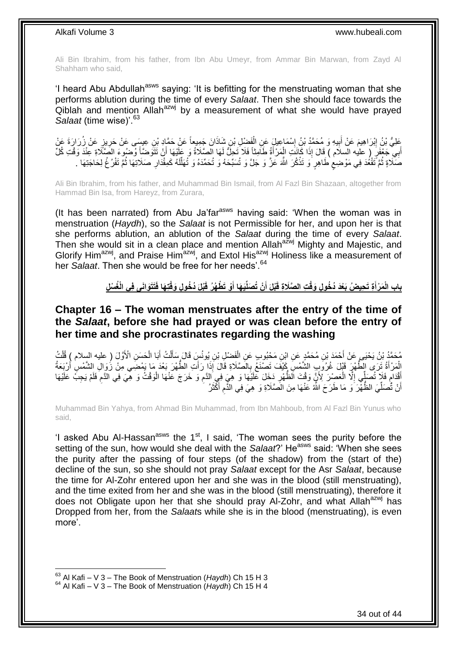Ali Bin Ibrahim, from his father, from Ibn Abu Umeyr, from Ammar Bin Marwan, from Zayd Al Shahham who said,

'I heard Abu Abdullah<sup>asws</sup> saying: 'It is befitting for the menstruating woman that she performs ablution during the time of every *Salaat*. Then she should face towards the  $\overline{Q}$ iblah and mention Allah<sup>azwj</sup> by a measurement of what she would have prayed Salaat (time wise)'.<sup>63</sup>

عَلِيُّ بْنُ إِبْرَاهِيمَ عَنْ أَبِيهِ وَ مُحَمَّدُ بْنُ إِسْمَاعِيلٍ عَنِ الْفَضِلِ بْنِ شَاذَانَ جَمِيعاً عَنْ حَمَّادٍ بْنِ عِيسَى عَنْ حَرِيزٍ عَنْ زُرَارَةَ عَنْ ْ ِ **!** َ ِ أَبِي جَعْفَرٍ ( عليه السلام ) قَالَ إِذَا كَانَتِ الْمِرْ أَةُ طَامِنًا فَلَا تَحِلُّ لَهَا الصَّلَاةُ وَ عَلَيْهَا إِنْ تَتَوَضَّأَ وُضُوءَ الصَّلَاةِ عِنْدَ وَقْتِ كُلِّ َ َ َ َ ْ صَّلَاةٍ ثُمَّ تَقْعُدَ فِي مَوْضِعٍ طَاهِرٍ ۖ وَ تَذْكُرَ اللَّهَ عَزَّ وَ جَلَّ وَ تُسَبِّحَهُ وَ تُحَمِّدَهُ وَ تُهَلِّلُهُ كَمِقْدَارِ صَلَاتِهَا ثُمَّ تَفْرُخُ لِحَاجَتِهَا ۔ **ٔ** ٍ ا ماہ<br>سال ُ **∶** لَ ِّ

Ali Bin Ibrahim, from his father, and Muhammad Bin Ismail, from Al Fazl Bin Shazaan, altogether from Hammad Bin Isa, from Hareyz, from Zurara,

(It has been narrated) from Abu Ja'far<sup>asws</sup> having said: 'When the woman was in menstruation (*Haydh*), so the *Salaat* is not Permissible for her, and upon her is that she performs ablution, an ablution of the *Salaat* during the time of every *Salaat*. Then she would sit in a clean place and mention Allah<sup>azwj</sup> Mighty and Majestic, and Glorify Him<sup>azwj</sup>, and Praise Him<sup>azwj</sup>, and Extol His<sup>azwj</sup> Holiness like a measurement of her *Salaat*. Then she would be free for her needs<sup>'.64</sup>

> باب الْمَرْأَةِ تَحِيضُ بَعْدَ دُخُولٍ وَقْتِ الصَّلَاةِ قَبْلَ أَنْ تُصَلِّيَهَا أَوْ تَطْهُرُ قَبْلَ دُخُولِ وَقْتِهَا فَتَتَوَانَى فِى الْغُسْلِ **َ َ**

### <span id="page-33-0"></span>**Chapter 16 – The woman menstruates after the entry of the time of the** *Salaat***, before she had prayed or was clean before the entry of her time and she procrastinates regarding the washing**

ْ مُحَمَّدُ بْنُ يَحْيَى عَنْ أَحْمَدَ بْنِ مُحَمَّدٍ عَنِ ابْنِ مَحْبُوبٍ عَنِ الْفَضْلِ بْنِ يُونُسٍ قَالَ سَأَلْتُ أَبَا الْحَسَنِ الْأَوَّلَ ( عليه السلام ) قُلْتُ َ ْ َ ْ َ ْ الْمَرْأَةُ ثَرَى الطَّهْرَ قَبْلَ غُرُوَبِ الشَّمْسِ كَيْفَ تَصنْغُ بِالصَّلَاةِ قَالَ إِذَا رَأَتِ الطَّهْرَ بَعْدَ مَا يَهْضَى مِنْ زُوَالِ الشَّمْسِ أُرْبَعَةُ َ ْ َ َ ِ ْ أَقْدَامٍ فَلاَ تُصَلِّي إِلَّا الْعَصِْرَ لِأَنَّ وَقْتَ الَّظُهْرِ دَخَلَ عَلَيْهَا وَ هِيَ فِي الدَّمِ وَ خَرَجَ عَنْهَا الْوَقْتُ وَ هِيَ فِي الذَّمِ فَلَمْ يَجِبُّ عَلَيْهَا ِ **∶** ْ ِ ٍ ِ أَنْ تُُصَلِّيَ الظُّهّْرَ ۚ وَ مَا طَرَحَ اللَّهُ عَنْهَا مِنَ الصَّلَاةِ وَ هِيَ فِي الذِّمِ أَكْثَرُ َ َ ِ ِّ اً

Muhammad Bin Yahya, from Ahmad Bin Muhammad, from Ibn Mahboub, from Al Fazl Bin Yunus who said,

'I asked Abu Al-Hassan<sup>asws</sup> the  $1<sup>st</sup>$ , I said, 'The woman sees the purity before the setting of the sun, how would she deal with the *Salaat*?' He<sup>asws</sup> said: 'When she sees the purity after the passing of four steps (of the shadow) from the (start of the) decline of the sun, so she should not pray *Salaat* except for the Asr *Salaat*, because the time for Al-Zohr entered upon her and she was in the blood (still menstruating), and the time exited from her and she was in the blood (still menstruating), therefore it does not Obligate upon her that she should pray Al-Zohr, and what Allah<sup>azwj</sup> has Dropped from her, from the *Salaat*s while she is in the blood (menstruating), is even more'.

<sup>1</sup> <sup>63</sup> Al Kafi – V 3 – The Book of Menstruation (*Haydh*) Ch 15 H 3

<sup>64</sup> Al Kafi – V 3 – The Book of Menstruation (*Haydh*) Ch 15 H 4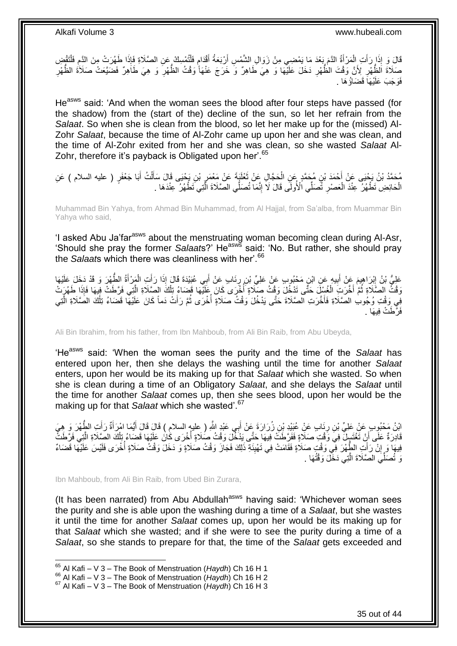قَالَ وَ إِذَا رَأَتِ الْمَرْأَةُ الذَّمَ بَعْدَ مَا يَمْضِي مِنْ زَوَالِ الشَّمْسِ أَرْبَعَةُ أَقْدَامٍ فَلْتُمْسِكْ عَنِ الصَّلَاةِ فَإِذَا طَهُرَتْ مِنَ الذَّمِ فَلْتَقْضِ ْ ٍ َ َ َ ْ َ ْ ِ صَلَاةَ الظُّهْرِ لِأَنَّ وَقْتَ الظُّهْرِ دَخَلَ عَلَيْهَا وَ هِيَ طَاهِرٌ وَ خَرَجَ عَنْهَا وَقْتُ الظُّهْرِ وَ هِيَ طَاهِرٌ فَضَيَّعَتْ صَلَاَةُ الظُّهْرِ ِ ِ ِ ِ فَوَجَبَ عَلَيْهَاً قَضَاؤُ هَا .

He<sup>asws</sup> said: 'And when the woman sees the blood after four steps have passed (for the shadow) from the (start of the) decline of the sun, so let her refrain from the *Salaat*. So when she is clean from the blood, so let her make up for the (missed) Al-Zohr *Salaat*, because the time of Al-Zohr came up upon her and she was clean, and the time of Al-Zohr exited from her and she was clean, so she wasted *Salaat* Al-Zohr, therefore it's payback is Obligated upon her'.<sup>65</sup>

ِن ُم َح َّمٍد َع ِن ْح َمَد ْب ٍر ) عليه السالم ( َع ِن ُم َح َّمُد ْب ُن َي ْحَيى َع ْن أ َبا َج ْعَف ُت أ ل ِن َي ْحَيى َقا َل َسأ ْب َب َة َع ْن َمْعَمر ْعلَ ِل َع ْن ث َح َّجا ال َ َ ْ َ ِ َ ْ الْحَائِضِ تَظْهُرُ عِنْدَ الْعَصْرِ ثَّصَلِّي الْأُولَى قَالَ لَا إِنَّمَا تُصَلِّي الصَّلَاةَ الَّذِي تَظْهُرُ عِنْدَهَا . َّ יִין<br>: ِ ْ ْ

Muhammad Bin Yahya, from Ahmad Bin Muhammad, from Al Hajjal, from Sa'alba, from Muammar Bin Yahya who said,

'I asked Abu Ja'far<sup>asws</sup> about the menstruating woman becoming clean during Al-Asr, 'Should she pray the former *Salaat*s?' Heasws said: 'No. But rather, she should pray the *Salaat*s which there was cleanliness with her'.<sup>66</sup>

عَلِيُّ بْنُ إِبْرَاهِيمَ عَنْ أَبِيهٍ عَنِ ابْنِ مَحْبُوبٍ عَنْ عَلِيِّ بْنِ رِنَابٍ عَنْ أَبِي عُبَيْدَةَ قَالَ إِذَا رَأَتِ الْمَزْأَةُ الطَّهْرَ وَ قَدْ دَخَلَ عَلَيْهَا َ َ **∶** ِ َ ِ َ ْ وَقْتُ الصَّلَاةِ ثُمَّ أُخَّرَتِ الْغُسْلَ حَتَّى تَدْخُلَ وَقْتُ صَلَاةٍ أَخْرَى كَانَ عَلَيْهَا قَضاءُ تِلْكَ الصَّلَاةِ الَّتِي فَرَّطَتْ فِيهَا فَإِذَا طَهُرَتْ ُ َّ ْ :<br>ا ْ فِي وَقْتِ وُجُوبِ الصَّلَاةِ فَأَخَّرَتِ الصَّلَاةَ حَتَّى يَدْخُلَ وَقْتُ صَلَاةٍ أَخْرَى ثُمَّ رَأَتْ دَماً كَانَ عَلَيْهَا قَضَاءُ تِلْكَ الصَّلَاةِ الّْتِي َ ا<br>المقام ا<br>ا َ َّ ْ فَرَّطَتْ فِيهَا .

Ali Bin Ibrahim, from his father, from Ibn Mahboub, from Ali Bin Raib, from Abu Ubeyda,

'He<sup>asws</sup> said: 'When the woman sees the purity and the time of the *Salaat* has entered upon her, then she delays the washing until the time for another *Salaat* enters, upon her would be its making up for that *Salaat* which she wasted. So when she is clean during a time of an Obligatory *Salaat*, and she delays the *Salaat* until the time for another *Salaat* comes up, then she sees blood, upon her would be the making up for that *Salaat* which she wasted<sup>".67</sup>

ائِنُ مَحْبُوبٍ عَنْ عَلِيِّ بْنِ رِبَابٍ عَنِْ عُيَيْدِ بْنِ زُرَارَةَ عَنْ أَبِي عَبْدٍ اللَّهِ ( عِليه السلام ) قَالَ قَالَ أَيُّمَا امْرَأَةٌ رَأَتِ الطَّهْرَ وَ هِيَ ِ َ َ َ قَادِرَةٌ عَلَى أَنْ تَغْتَسِلَ فِي وَقْتِ صَلَاةٍ فَفَرَّطَتْ فِيهَا حَتَّى يَذْخُلَ وَقْتُ صَلَاةٍ أُخْرَى كَانَ عَلَيْهَا قَضَاءُ تِلْكَ الصَّلَاةِ الَّتِي فَرَّطَتْ :<br>ا َ َّ ْ فِيهَا وَ إِنْ رَأَتِ الطَّهْرَ فِي وَقْتِ صَلَاةٍ فَقَامَتْ فِي تَهْيِئَةِ ذَلِكَ فَجَازَ وَقْتُ صَلَاةٍ وَ دَخَلَ وَقْتُ صَلَاةٍ أُخْرَى فَلَيْسَ عَلَيْهَا قَضَاءٌ ِ َ **׀** ا<br>أ وَ تُصَلِّّي الصَّلَاةَ الَّتِي دَخَّلَ وَقْتُهَا . ر<br>إ

Ibn Mahboub, from Ali Bin Raib, from Ubed Bin Zurara,

(It has been narrated) from Abu Abdullah<sup>asws</sup> having said: 'Whichever woman sees the purity and she is able upon the washing during a time of a *Salaat*, but she wastes it until the time for another *Salaat* comes up, upon her would be its making up for that *Salaat* which she wasted; and if she were to see the purity during a time of a *Salaat*, so she stands to prepare for that, the time of the *Salaat* gets exceeded and

<sup>65</sup> Al Kafi – V 3 – The Book of Menstruation (*Haydh*) Ch 16 H 1

<sup>66</sup> Al Kafi – V 3 – The Book of Menstruation (*Haydh*) Ch 16 H 2

<sup>67</sup> Al Kafi – V 3 – The Book of Menstruation (*Haydh*) Ch 16 H 3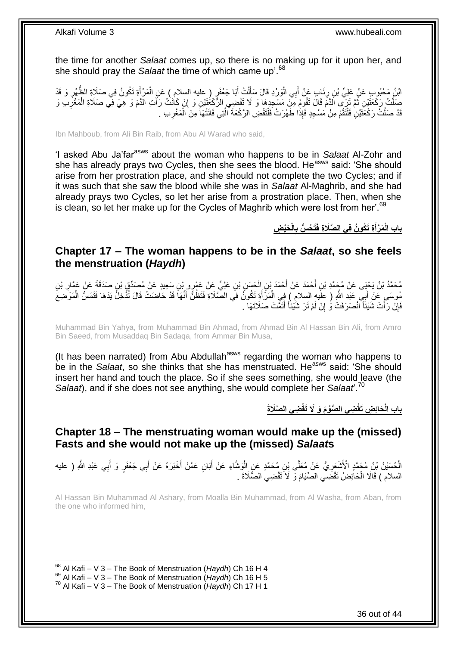the time for another *Salaat* comes up, so there is no making up for it upon her, and she should pray the *Salaat* the time of which came up'.<sup>68</sup>

ائِنُ مَحْبُوبٍ عَنْ عَلِيِّ بْنِ رِذَابٍ عَنْ أَبِي الْوَرْدِ قَالَ سَأَلْتُ أَبَا جَعْفَرٍ ( عليه السلامِ ) عَنِ الْمَرْأَةِ تَكُونُ فِي صَلَاةِ الظَّهْرِ وَ قَدْ َ ْ َ ْ َ ْ َ ِ ِ صَلَّتْ رَكْعَتَيْنِ ثُمَّ تَرَى اَلدَّمَ قَالَ تَقُومُ مِنْ مَسْجِدِهَا وَ لَا تَقْضِي الرَّكْعُتَيْنِ وَ إِنْ كَانَتْ رَأَتِ الدَّمَ وَ هِيَ فِي صَلَاةِ الْمَغْرَبِ وَ ُ ِ ْ َ ِ قَدْ صَلَّتْ رَكْعَتَيْنِ فَلْتَقُمْ مِنْ مَسْجِدٍ فَإِذَا طَهُرَتْ فَلْتَقْضِ الرَّكْعَةَ الَّذِي فَاتَتْهَا مِنَ الْمَغْرِبِ . ِ ْ َّ ْ ْ

Ibn Mahboub, from Ali Bin Raib, from Abu Al Warad who said,

'I asked Abu Ja'farasws about the woman who happens to be in *Salaat* Al-Zohr and she has already prays two Cycles, then she sees the blood. He<sup>asws</sup> said: 'She should arise from her prostration place, and she should not complete the two Cycles; and if it was such that she saw the blood while she was in *Salaat* Al-Maghrib, and she had already prays two Cycles, so let her arise from a prostration place. Then, when she is clean, so let her make up for the Cycles of Maghrib which were lost from her'.<sup>69</sup>

> **َحْي ِض الْ َت ُح ُّس ب ِة َت ُكو ُن فِي ال َّصَال ِة فَ َم ْرأ باب الْ ِ َ**

### <span id="page-35-0"></span>**Chapter 17 – The woman happens to be in the** *Salaat***, so she feels the menstruation (***Haydh***)**

مُحَمَّدُ بْنُ يَحْيَى عَنْ مُجَمَّدِ بْنِ أَحْمَدَ عَنْ أَحْمَدَ بْنِ الْحَسَنِ بْنِ عَلِيٍّ عَنْ عَمْرٍ و بْنِ سَعِيدٍ عَنْ مُصدِّقٍ بْنِ صدَقَةَ عَنْ عَمَّارِ بْنِ<br>مُحَمَّدُ بْنُ يَجْبَ عَنْ مُجَمَّدِ بْنِ أَحْمَدَ عَنْ َ ِ ْ مُوسَى عَنْ أَبِيّ عَبْدِ اللَّهِ ( علَيهِ السلامِ ۖ) فِي الْمَرْ أَةِ تَكُونَۢ فِي الصَّلَاةِ فَتَظُنُّ أَنَّهَا قَدْ حَاضنتْ قَالَ تُذَّخِلُ يَدَهَا فَتَمَسُّ الْمَوْضِعَ َ َ ْ َ ْ فَإِنْ رَأَتْ شَيْئاً انْصَرَفَتْ وَ إِنْ لَمْ تَرَ شَيْئاً أَتَمَّتْ صَلَاتَهَا . َ יֲ<br>י َ ِ

Muhammad Bin Yahya, from Muhammad Bin Ahmad, from Ahmad Bin Al Hassan Bin Ali, from Amro Bin Saeed, from Musaddaq Bin Sadaqa, from Ammar Bin Musa,

(It has been narrated) from Abu Abdullah<sup>asws</sup> regarding the woman who happens to be in the *Salaat*, so she thinks that she has menstruated. He<sup>asws</sup> said: 'She should insert her hand and touch the place. So if she sees something, she would leave (the *Salaat*), and if she does not see anything, she would complete her *Salaat*'.<sup>70</sup>

**ِضي ال َّصَال َة ِضي ال َّصْو َم َو َِل َتقْ َحاِئ ِض َتقْ باب الْ**

<span id="page-35-1"></span>**Chapter 18 – The menstruating woman would make up the (missed) Fasts and she would not make up the (missed)** *Salaat***s**

الْحُسَيْنُ بْنِ مُحَمَّدٍ الْأَشْعَرِيُّ عَنْ مُعَلَّى بْنِ مُحَمَّدٍ عَنِ الْوَشَاءِ عَنْ أَبَانٍ عَمَّنْ أَخْبَرَهُ عَنْ أَبِي جَعْفَرٍ وَ أَبِي عَبْدِ اللَّهِ ( عليه ْ ِ َ َ َ ْ **∶** َ السلام ) قَالَا الْحَائِضُ تَقْضَىِي الصِّيَامَ وَ لَا تَقْضِي الصَّلَاةَ . ْ

Al Hassan Bin Muhammad Al Ashary, from Moalla Bin Muhammad, from Al Washa, from Aban, from the one who informed him,

<sup>1</sup> <sup>68</sup> Al Kafi – V 3 – The Book of Menstruation (*Haydh*) Ch 16 H 4

<sup>69</sup> Al Kafi – V 3 – The Book of Menstruation (*Haydh*) Ch 16 H 5

<sup>70</sup> Al Kafi – V 3 – The Book of Menstruation (*Haydh*) Ch 17 H 1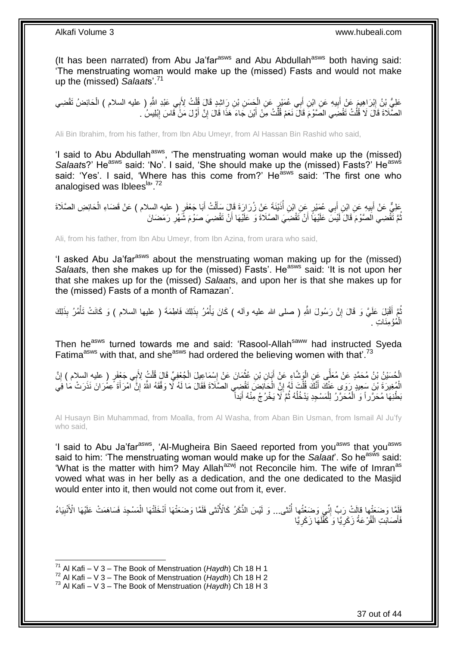(It has been narrated) from Abu Ja'far $a<sup>asws</sup>$  and Abu Abdullah $a<sup>asws</sup>$  both having said: 'The menstruating woman would make up the (missed) Fasts and would not make up the (missed) *Salaat*s'.<sup>71</sup>

عَلِيُّ بْنُ إِبْرَاهِيمَ عَنْ أَبِيهِ عَنِ ابْنِ أَبِي عُمَيْرٍ عَنِ الْجَسَنِ بْنِ رَاشِدٍ قَالَ قُلْتُ لِأَبِي عَبْدِ اللَّهِ ( عليه السلام ) الْحَائِضُ تَقْضِي ْ ْ ِ َ יִין<br>: ْ الصَّلَاةَ قَالَ لَا قُلْتُ نَقْضَِي الصَّوْمَ قَالَ نَعَمْ قُلْتُ مِنْ أَيْنَ جَاءَ هَذَا قَالَ إِنَّ أَوَّلَ مَنْ قَاسَ إِبْلِيسُ . ْ ِ َ ِ َ ْ

Ali Bin Ibrahim, from his father, from Ibn Abu Umeyr, from Al Hassan Bin Rashid who said,

'I said to Abu Abdullah<sup>asws</sup>, 'The menstruating woman would make up the (missed) Salaats?' He<sup>asws</sup> said: 'No'. I said, 'She should make up the (missed) Fasts?' He<sup>asws</sup> said: 'Yes'. I said, 'Where has this come from?' He<sup>asws</sup> said: 'The first one who analogised was Iblees<sup>la, 72</sup>

عَلِيٌّ عَنْ أَبِيهِ عَنِ ابْنِ أَبِي عُمَيْرٍ عَنِ ابْنِ أُذَيْنَةَ عَنْ زُرَارَةَ قَإِلَ سَأَلْتُ أَبَا جَعْفَرٍ ( عليه السلام ) عَنْ قَضَاءِ الْحَائِضِ الصَّلَاةَ َ ْ َ ُ َ  $\frac{1}{2}$ َ ْ ّةُمَ تَقْضِي الْصَنْوْمَ قَالَ لَيْسَ عَلَيْهَا ۖ أَنْ تَقْضِيَ الْصَّلَاةَ وَ عَلَيْهَا أَنْ تَقْضِيَ صَوْمَ شَّهْرِ رَمَضَانَ اُ ِ

Ali, from his father, from Ibn Abu Umeyr, from Ibn Azina, from urara who said,

'I asked Abu Ja'far<sup>asws</sup> about the menstruating woman making up for the (missed) *Salaat*s, then she makes up for the (missed) Fasts'. He<sup>asws</sup> said: 'It is not upon her that she makes up for the (missed) *Salaat*s, and upon her is that she makes up for the (missed) Fasts of a month of Ramazan'.

ُمْ أَقْبَلِ عَلَيَّ وَ قَالَ إِنَّ رَسُولَ اللَّهِ ( صلى الله عليه وآله ) كَانَ يَأْمُرُ بِذَلِكَ فَاطِمَةَ ( عليها السلام ) وَ كَانَتْ تَأْمُرُ بِذَلِكَ ْ יִי (ֽו **ٔ** الْمُؤْمِنَاتِ . ْ

Then he<sup>asws</sup> turned towards me and said: 'Rasool-Allah<sup>saww</sup> had instructed Syeda Fatima<sup>asws</sup> with that, and she<sup>asws</sup> had ordered the believing women with that'.<sup>73</sup>

الْحُسَيْنُ بْنُ مُحَمَّدٍ عَنْ مُعَلِّي عَنِ الْوَشَاءِ عَنْ أَبَانِ بْنِ عُثْمَانَ عَنْ إِسْمَاعِيلَ الْجُعْفِيِّ قَالَ قُلْتُ لِأَبِي جَعْفَرٍ ( عليه السلام ) إِنَّ<br>ا ْ ا<br>؛ **ٔ** َ ْ **−** Î ِ ْ الْمُغِيرَةَ بْنَ سَعِيدٍ رَوَى عَنْكَ أَنَّكَ قُلْتَ لَهُ إِنَّ الْحَائِضَ تَقْضِِي الصَّلَاةَ فَقَالَ مَا لَهُ لَّا وَفَّقَهُ اللَّهُ إِنَّ امْرَأَةَ عِمْرَانَ نَذَرَتْ مَا فِي ْ ِ ْ َ َ ِ بَطْنِهَا مُحَرَّراً وَ ۘالْمُحَرَّرُ لِلْمَسْجِدِ يَدْخُلُهُ ثُمَّ َلَا يَخْرُجُ مِّنْهُ أَبَداًّ َ ُ ٔ<br>ا ْ ْ

Al Husayn Bin Muhammad, from Moalla, from Al Washa, from Aban Bin Usman, from Ismail Al Ju'fy who said,

'I said to Abu Ja'far<sup>asws</sup>, 'Al-Mugheira Bin Saeed reported from you<sup>asws</sup> that you<sup>asws</sup> said to him: 'The menstruating woman would make up for the *Salaat*'. So he<sup>asws</sup> said: 'What is the matter with him? May Allah<sup>azwj</sup> not Reconcile him. The wife of Imran<sup>as</sup> vowed what was in her belly as a dedication, and the one dedicated to the Masjid would enter into it, then would not come out from it, ever.

فَلَقَا وَضَعَتْها قالَتْ رَبِّ إِنِّي وَضَعْتُها أُنْتَى... وَ لَيْسَ الذَّكَرُ كَالْأُنْتَى فَلَمَّا وَضَعَتْهَا أَدْخَلْتْهَا الْمَسْجِدَ فَسَاهَمَتْ عَلَيْهَا الْأَنْبِيَاءُ ا<br>ا ِ ِ ْ َ فَأَصَابَتِ الْقُرْ عَةُ زَكَرِيَّا وَ كَفَّلَهَا زَكَرِيَّا ِ لَ **∶** ْ َ

<sup>1</sup> <sup>71</sup> Al Kafi – V 3 – The Book of Menstruation (*Haydh*) Ch 18 H 1

<sup>72</sup> Al Kafi – V 3 – The Book of Menstruation (*Haydh*) Ch 18 H 2

<sup>73</sup> Al Kafi – V 3 – The Book of Menstruation (*Haydh*) Ch 18 H 3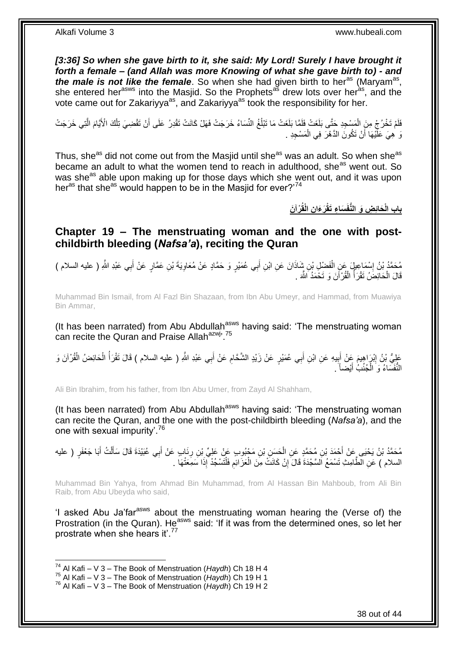[3:36] So when she gave birth to it, she said: My Lord! Surely I have brought it *forth a female – (and Allah was more Knowing of what she gave birth to) - and*  the male is not like the female. So when she had given birth to her<sup>as</sup> (Maryam<sup>as</sup>, she entered her<sup>asws</sup> into the Masjid. So the Prophets<sup>as</sup> drew lots over heras, and the vote came out for Zakariyya<sup>as</sup>, and Zakariyya<sup>as</sup> took the responsibility for her.

فَلَمْ تَخْرُجْ مِنَ الْمَسْجِدِ حَتَّى بَلَغَتْ فَلَمَّا بَلَغَتْ مَا تَبْلُغُ النِّسَاءُ خَرَجَتْ فَهَلْ كَانَتْ تَقْدِرُ عَلَى أَنْ تَقْضِيَ تِلْكَ الْأَيَّامَ الَّتِي خَرَجَتْ ان<br>ا ْ َّ ْ َ نَ هِيَ عَلَّيْهَا أَنْ تَكُونَ الدَّهْرَ فِي الْمَسْجِدِ . اً ْ

Thus, she<sup>as</sup> did not come out from the Masjid until she<sup>as</sup> was an adult. So when she<sup>as</sup> became an adult to what the women tend to reach in adulthood, she<sup>as</sup> went out. So was she<sup>as</sup> able upon making up for those days which she went out, and it was upon her<sup>as</sup> that she<sup>as</sup> would happen to be in the Masjid for ever?<sup>74</sup>

**ْرآ َن ِن الْقُ َر َءا َسا ِء َتقْ َحاِئ ِض َو الُّنفَ باب الْ**

<span id="page-37-0"></span>**Chapter 19 – The menstruating woman and the one with postchildbirth bleeding (***Nafsa'a***), reciting the Quran**

مُحَمَّدُ بْنُ إِسْمَاعِيلَ عَنِ الْفَضْلِ بْنِ شَاذَانَ عَنِ ابْنِ أَبِي عُمَيْرٍ وَ حَمَّادٍ عَنْ مُعَاوِيَةَ بْنِ عَمَّارٍ عَنْ أَبِي عَبْدِ اللَّهِ ( عليه السلام )<br>ِ **∶** َ ْ ا<br>: َ قَالَ الْحَائِضُ تَقْرَأُ الْقُرْأَنَ وَ تَحْمَدُ اللَّهَ . ْ المناطقي.<br>أحداث المناطقين المناطقين المناطقين المناطقين المناطقين المناطقين المناطقين المناطقين المناطقين المناطقين المناطقين<br>المناطقين المناطقين المناطقين المناطقين المناطقين المناطقين المناطقين المناطقين المناطقين المنا ْ

Muhammad Bin Ismail, from Al Fazl Bin Shazaan, from Ibn Abu Umeyr, and Hammad, from Muawiya Bin Ammar,

(It has been narrated) from Abu Abdullah<sup>asws</sup> having said: 'The menstruating woman can recite the Quran and Praise Allah<sup>azwj, 75</sup>

ِ عَلِيُّ بْنُ إِبْرَاهِيمَ عَنْ أَبِيهِ عَنِ ابْنِ أَبِي عُمَيْرٍ عَنْ زَيْدٍ الشَّحَّامِ عَنْ أَبِي عَبْدِ اللَّهِ ( عليه السلام ) قَالَ تَقْرَأُ الْحَائِضُ الْقُرْآنَ وَ َ **!** َ ِ ْ ْ المار<br>أحداث المار َ ِ النُّفَسَاءُ وَ الْجُنُبُ أَيْضاً ً َ ْ

Ali Bin Ibrahim, from his father, from Ibn Abu Umer, from Zayd Al Shahham,

(It has been narrated) from Abu Abdullah<sup>asws</sup> having said: 'The menstruating woman can recite the Quran, and the one with the post-childbirth bleeding (*Nafsa'a*), and the one with sexual impurity'.<sup>76</sup>

مُحَمَّدُ بْنُ يَحْيَى عَنْ أَحْمَدَ بْنِ مُحَمَّدٍ عَنِ الْحَسِنِ بْنِ مَجْبُوبٍ عَنْ عَلِيٍّ بْنِ رِنَابٍ عَنْ أَبِي عُبَيْدَةَ قَالَ سَأَلْتُ أَبَا جَعْفَرٍ ( عليه<br>. ْ َ ْ اً ا َ ِ السلام ) عَنِ الْطَّامِثِ تَسْمَعُ اَلسَّجْدَةَ قَالَ إِنْ كَانَتْ مِنَ الْعَزِّ ائِمِ فَلْتَسْجُدْ إِذَا سَمِعَتْهَا . ْ ِ ْ יֲ<br>י

Muhammad Bin Yahya, from Ahmad Bin Muhammad, from Al Hassan Bin Mahboub, from Ali Bin Raib, from Abu Ubeyda who said,

'I asked Abu Ja'far<sup>asws</sup> about the menstruating woman hearing the (Verse of) the Prostration (in the Quran). He<sup>asws</sup> said: 'If it was from the determined ones, so let her prostrate when she hears it'.<sup>77</sup>

<sup>1</sup> <sup>74</sup> Al Kafi – V 3 – The Book of Menstruation (*Haydh*) Ch 18 H 4

<sup>75</sup> Al Kafi – V 3 – The Book of Menstruation (*Haydh*) Ch 19 H 1

<sup>76</sup> Al Kafi – V 3 – The Book of Menstruation (*Haydh*) Ch 19 H 2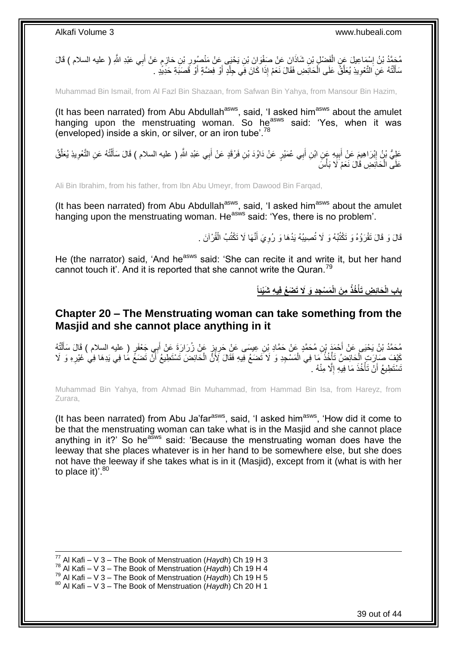مُحَمَّدُ بْنُ إِسْمَاعِيلَ عَنِ الْفَضْلِ بْنِ شَاذَانَ عَنْ صَفْوَانَ بْنِ يَحْبَى عَنْ مَنْصُبُورِ بْنِ حَازِمٍ عَنْ أَبِي عَبْدِ اللَّهِ ( عليه السلام ) قَالَ<br>مُنْفُرُ بْنُ إِسْمَاعِيلَ عَنِ الْفَضْلِ بْنِ شَاذَانَ عَ َ ֧֧֚֚֚֚֚֚֚֚֚֓֝֓֝ **∶** ِ ْ ِ سَأَلْتُهُ عَنِ النَّعْوِيذِ يُعَلَّقُ عَلَى الْحَائِضِ فَقَالَ نَعَمْ إِذَا كَانَ فِي جِلْدٍ أَوْ فِضَّةٍ أَوْ قَصَبَةِ حَدِيَّدٍ ـ ֦֧֦֧֦֦֧֦֦֦֦֦֦֦֦֦֦֦֦֦֦֦֦֦֦֦֧֦֧֦֧֦֦֧֦֪֪֦֦֧֦֦֦֧֦֪֪֪֦֟֟֟֟֟֟֟֟֟֟֟֟֟֟֓֕֟֟֓֕֟֓֟֓֞֟֝֟֓֟֓֟֓֞֟֓֞֟֟֓֞֟֓֞֟֓֞֟ َ َ اُ ْ ْ ڑ<br>ا **∶** 

Muhammad Bin Ismail, from Al Fazl Bin Shazaan, from Safwan Bin Yahya, from Mansour Bin Hazim,

(It has been narrated) from Abu Abdullah<sup>asws</sup>, said, 'I asked him<sup>asws</sup> about the amulet hanging upon the menstruating woman. So he<sup>asws</sup> said: 'Yes, when it was (enveloped) inside a skin, or silver, or an iron tube<sup> $78$ </sup>

عَلِيُّ بْنُ إِبْرَاهِيمَ عَنِْ أَبِيهِ عَمٍن ابْنِ أَبِي عُمَيْرٍ عَنْ دَاوُدَ بْنِ فَرْقَدٍ عَنْ أَبِي عَبْدِ اللهِ ( عليه السلام ) قَالَ سَأَلْتُهُ عَنِ التَّعْوِيذِ يُعَلَّقُ َ **!** َ <u>֖֓</u> َّ ِ ْ َ َ عَلَى الْحَانِضِ قَالَ نَعَمْ لَا بَأْسَ **ٔ** ْ

Ali Bin Ibrahim, from his father, from Ibn Abu Umeyr, from Dawood Bin Farqad,

(It has been narrated) from Abu Abdullah<sup>asws</sup>, said, 'I asked him<sup>asws</sup> about the amulet hanging upon the menstruating woman. He<sup>asws</sup> said: 'Yes, there is no problem'.

> قَالَ وَ قَالَ تَقْرَؤُهُ وَ تَكْتُبُهُ وَ لَا تُصِيبُهُ يَدُهَا وَ رُوِيَ أَنَّهَا لَا تَكْتُبُ الْقُرْآنَ . ْ َ ِ

He (the narrator) said, 'And he<sup>asws</sup> said: 'She can recite it and write it, but her hand cannot touch it'. And it is reported that she cannot write the Quran.<sup>79</sup>

> **َم ْس ِجِد َو َِل َت َض ُع فِي ِه َشْيئا ِم َن الْ ُخذُ َحاِئ ِض َتأ باب الْ ْ**

### <span id="page-38-0"></span>**Chapter 20 – The Menstruating woman can take something from the Masjid and she cannot place anything in it**

مُحَمَّدُ بْنُ يَحْيَى عَنْ أَحْمَدَ بْنِ مُحَمَّدٍ عَنْ حَمَّادِ بْنِ عِيسَى عَنِْ حَرِيِزٍ عَنْ زُرَارَةَ عَنْ أَبِي جَعْفَرٍ ( عليه السلام ) قَالَ سَأَلْتُهُ َ ِ ْ َ كَيْفَ صَإِرَاتٍ الْحَائِضُ تَأْخُذُ مَا فِي الْمَسْجِدِ وَ لَا َتَضَعُ فِيهِ فَقَالَ لِّأَنَّ الْحَائِضَ تَسْتَطِيعُ أَنَّ تَضعَّ مَا فِي يَدِهَا فِي غَيْرِهِ وَ لَا **ٔ** ِ َ ْ ْ تَسْتَطِيعُ أَنْ تَأْخُذَ مَا فِيهِ إِلَّا مِنْهُ . ِ ة<br>أ اً

Muhammad Bin Yahya, from Ahmad Bin Muhammad, from Hammad Bin Isa, from Hareyz, from Zurara,

(It has been narrated) from Abu Ja'far<sup>asws</sup>, said, 'I asked him<sup>asws</sup>, 'How did it come to be that the menstruating woman can take what is in the Masjid and she cannot place anything in it?' So he<sup>asws</sup> said: 'Because the menstruating woman does have the leeway that she places whatever is in her hand to be somewhere else, but she does not have the leeway if she takes what is in it (Masjid), except from it (what is with her to place it)'.<sup>80</sup>

1 <sup>77</sup> Al Kafi – V 3 – The Book of Menstruation (*Haydh*) Ch 19 H 3

<sup>78</sup> Al Kafi – V 3 – The Book of Menstruation (*Haydh*) Ch 19 H 4

<sup>79</sup> Al Kafi – V 3 – The Book of Menstruation (*Haydh*) Ch 19 H 5

<sup>80</sup> Al Kafi – V 3 – The Book of Menstruation (*Haydh*) Ch 20 H 1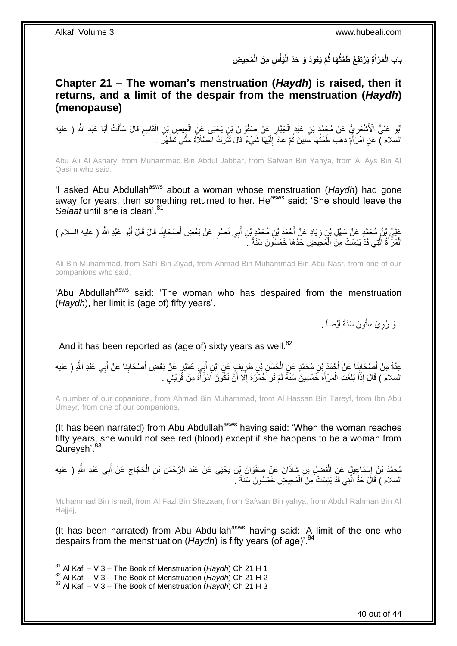بِابِ الْمَرْأَةِ يَرْتَفِعُ طَمْتُهَا ثُمَّ يَعُودُ وَ حَذِّ الْيَأْسِ مِنَ الْمَحِيضِ **ْ َ**

### <span id="page-39-0"></span>**Chapter 21 – The woman's menstruation (***Haydh***) is raised, then it returns, and a limit of the despair from the menstruation (***Haydh***) (menopause)**

ِ أَبُو عَلِيٍّ الْأَشْعَرِيُّ عَنْ مُحَمَّدٍ بْنِ عَبْدٍ الْجَبَّارِ عَنْ صَفْوَانَ بْنِ يَحْيَى عَنِ الْعِيصِ بْنِ الْقَاسِمِ قَالَ سَأَلْتُ أَبَا عَبْدِ اللَّهِ ( عليه ْ ْ ِ ْ ِ َ ْ ĺ السّلام ) ۖ عَنِ امْرَ أَةٍ ذَهَبَ طَمْتُهَا سِّنِينَ ثُمَّ عَادَ ۖ إِلَيْهَا شَيْءٌ قَالَ تَثُّرُكُ الْصَلَاةَ حَتَّى ثَطْهُرَ ۖ . لَ ِ ا ما با المسلمان المسلمانية المسلمانية المسلمانية المسلمانية المسلمانية المسلمانية المسلمانية المسلمانية المسل<br>مسلمانية المسلمانية المسلمانية المسلمانية المسلمانية المسلمانية المسلمانية المسلمانية المسلمانية المسلمانية ال ان<br>المقام َ

Abu Ali Al Ashary, from Muhammad Bin Abdul Jabbar, from Safwan Bin Yahya, from Al Ays Bin Al Qasim who said,

'I asked Abu Abdullah<sup>asws</sup> about a woman whose menstruation (*Haydh*) had gone away for years, then something returned to her. Heasws said: 'She should leave the *Salaat* until she is clean'.<sup>81</sup>

عَلِيُّ بْنُ مُحَمَّدٍ عَنْ سَهْلِ بْنٍ زِيَادٍ عَنْ أَحْمَدَ بْنِ مُحَمَّدٍ بْنِ أَبِي نَصْرٍ عَنْ بَعْضِ أَصْحَابِنَا قَالَ قَالَ أَبُو عَبْدِ اللَّهِ ( عليه السلام )<br>عَلَيُّ: نُو مُحَمَّدٍ عَنْ سَهْلِ بْنٍ زِيَادٍ عَنْ  $\frac{1}{2}$ َ َ ِ َ الْمَرْ أَةُ الَّتِي قَدْ يَئِسَتْ مِنَ الْمَحِيضِ حَدُّهَا خَمْسُونَ سَنَةً ۚ ـَ ْ َّ َ ْ

Ali Bin Muhammad, from Sahl Bin Ziyad, from Ahmad Bin Muhammad Bin Abu Nasr, from one of our companions who said,

'Abu Abdullah<sup>asws</sup> said: 'The woman who has despaired from the menstruation (*Haydh*), her limit is (age of) fifty years'.

> وَ رُوِيَ سِتُّونَ سَنَةً أَيْضـاً <sub>.</sub> َ **∶**

And it has been reported as (age of) sixty years as well.<sup>82</sup>

عِدَّةٌ مِنْ أَصْحَابِنَا عَنْ أَحْمَدَ بْنِ مُحَمَّدٍ عَنِ الْحَسَنِ بْنِ طَرِيفٍ عَنِ ابْنِ أَبِي عُمَيْرٍ عَنْ بَعْضِ أَصْحَابِنَا عَنْ أَبِي عَبْدِ اللَّهِ ( عليه **∣** َ َ  $\frac{1}{2}$ َ َ ِ ْ السلام ) قَالَ إِذَا بَلَغَتِ الْمَرْأَةُ خَمْسِينَ سَنَةً لَمْ تَرَ حُمْرَةً إِلَّا أَنْ تَكُونَ اَمْرَأَةً مِنْ قُرَيْشٍ . َ اُ ِ لَ َ ْ

A number of our copanions, from Ahmad Bin Muhammad, from Al Hassan Bin Tareyf, from Ibn Abu Umeyr, from one of our companions,

(It has been narrated) from Abu Abdullah<sup>asws</sup> having said: 'When the woman reaches fifty years, she would not see red (blood) except if she happens to be a woman from Qureysh'.<sup>83</sup>

مُحَمَّدُ بْنُ إِسْمَاعِيلٍ عَنِ الْفَضْلِ بْنِ شَاذَانَ عَنْ صَفْوَانَ بِْنِ يَحْيَى عَنْ عَبْدِ الرَّحْمَنِ بْنِ الْحَجَّاجِ عَنْ أَبِي عَبْدِ اللَّهِ ( عليه ْ ْ ِ َ  $\zeta$ السلام ) قَالَ حَدُّ الَّتِي قَذَّ يَئِسَتْ مِنَ الْمَحِيضِ خَمْسُونَ سَنَةً ۚ ـَ ْ َّ

Muhammad Bin Ismail, from Al Fazl Bin Shazaan, from Safwan Bin yahya, from Abdul Rahman Bin Al Hajjaj,

(It has been narrated) from Abu Abdullah<sup>asws</sup> having said: 'A limit of the one who despairs from the menstruation (*Haydh*) is fifty years (of age)<sup>'.84</sup>

<sup>81</sup> Al Kafi – V 3 – The Book of Menstruation (*Haydh*) Ch 21 H 1

<sup>82</sup> Al Kafi – V 3 – The Book of Menstruation (*Haydh*) Ch 21 H 2

<sup>83</sup> Al Kafi – V 3 – The Book of Menstruation (*Haydh*) Ch 21 H 3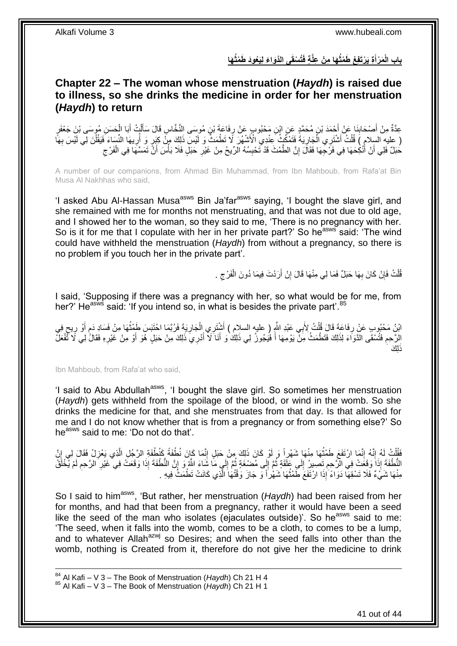باب الْمَرْأَةِ يَرْتَفِعُ طَمْتُهَا مِنْ عِلَّةٍ فَتُسْقَى الذَّوَاءَ لِيَعُودَ طَمْتُهَا **َ**

### <span id="page-40-0"></span>**Chapter 22 – The woman whose menstruation (***Haydh***) is raised due to illness, so she drinks the medicine in order for her menstruation (***Haydh***) to return**

َ عِدَّةٌ مِنْ أَصْحَابِذَا عَنْ أَحْمَدَ بْنِ مُحَمَّدٍ عَنِ إِبْنِ مَحْبُوبٍ عَنْ رِفَاعَةَ بْنِ مُوسَى النَّخَاسِ قَالَ سَأَأْتُ أَبَا الْحَسَنِ مُوسَى بْنِ جَعْفَرٍ ِ َ **∣** ْ َ ْ ِ ِ بِهَا النَّسَاءَ فَفْتُ أَشْتَرِي الْجَارِيَةُ فَتَمْكُنُ عِنْدِي الْأَشْهُرَ لَا تَطْمَثُ وَ لَيْسَ ذَلِكَ مِنْ كِبَرٍ وَ أُرِيهَا النِّسَاءَ فَيَقُلْنَ لِي لَيْسَ بِهَأَ ُ ِ ْ َ ْ ْ حَبَلٌ فَلِي أَنْ أُنْكِحَهَا فِي فَرْجِهَا فَقَالَ إِنَّ الطَّمْثَ قَدْ تَحْبِسُهُ الرِّيحُ مِنْ غَيْرِ حَبَلٍ فَلَا بَأْسَ أَنَّ تَمَسَّهَا فِي الْفَرْجِ ِ َ اً ِ ْ َ ْ ِ ِ

A number of our companions, from Ahmad Bin Muhammad, from Ibn Mahboub, from Rafa'at Bin Musa Al Nakhhas who said,

'I asked Abu Al-Hassan Musa<sup>asws</sup> Bin Ja'far<sup>asws</sup> saying, 'I bought the slave girl, and she remained with me for months not menstruating, and that was not due to old age, and I showed her to the woman, so they said to me, 'There is no pregnancy with her. So is it for me that I copulate with her in her private part?' So he<sup>asws</sup> said: 'The wind could have withheld the menstruation (*Haydh*) from without a pregnancy, so there is no problem if you touch her in the private part'.

> قُلْتُ فَإِنْ كَانَ بِهَا حَبَلٌ فَمَا لِي مِنْهَا قَالَ إِنْ أَرَدْتَ فِيمَا دُونَ الْفَرْجِ . اُ ِ **∶** ِ ْ ِ ْ

I said, 'Supposing if there was a pregnancy with her, so what would be for me, from her?' He<sup>asws</sup> said: 'If you intend so, in what is besides the private part'.<sup>85</sup>

َائِنُ مَحْبُوبِ عَنْ رِفَاعَةَ قَالَ قُلْتُ لِأَبِي عَبْدِ اللَّهِ (ِ عليه السلام ) أَشْتَرِي الْجَارِيَةَ فَرُبَّمَا احْتَبَسَ طَمْثُهَا مِنْ فَسَادِ دَمٍ أَوْ رِيحٍ فِي<br>الله عليه: حَقَّ رَبِّ بَيْنِ الْمُسْلِمَةِ الْمُ ْ **∶** ٍ ِ َ م ُ ِ ْ َ الرَّحِمِ فَتُسْقَى الذَّوَاءَ لِذَلِكَ فَتَطْمَثُ مِنْ يَوْمِهَا أَ فَيُجُوزُ لِي ذَلِكَ وَ أَنَا َلاَ أَدْرِيَ ذَلِكَ مِنْ حَبَلٍ هُوَ أَوْ مِنْ غَيْرِهِ فَقَالُ لِي لَا تَّفْعَلُّ َ َ ٔ أ **ُ** ِ َ <u>ال</u>کَ ذَ

Ibn Mahboub, from Rafa'at who said,

1

'I said to Abu Abdullah<sup>asws</sup>, 'I bought the slave girl. So sometimes her menstruation (*Haydh*) gets withheld from the spoilage of the blood, or wind in the womb. So she drinks the medicine for that, and she menstruates from that day. Is that allowed for me and I do not know whether that is from a pregnancy or from something else?' So he<sup>asws</sup> said to me: 'Do not do that'.

فَقُلْتُ لَهُ إِنَّهُ إِنَّمَا ارْتَفَعَ طَمْتُهَا مِنْهَا شَهْرِاً وَ لَوْ كَانَ ذَلِكَ مِنْ حَبَلٍ إِنَّمَا كَإِنَ نُطْفَةً كَنُطْفَةٍ الرَّجُلِ الَّذِي يَعْزِلُ فَقَالَ لِي إِنَّ ِ ُ ِ ِ .<br>ا ِ ِ َّ لَ ِ النُّطْفَةَ إِذَاً وَقَعَتْ فِي الرَّحِمِ تَصِيرُ إِلَى عَلَّقَةٍ ثُمَّ إِلَى مُصْبُغَةٍ ثُمَّ إِلَى مَا شَاءَ اللَّهُ وَ إِنَّ النُّطْفَةَ إِذَا وَقَعَتْ فِي غَيْرِ الرَّحِمِ لَمْ يُخْلَقُ **ُ** لَ ِ ِ ِ  $\frac{1}{2}$ ان<br>المقامات ∣∣<br>ِ∶ ُ مِنْهَا شَيْءٌ فَلَا تَسْقِهَا دَوَاءً إِذَا ارْتَفَعَ طَّمْتُهَا شَهْراً وَ جَازَ وَقْتُهَا الَّذِي كَانَتْ تَطْمَثُ فِيهِ . َّ ان<br>ا

So I said to him<sup>asws</sup>, 'But rather, her menstruation (*Haydh*) had been raised from her for months, and had that been from a pregnancy, rather it would have been a seed like the seed of the man who isolates (ejaculates outside)'. So he<sup>asws</sup> said to me: 'The seed, when it falls into the womb, comes to be a cloth, to comes to be a lump, and to whatever Allah<sup>azwj</sup> so Desires; and when the seed falls into other than the womb, nothing is Created from it, therefore do not give her the medicine to drink

<sup>84</sup> Al Kafi – V 3 – The Book of Menstruation (*Haydh*) Ch 21 H 4 <sup>85</sup> Al Kafi – V 3 – The Book of Menstruation (*Haydh*) Ch 21 H 1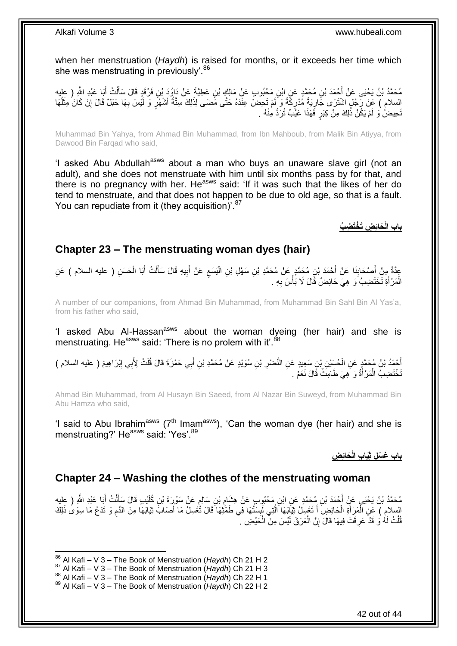when her menstruation (*Haydh*) is raised for months, or it exceeds her time which she was menstruating in previously'.<sup>86</sup>

مُحَمَّدُ بْنُ يَحْيَى عَنْ أَحْمَدَ بْنِ مُحَمَّدٍ عَنِ ابْنِ مَحْبُوبٍ عَنْ مَالِكٍ بْنِ عَطِيَّةٍ عَنْ دَاوُدَ بْنِ فَرْقَدٍ قَالَ سَأَلْتُ أَبَا عَبْدِ اللَّهِ ( عِلْيه ْ ĺ َ ِ السلام ) عَنْ رَّجُلٍ اشْتَرَى جَارِيَةً مُدْرِكَةً وَ لَمْ تَحِضْ عِنْدَهُ حَتَّى مَضَى لِذَلِكَ سِتَّةُ أَشْهُرٍ وَ لَيْسَ بِهَا حَبَلٌ قَالَ إِنْ كَانَ مِثْلُهَا َ ِ ِ ُ ْ ِ نَحِيضُ ۚ وَ لَمْ يَكُنْ ذَٰلِكَ مِنْ كِبَرٍ فَهَذَا عَيْبٌ تُرَدُّ مِنْهُ ۚ ـِ

Muhammad Bin Yahya, from Ahmad Bin Muhammad, from Ibn Mahboub, from Malik Bin Atiyya, from Dawood Bin Farqad who said,

'I asked Abu Abdullah<sup>asws</sup> about a man who buys an unaware slave girl (not an adult), and she does not menstruate with him until six months pass by for that, and there is no pregnancy with her. He<sup>asws</sup> said: 'If it was such that the likes of her do tend to menstruate, and that does not happen to be due to old age, so that is a fault. You can repudiate from it (they acquisition)<sup>'.87</sup>

**َحاِئ ِض َت ْخَت ِض ُب باب الْ**

### <span id="page-41-0"></span>**Chapter 23 – The menstruating woman dyes (hair)**

عِدَّةٌ مِنْ أَصْحَابِذَا عَنْ أَحْمَدَ بْنِ مُحَمَّدٍ عَنْ مُحَمَّدِ بْنِ سَهْلِ بْنِ الْيَسَعِ عَنْ أَبِيهِ قَالَ سَأَلْتُ أَبَا الْحَسَنِ ( عليه السلام ) عَنِ ِ ْ َ **∣** َ ْ َ ْ اً<br>أ ِ َ الْمَرْ أَةِ تَخْتَضِبُ َوَ ۚ هِيَ حَائِضٌ قَالَ لَا بَأْسَ بِهِ . ِ **ٔ** َ ْ

A number of our companions, from Ahmad Bin Muhammad, from Muhammad Bin Sahl Bin Al Yas'a, from his father who said,

'I asked Abu Al-Hassan<sup>asws</sup> about the woman dyeing (her hair) and she is menstruating. He<sup>asws</sup> said: 'There is no prolem with it'.<sup>88</sup>

أَحْمَدُ بْنُ مُحَمَّدٍ عَنِ الْحُسَيْنِ بْنِ سَعِيدٍ عَنِ النَّصْرِ بْنِ سُوَيْدٍ عَنْ مُحَمَّدِ بْنِ أَبِي حَمْزَةَ قَالَ قُلْتُ لِأَبِي إِبْرَاهِيمَ ( عليه السلام )<br>أَحْمَدُ بْنُ مُحَمَّدٍ عَنِ الْحُسَيْنِ بْنِ سَعِيدٍ َ ِ ْ َ ِ تَخْتَضِبُ الْمَرْأَةُ وَ هِيَ طَامِثٌ قَالَ نَعَمْ . َ ْ

Ahmad Bin Muhammad, from Al Husayn Bin Saeed, from Al Nazar Bin Suweyd, from Muhammad Bin Abu Hamza who said,

'I said to Abu Ibrahim<sup>asws</sup> ( $7<sup>th</sup>$  Imam<sup>asws</sup>), 'Can the woman dye (her hair) and she is menstruating?' He<sup>asws</sup> said: 'Yes'.<sup>89</sup>

**َحائِ ِض باب َغ ْس ِل ثَِيا ِب الْ**

### <span id="page-41-1"></span>**Chapter 24 – Washing the clothes of the menstruating woman**

مُحَمَّدُ بْنُ يَحْيَى عَنٍْ أَحْمَدَ بْنِ مُحَمَّدٍ عَنِ ابْنِ مَحْبُوِبٍ عَنْ هِشَامٍ بْنِ سَالِمٍ عَنْ سَوْرِدَة بْنِ كُلَيْبِ قَالَ سَأَلْتُ أَيَا عَبْدِ اللَّهِ ( عِلْيِه ֧֖֧֚֚֚֓֝֝ ِ َ ْ َ السلام ) عَنِ الْمَرْأَةِ الْحَائِضِ أَ تَغْسِلُ ثِيَابَهَا الَّتِي لَبِسَتْهَا فِي طَمَّتْهَا قَالَ تَّغْسِلُ مَا أَصَابَ ثِيَابَهَا مِنَ الدَّمِ وَ تَدَعُ مَا سِوَى ذَلِكَ َ ِ َّ َ ْ َ ْ ِ قُلْتُ لَهُ وَ قَدْ عَرِفَتْ فِيهَا قَالَ إِنَّ الْعَرَفَ لَيْسَ مِنَ الْحَيْضِ ۚ ْ ْ ْ יֲ<br>י ِ

 $\overline{a}$ 

<sup>86</sup> Al Kafi – V 3 – The Book of Menstruation (*Haydh*) Ch 21 H 2

<sup>87</sup> Al Kafi – V 3 – The Book of Menstruation (*Haydh*) Ch 21 H 3

<sup>88</sup> Al Kafi – V 3 – The Book of Menstruation (*Haydh*) Ch 22 H 1

<sup>89</sup> Al Kafi – V 3 – The Book of Menstruation (*Haydh*) Ch 22 H 2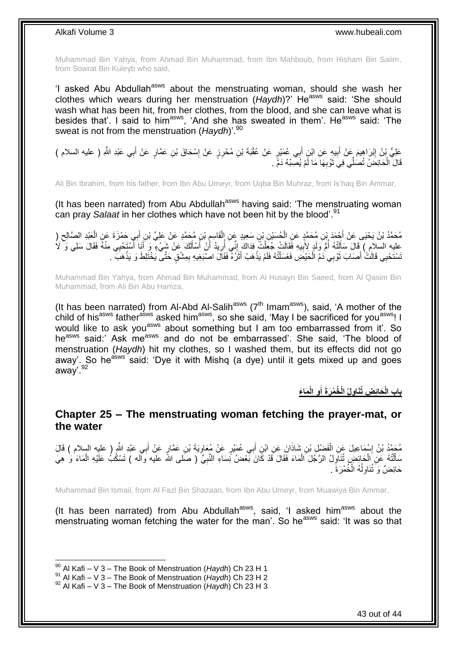Muhammad Bin Yahya, from Ahmad Bin Muhammad, from Ibn Mahboub, from Hisham Bin Salim, from Sowrat Bin Kuleyb who said,

'I asked Abu Abdullah<sup>asws</sup> about the menstruating woman, should she wash her clothes which wears during her menstruation (Haydh)?' He<sup>asws</sup> said: 'She should wash what has been hit, from her clothes, from the blood, and she can leave what is besides that'. I said to him<sup>asws</sup>, 'And she has sweated in them'. He<sup>asws</sup> said: 'The sweat is not from the menstruation (*Haydh*)<sup>'.90</sup>

عَلِيُّ بْنُ إِبْرَاهِيمَ عَنْ أَبِيهِ عَنِ ابْنٍ أَبِي عُمَيْرٍ عَنْ عُقْبَةَ بْنِ مُحْرِنٍ عَنْ إِسْحَاقَ بْنِ عَمَّارٍ عَنْ أَبِي عَبْدِ اللَّهِ ( عليه السلام )<br>ِ ∣l<br>∶ َ **!** יִין<br>∶ َ قَالَ الْحَائِضَٰ تُصَلِّّي فِيَ ثَوْبِهَا مَا لَّمْ يُصِبْهُ دَمٍّ . **∶** ر<br>پاک ْ

Ali Bin Ibrahim, from his father, from Ibn Abu Umeyr, from Uqba Bin Muhraz, from Is'haq Bin Ammar,

(It has been narrated) from Abu Abdullah<sup>asws</sup> having said: 'The menstruating woman can pray *Salaat* in her clothes which have not been hit by the blood'.<sup>91</sup>

مُحَمَّدُ بْنُ يَحْيَى عَنْ أَحْمَدَ بْنِ مُحَمَّدٍ عَنِ الْحُسَيْنِ بْنِ سَعِيدٍ عَنِ الْقَاسِمِ بْنِ مُحَمَّدٍ عَنْ عَلِيٍّ بْنِ أَبِي حَمْزَةَ عَنِ الْعَبْدِ الصَّالِحِ (<br>- يَمْضُمَّذُ بْنُ يَحْيَى عَنْ أَجْهَدُ بْنِ مُ ِ ْ ْ َ ِ ْ َ لَ عليه السلام ) قَالَ سَأَلَتْهُ أُمَّ وَلَدٍ لِأَبِيهِ فَقَالَتْ جُغِّلْتُ فِدَاكَ إِنِّي أُرِيدُ أَنْ أَسْأَلَكَ عَنْ شَيْءٍ وَ أَنَا أَسْتَحْبِي مِنْهُ فَقَالَ سَلِي وَ ۚ لَا<br>يَجْمَعُ السلام ) قَالَ سَنَائَتُهُ أُمَّ وَل لَ َ َ َ ∣l<br>∶ ْ **!** ا<br>ا َ َ تَسْتَحْيِي قَالَتْ أَصَابَ ثَوْبِي دَمُ الْحَيْضِ فَغَسَلْتُهُ فَلَمْ يَذْهَبْ أَثَرُهُ فَقَالَ اصْبَغِيهِ بِمِشْقٍ حَتَّى يَخْتَلِطَ وَ يَذْهَبَ ۖ اً<br>ا َ **ٔ** ْ ْ رو<br>أ َ **ٔ** ِ

Muhammad Bin Yahya, from Ahmad Bin Muhammad, from Al Husayn Bin Saeed, from Al Qasim Bin Muhammad, from Ali Bin Abu Hamza,

(It has been narrated) from Al-Abd Al-Salih<sup>asws</sup> ( $7<sup>th</sup>$  Imam<sup>asws</sup>), said, 'A mother of the child of his<sup>asws</sup> father<sup>asws</sup> asked him<sup>asws</sup>, so she said, 'May I be sacrificed for you<sup>asws</sup>! I would like to ask you<sup>asws</sup> about something but I am too embarrassed from it'. So he<sup>asws</sup> said:' Ask me<sup>asws</sup> and do not be embarrassed'. She said, 'The blood of menstruation (*Haydh*) hit my clothes, so I washed them, but its effects did not go away'. So he<sup>asws</sup> said: 'Dye it with Mishq (a dye) until it gets mixed up and goes away'.<sup>92</sup>

> **َما َء ِو الْ ِولُ الْ ُخ ْم َر َة أ َحاِئ ِض ُتَنا باب الْ َ**

### <span id="page-42-0"></span>**Chapter 25 – The menstruating woman fetching the prayer-mat, or the water**

مُحَمَّدُ بْنُ إِسْمَاعِيلَ عَنِ الْفَضْلِ بْنِ شَاذَانَ عَنِ ابْنِ أَبِي عُمَيْرٍ عَنْ مُعَاوِيَةَ بْنِ عَمَّارٍ عَنْ أَبِي عَبْدِ اللَّهِ ( عليه السلام ) قَالَ<br>مَثِينٍ َ **∶** َ ْ ֘<u>֓</u> سَأَلْتُهُ عَنِ الْحَائِضِ تُنَاّوِلُ الرَّجُلَ الْمَاءَ فَقَالَ قَدْ كَانَ بِّعْضُ نِّسَاءِ النَّبِيِّ ( صلى الله عليه وآله ) تَسْكُبُ عَلَيْهِ الْمَاءَ وَ هِيَ ْ ֦֧֦֦֦֦֦֦֦֦֦֦֧֦֦֧֦֦֖֦֪֦֪֦֦֦֦֦֦֪֦֪֪֦֧֦֟֟֟֓֟֟֟֟֟֟֟֟֟֟֘֟֟֟֟֟֟֟֟֟֟֟֟֟֟֟֓֞֟֟֓֞֟֓֞֟֝֟֟֟֟֟ ْ ِ ْ **∶** حَائِضٌ وَ تُنَاوِلُهُ الْخُمْرَةَ . ٔ<br>ا ِ

Muhammad Bin Ismail, from Al Fazl Bin Shazaan, from Ibn Abu Umeyr, from Muawiya Bin Ammar,

(It has been narrated) from Abu Abdullah<sup>asws</sup>, said, 'I asked him<sup>asws</sup> about the menstruating woman fetching the water for the man'. So he<sup>asws</sup> said: 'It was so that

<sup>90</sup> Al Kafi – V 3 – The Book of Menstruation (*Haydh*) Ch 23 H 1

<sup>&</sup>lt;sup>91</sup> Al Kafi – V 3 – The Book of Menstruation (*Haydh*) Ch 23 H 2

<sup>92</sup> Al Kafi – V 3 – The Book of Menstruation (*Haydh*) Ch 23 H 3